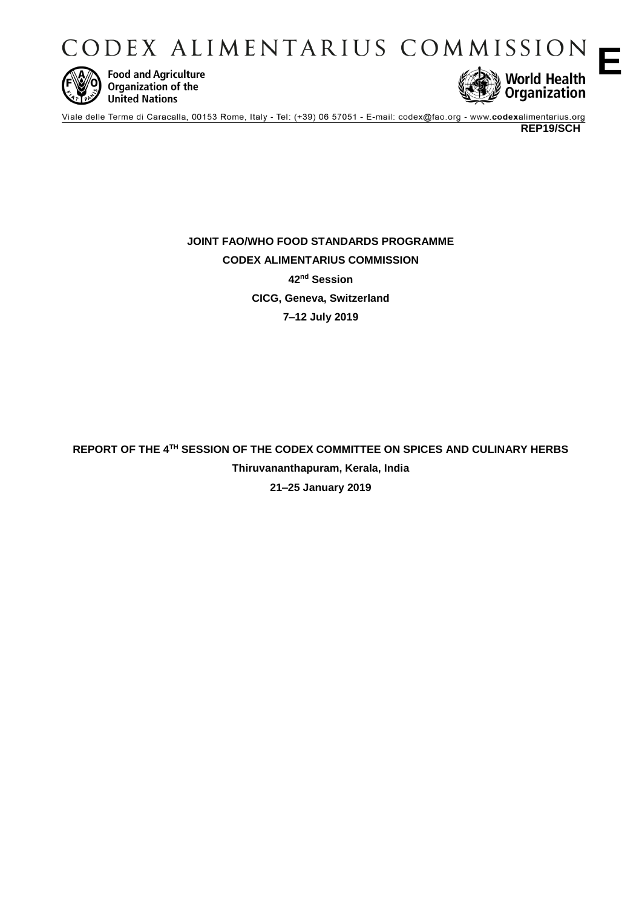CODEX ALIMENTARIUS COMMISSION



**Food and Agriculture** Organization of the **United Nations** 



Viale delle Terme di Caracalla, 00153 Rome, Italy - Tel: (+39) 06 57051 - E-mail: codex@fao.org - www.codexalimentarius.org

**REP19/SCH** 

**E**

**JOINT FAO/WHO FOOD STANDARDS PROGRAMME CODEX ALIMENTARIUS COMMISSION 42nd Session CICG, Geneva, Switzerland 7–12 July 2019** 

**REPORT OF THE 4TH SESSION OF THE CODEX COMMITTEE ON SPICES AND CULINARY HERBS Thiruvananthapuram, Kerala, India 21–25 January 2019**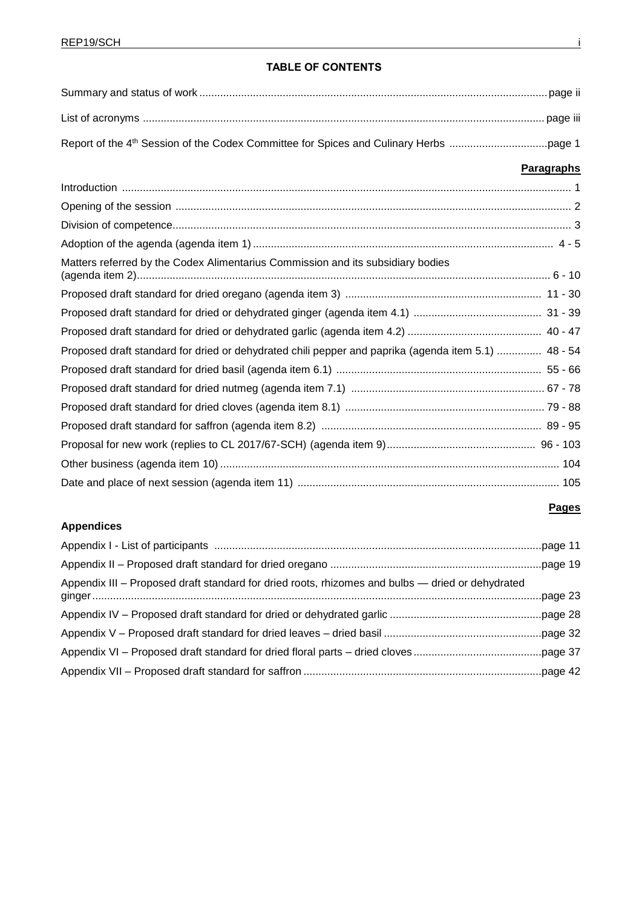**Appendices**

## **TABLE OF CONTENTS**

|                                                                                                     | <b>Paragraphs</b> |
|-----------------------------------------------------------------------------------------------------|-------------------|
|                                                                                                     |                   |
|                                                                                                     |                   |
|                                                                                                     |                   |
|                                                                                                     |                   |
| Matters referred by the Codex Alimentarius Commission and its subsidiary bodies                     |                   |
|                                                                                                     |                   |
|                                                                                                     |                   |
|                                                                                                     |                   |
| Proposed draft standard for dried or dehydrated chili pepper and paprika (agenda item 5.1)  48 - 54 |                   |
|                                                                                                     |                   |
|                                                                                                     |                   |
|                                                                                                     |                   |
|                                                                                                     |                   |
|                                                                                                     |                   |
|                                                                                                     |                   |
|                                                                                                     |                   |

## **Pages**

| Appendix III – Proposed draft standard for dried roots, rhizomes and bulbs — dried or dehydrated |  |
|--------------------------------------------------------------------------------------------------|--|
|                                                                                                  |  |
|                                                                                                  |  |
|                                                                                                  |  |
|                                                                                                  |  |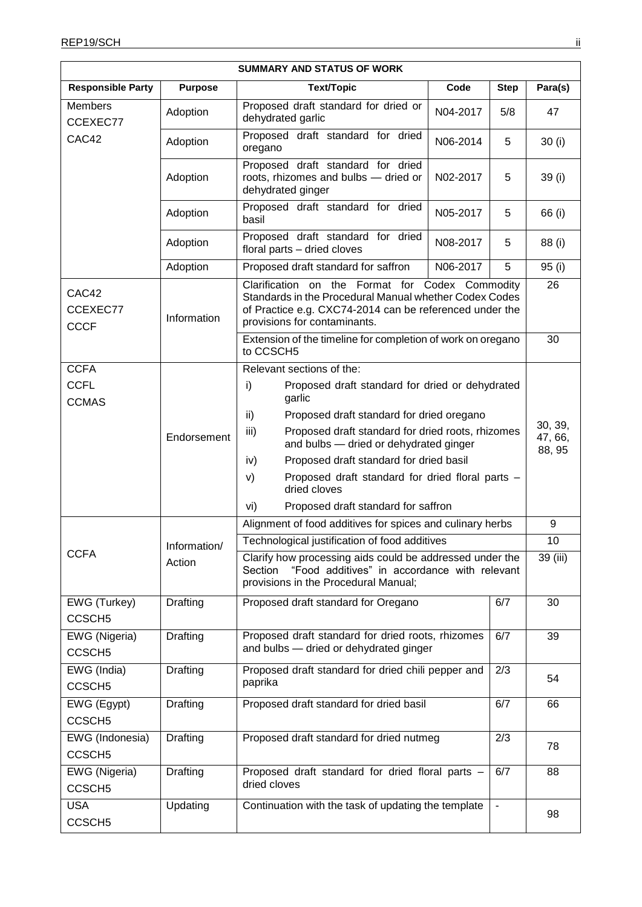| <b>SUMMARY AND STATUS OF WORK</b> |                 |                                                                                                                                                                                                      |                                                                  |             |          |  |
|-----------------------------------|-----------------|------------------------------------------------------------------------------------------------------------------------------------------------------------------------------------------------------|------------------------------------------------------------------|-------------|----------|--|
| <b>Responsible Party</b>          | <b>Purpose</b>  | <b>Text/Topic</b>                                                                                                                                                                                    | Code                                                             | <b>Step</b> | Para(s)  |  |
| <b>Members</b><br>CCEXEC77        | Adoption        | Proposed draft standard for dried or<br>dehydrated garlic                                                                                                                                            | N04-2017                                                         | 5/8         | 47       |  |
| CAC42                             | Adoption        | Proposed draft standard for dried<br>oregano                                                                                                                                                         | N06-2014                                                         | 5           | 30(i)    |  |
|                                   | Adoption        | Proposed draft standard for dried<br>roots, rhizomes and bulbs - dried or<br>dehydrated ginger                                                                                                       | N02-2017                                                         | 5           | 39 (i)   |  |
|                                   | Adoption        | Proposed draft standard for dried<br>basil                                                                                                                                                           | N05-2017                                                         | 5           | 66 (i)   |  |
|                                   | Adoption        | Proposed draft standard for dried<br>floral parts - dried cloves                                                                                                                                     | N08-2017                                                         | 5           | 88 (i)   |  |
|                                   | Adoption        | Proposed draft standard for saffron                                                                                                                                                                  | N06-2017                                                         | 5           | 95 (i)   |  |
| CAC42<br>CCEXEC77<br><b>CCCF</b>  | Information     | Clarification on the Format for Codex Commodity<br>Standards in the Procedural Manual whether Codex Codes<br>of Practice e.g. CXC74-2014 can be referenced under the<br>provisions for contaminants. |                                                                  |             | 26       |  |
|                                   |                 | Extension of the timeline for completion of work on oregano<br>to CCSCH5                                                                                                                             |                                                                  |             | 30       |  |
| <b>CCFA</b>                       |                 | Relevant sections of the:                                                                                                                                                                            |                                                                  |             |          |  |
| <b>CCFL</b>                       |                 | i)<br>Proposed draft standard for dried or dehydrated                                                                                                                                                |                                                                  |             |          |  |
| <b>CCMAS</b>                      |                 | garlic                                                                                                                                                                                               | Proposed draft standard for dried oregano                        |             |          |  |
|                                   |                 | ii)                                                                                                                                                                                                  |                                                                  |             | 30, 39,  |  |
|                                   | Endorsement     | iii)<br>Proposed draft standard for dried roots, rhizomes<br>and bulbs - dried or dehydrated ginger                                                                                                  |                                                                  |             | 47, 66,  |  |
|                                   |                 | Proposed draft standard for dried basil<br>iv)                                                                                                                                                       |                                                                  |             | 88, 95   |  |
|                                   |                 | V)                                                                                                                                                                                                   | Proposed draft standard for dried floral parts -<br>dried cloves |             |          |  |
|                                   |                 | Proposed draft standard for saffron<br>vi)                                                                                                                                                           |                                                                  |             |          |  |
|                                   |                 | Alignment of food additives for spices and culinary herbs                                                                                                                                            |                                                                  |             | 9        |  |
|                                   | Information/    | Technological justification of food additives                                                                                                                                                        |                                                                  |             | 10       |  |
| <b>CCFA</b>                       | Action          | Clarify how processing aids could be addressed under the<br>"Food additives" in accordance with relevant<br>Section                                                                                  |                                                                  |             | 39 (iii) |  |
|                                   |                 | provisions in the Procedural Manual;                                                                                                                                                                 |                                                                  |             |          |  |
| EWG (Turkey)                      | <b>Drafting</b> | Proposed draft standard for Oregano                                                                                                                                                                  |                                                                  | 6/7         | 30       |  |
| CCSCH <sub>5</sub>                |                 |                                                                                                                                                                                                      |                                                                  |             |          |  |
| EWG (Nigeria)                     | Drafting        | Proposed draft standard for dried roots, rhizomes                                                                                                                                                    |                                                                  | 6/7         | 39       |  |
| CCSCH <sub>5</sub>                |                 | and bulbs - dried or dehydrated ginger                                                                                                                                                               |                                                                  |             |          |  |
| EWG (India)                       | Drafting        | Proposed draft standard for dried chili pepper and                                                                                                                                                   |                                                                  | 2/3         | 54       |  |
| CCSCH <sub>5</sub>                |                 | paprika                                                                                                                                                                                              |                                                                  |             |          |  |
| EWG (Egypt)                       | <b>Drafting</b> | Proposed draft standard for dried basil<br>6/7                                                                                                                                                       |                                                                  |             | 66       |  |
| CCSCH <sub>5</sub>                |                 |                                                                                                                                                                                                      |                                                                  |             |          |  |
| EWG (Indonesia)                   | Drafting        | Proposed draft standard for dried nutmeg                                                                                                                                                             |                                                                  | 2/3         | 78       |  |
| CCSCH <sub>5</sub>                |                 |                                                                                                                                                                                                      |                                                                  |             |          |  |
| EWG (Nigeria)                     | <b>Drafting</b> | Proposed draft standard for dried floral parts -                                                                                                                                                     |                                                                  | 6/7         | 88       |  |
| CCSCH <sub>5</sub>                |                 | dried cloves                                                                                                                                                                                         |                                                                  |             |          |  |
| <b>USA</b>                        | Updating        | Continuation with the task of updating the template                                                                                                                                                  |                                                                  |             | 98       |  |
| CCSCH <sub>5</sub>                |                 |                                                                                                                                                                                                      |                                                                  |             |          |  |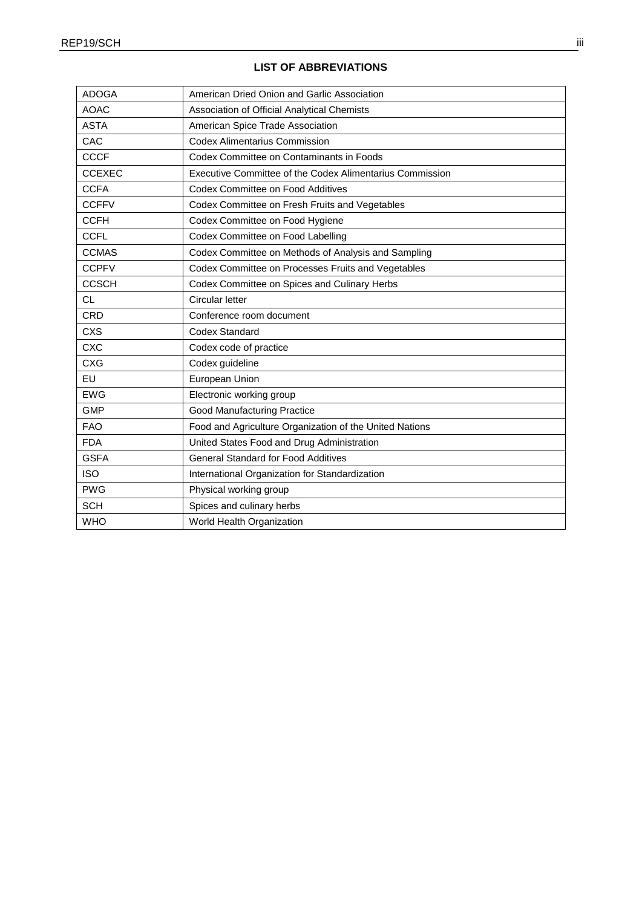| <b>ADOGA</b>  | American Dried Onion and Garlic Association              |
|---------------|----------------------------------------------------------|
| <b>AOAC</b>   | Association of Official Analytical Chemists              |
| <b>ASTA</b>   | American Spice Trade Association                         |
| CAC           | <b>Codex Alimentarius Commission</b>                     |
| <b>CCCF</b>   | Codex Committee on Contaminants in Foods                 |
| <b>CCEXEC</b> | Executive Committee of the Codex Alimentarius Commission |
| <b>CCFA</b>   | Codex Committee on Food Additives                        |
| <b>CCFFV</b>  | Codex Committee on Fresh Fruits and Vegetables           |
| <b>CCFH</b>   | Codex Committee on Food Hygiene                          |
| <b>CCFL</b>   | Codex Committee on Food Labelling                        |
| <b>CCMAS</b>  | Codex Committee on Methods of Analysis and Sampling      |
| <b>CCPFV</b>  | Codex Committee on Processes Fruits and Vegetables       |
| <b>CCSCH</b>  | Codex Committee on Spices and Culinary Herbs             |
| <b>CL</b>     | Circular letter                                          |
| CRD           | Conference room document                                 |
| <b>CXS</b>    | <b>Codex Standard</b>                                    |
| <b>CXC</b>    | Codex code of practice                                   |
| <b>CXG</b>    | Codex guideline                                          |
| EU            | European Union                                           |
| <b>EWG</b>    | Electronic working group                                 |
| <b>GMP</b>    | <b>Good Manufacturing Practice</b>                       |
| <b>FAO</b>    | Food and Agriculture Organization of the United Nations  |
| <b>FDA</b>    | United States Food and Drug Administration               |
| <b>GSFA</b>   | <b>General Standard for Food Additives</b>               |
| <b>ISO</b>    | International Organization for Standardization           |
| <b>PWG</b>    | Physical working group                                   |
| <b>SCH</b>    | Spices and culinary herbs                                |
| <b>WHO</b>    | World Health Organization                                |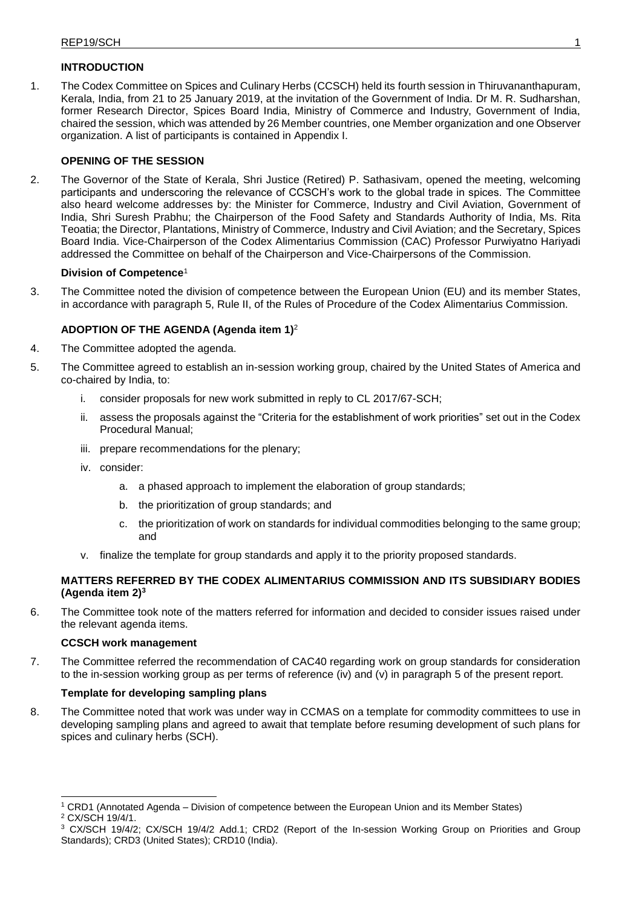## **INTRODUCTION**

1. The Codex Committee on Spices and Culinary Herbs (CCSCH) held its fourth session in Thiruvananthapuram, Kerala, India, from 21 to 25 January 2019, at the invitation of the Government of India. Dr M. R. Sudharshan, former Research Director, Spices Board India, Ministry of Commerce and Industry, Government of India, chaired the session, which was attended by 26 Member countries, one Member organization and one Observer organization. A list of participants is contained in Appendix I.

#### **OPENING OF THE SESSION**

2. The Governor of the State of Kerala, Shri Justice (Retired) P. Sathasivam, opened the meeting, welcoming participants and underscoring the relevance of CCSCH's work to the global trade in spices. The Committee also heard welcome addresses by: the Minister for Commerce, Industry and Civil Aviation, Government of India, Shri Suresh Prabhu; the Chairperson of the Food Safety and Standards Authority of India, Ms. Rita Teoatia; the Director, Plantations, Ministry of Commerce, Industry and Civil Aviation; and the Secretary, Spices Board India. Vice-Chairperson of the Codex Alimentarius Commission (CAC) Professor Purwiyatno Hariyadi addressed the Committee on behalf of the Chairperson and Vice-Chairpersons of the Commission.

#### **Division of Competence**<sup>1</sup>

3. The Committee noted the division of competence between the European Union (EU) and its member States, in accordance with paragraph 5, Rule II, of the Rules of Procedure of the Codex Alimentarius Commission.

#### **ADOPTION OF THE AGENDA (Agenda item 1)**<sup>2</sup>

- 4. The Committee adopted the agenda.
- 5. The Committee agreed to establish an in-session working group, chaired by the United States of America and co-chaired by India, to:
	- i. consider proposals for new work submitted in reply to CL 2017/67-SCH;
	- ii. assess the proposals against the "Criteria for the establishment of work priorities" set out in the Codex Procedural Manual;
	- iii. prepare recommendations for the plenary;
	- iv. consider:
		- a. a phased approach to implement the elaboration of group standards;
		- b. the prioritization of group standards; and
		- c. the prioritization of work on standards for individual commodities belonging to the same group; and
	- v. finalize the template for group standards and apply it to the priority proposed standards.

#### **MATTERS REFERRED BY THE CODEX ALIMENTARIUS COMMISSION AND ITS SUBSIDIARY BODIES (Agenda item 2)<sup>3</sup>**

6. The Committee took note of the matters referred for information and decided to consider issues raised under the relevant agenda items.

#### **CCSCH work management**

7. The Committee referred the recommendation of CAC40 regarding work on group standards for consideration to the in-session working group as per terms of reference (iv) and (v) in paragraph 5 of the present report.

#### **Template for developing sampling plans**

8. The Committee noted that work was under way in CCMAS on a template for commodity committees to use in developing sampling plans and agreed to await that template before resuming development of such plans for spices and culinary herbs (SCH).

<sup>1</sup> CRD1 (Annotated Agenda – Division of competence between the European Union and its Member States)

<sup>2</sup> CX/SCH 19/4/1.

<sup>&</sup>lt;sup>3</sup> CX/SCH 19/4/2; CX/SCH 19/4/2 Add.1; CRD2 (Report of the In-session Working Group on Priorities and Group Standards); CRD3 (United States); CRD10 (India).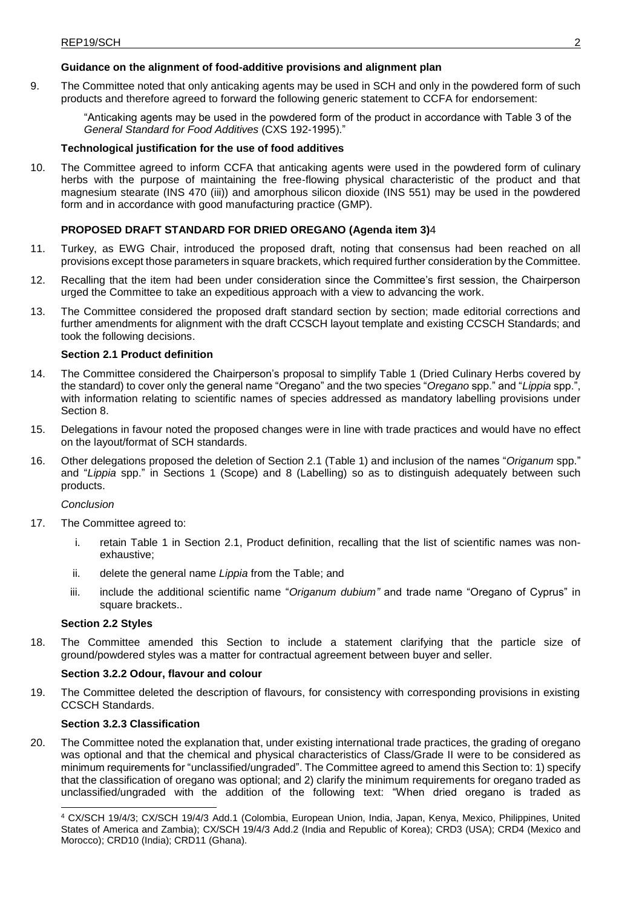## **Guidance on the alignment of food-additive provisions and alignment plan**

9. The Committee noted that only anticaking agents may be used in SCH and only in the powdered form of such products and therefore agreed to forward the following generic statement to CCFA for endorsement:

"Anticaking agents may be used in the powdered form of the product in accordance with Table 3 of the *General Standard for Food Additives* (CXS 192-1995)."

#### **Technological justification for the use of food additives**

10. The Committee agreed to inform CCFA that anticaking agents were used in the powdered form of culinary herbs with the purpose of maintaining the free-flowing physical characteristic of the product and that magnesium stearate (INS 470 (iii)) and amorphous silicon dioxide (INS 551) may be used in the powdered form and in accordance with good manufacturing practice (GMP).

#### **PROPOSED DRAFT STANDARD FOR DRIED OREGANO (Agenda item 3)**4

- 11. Turkey, as EWG Chair, introduced the proposed draft, noting that consensus had been reached on all provisions except those parameters in square brackets, which required further consideration by the Committee.
- 12. Recalling that the item had been under consideration since the Committee's first session, the Chairperson urged the Committee to take an expeditious approach with a view to advancing the work.
- 13. The Committee considered the proposed draft standard section by section; made editorial corrections and further amendments for alignment with the draft CCSCH layout template and existing CCSCH Standards; and took the following decisions.

#### **Section 2.1 Product definition**

- 14. The Committee considered the Chairperson's proposal to simplify Table 1 (Dried Culinary Herbs covered by the standard) to cover only the general name "Oregano" and the two species "*Oregano* spp." and "*Lippia* spp.", with information relating to scientific names of species addressed as mandatory labelling provisions under Section 8.
- 15. Delegations in favour noted the proposed changes were in line with trade practices and would have no effect on the layout/format of SCH standards.
- 16. Other delegations proposed the deletion of Section 2.1 (Table 1) and inclusion of the names "*Origanum* spp." and "*Lippia* spp." in Sections 1 (Scope) and 8 (Labelling) so as to distinguish adequately between such products.

#### *Conclusion*

- 17. The Committee agreed to:
	- i. retain Table 1 in Section 2.1, Product definition, recalling that the list of scientific names was nonexhaustive;
	- ii. delete the general name *Lippia* from the Table; and
	- iii. include the additional scientific name "*Origanum dubium"* and trade name "Oregano of Cyprus" in square brackets..

#### **Section 2.2 Styles**

18. The Committee amended this Section to include a statement clarifying that the particle size of ground/powdered styles was a matter for contractual agreement between buyer and seller.

#### **Section 3.2.2 Odour, flavour and colour**

19. The Committee deleted the description of flavours, for consistency with corresponding provisions in existing CCSCH Standards.

#### **Section 3.2.3 Classification**

20. The Committee noted the explanation that, under existing international trade practices, the grading of oregano was optional and that the chemical and physical characteristics of Class/Grade II were to be considered as minimum requirements for "unclassified/ungraded". The Committee agreed to amend this Section to: 1) specify that the classification of oregano was optional; and 2) clarify the minimum requirements for oregano traded as unclassified/ungraded with the addition of the following text: "When dried oregano is traded as

<sup>4</sup> CX/SCH 19/4/3; CX/SCH 19/4/3 Add.1 (Colombia, European Union, India, Japan, Kenya, Mexico, Philippines, United States of America and Zambia); CX/SCH 19/4/3 Add.2 (India and Republic of Korea); CRD3 (USA); CRD4 (Mexico and Morocco); CRD10 (India); CRD11 (Ghana).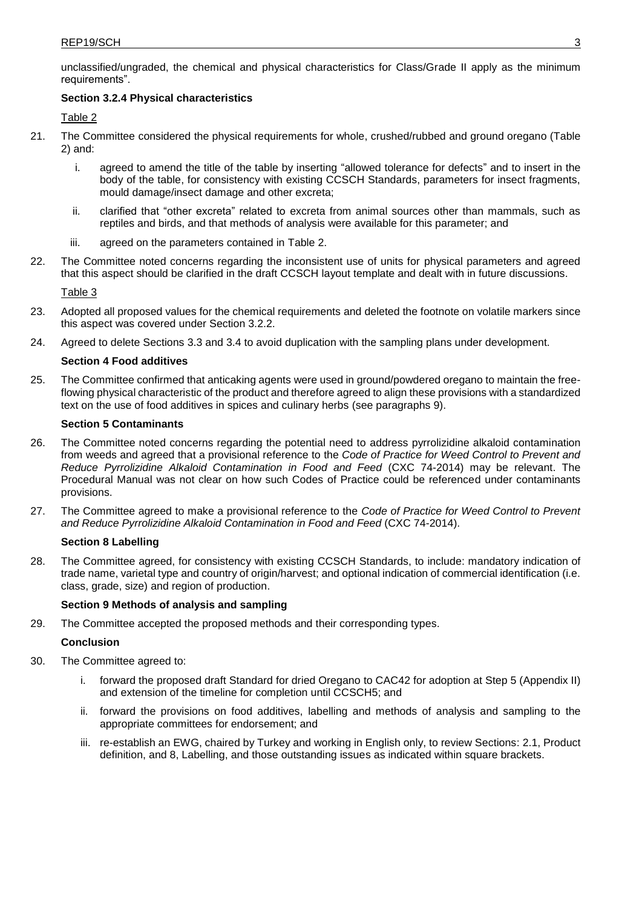unclassified/ungraded, the chemical and physical characteristics for Class/Grade II apply as the minimum requirements".

#### **Section 3.2.4 Physical characteristics**

#### Table 2

- 21. The Committee considered the physical requirements for whole, crushed/rubbed and ground oregano (Table 2) and:
	- i. agreed to amend the title of the table by inserting "allowed tolerance for defects" and to insert in the body of the table, for consistency with existing CCSCH Standards, parameters for insect fragments, mould damage/insect damage and other excreta;
	- ii. clarified that "other excreta" related to excreta from animal sources other than mammals, such as reptiles and birds, and that methods of analysis were available for this parameter; and
	- iii. agreed on the parameters contained in Table 2.
- 22. The Committee noted concerns regarding the inconsistent use of units for physical parameters and agreed that this aspect should be clarified in the draft CCSCH layout template and dealt with in future discussions.

Table 3

- 23. Adopted all proposed values for the chemical requirements and deleted the footnote on volatile markers since this aspect was covered under Section 3.2.2.
- 24. Agreed to delete Sections 3.3 and 3.4 to avoid duplication with the sampling plans under development.

#### **Section 4 Food additives**

25. The Committee confirmed that anticaking agents were used in ground/powdered oregano to maintain the freeflowing physical characteristic of the product and therefore agreed to align these provisions with a standardized text on the use of food additives in spices and culinary herbs (see paragraphs 9).

#### **Section 5 Contaminants**

- 26. The Committee noted concerns regarding the potential need to address pyrrolizidine alkaloid contamination from weeds and agreed that a provisional reference to the *Code of Practice for Weed Control to Prevent and Reduce Pyrrolizidine Alkaloid Contamination in Food and Feed* (CXC 74-2014) may be relevant. The Procedural Manual was not clear on how such Codes of Practice could be referenced under contaminants provisions.
- 27. The Committee agreed to make a provisional reference to the *Code of Practice for Weed Control to Prevent and Reduce Pyrrolizidine Alkaloid Contamination in Food and Feed* (CXC 74-2014).

#### **Section 8 Labelling**

28. The Committee agreed, for consistency with existing CCSCH Standards, to include: mandatory indication of trade name, varietal type and country of origin/harvest; and optional indication of commercial identification (i.e. class, grade, size) and region of production.

#### **Section 9 Methods of analysis and sampling**

29. The Committee accepted the proposed methods and their corresponding types.

#### **Conclusion**

- 30. The Committee agreed to:
	- forward the proposed draft Standard for dried Oregano to CAC42 for adoption at Step 5 (Appendix II) and extension of the timeline for completion until CCSCH5; and
	- ii. forward the provisions on food additives, labelling and methods of analysis and sampling to the appropriate committees for endorsement; and
	- iii. re-establish an EWG, chaired by Turkey and working in English only, to review Sections: 2.1, Product definition, and 8, Labelling, and those outstanding issues as indicated within square brackets.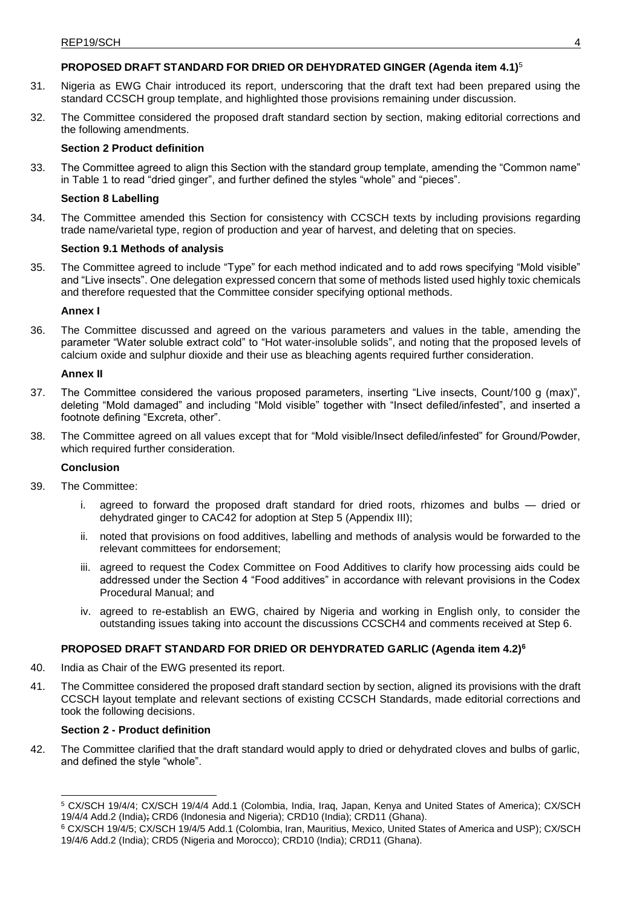## **PROPOSED DRAFT STANDARD FOR DRIED OR DEHYDRATED GINGER (Agenda item 4.1)**<sup>5</sup>

- 31. Nigeria as EWG Chair introduced its report, underscoring that the draft text had been prepared using the standard CCSCH group template, and highlighted those provisions remaining under discussion.
- 32. The Committee considered the proposed draft standard section by section, making editorial corrections and the following amendments.

#### **Section 2 Product definition**

33. The Committee agreed to align this Section with the standard group template, amending the "Common name" in Table 1 to read "dried ginger", and further defined the styles "whole" and "pieces".

#### **Section 8 Labelling**

34. The Committee amended this Section for consistency with CCSCH texts by including provisions regarding trade name/varietal type, region of production and year of harvest, and deleting that on species.

#### **Section 9.1 Methods of analysis**

35. The Committee agreed to include "Type" for each method indicated and to add rows specifying "Mold visible" and "Live insects". One delegation expressed concern that some of methods listed used highly toxic chemicals and therefore requested that the Committee consider specifying optional methods.

#### **Annex I**

36. The Committee discussed and agreed on the various parameters and values in the table, amending the parameter "Water soluble extract cold" to "Hot water-insoluble solids", and noting that the proposed levels of calcium oxide and sulphur dioxide and their use as bleaching agents required further consideration.

#### **Annex II**

- 37. The Committee considered the various proposed parameters, inserting "Live insects, Count/100 g (max)", deleting "Mold damaged" and including "Mold visible" together with "Insect defiled/infested", and inserted a footnote defining "Excreta, other".
- 38. The Committee agreed on all values except that for "Mold visible/Insect defiled/infested" for Ground/Powder, which required further consideration.

#### **Conclusion**

- 39. The Committee:
	- i. agreed to forward the proposed draft standard for dried roots, rhizomes and bulbs dried or dehydrated ginger to CAC42 for adoption at Step 5 (Appendix III);
	- ii. noted that provisions on food additives, labelling and methods of analysis would be forwarded to the relevant committees for endorsement;
	- iii. agreed to request the Codex Committee on Food Additives to clarify how processing aids could be addressed under the Section 4 "Food additives" in accordance with relevant provisions in the Codex Procedural Manual; and
	- iv. agreed to re-establish an EWG, chaired by Nigeria and working in English only, to consider the outstanding issues taking into account the discussions CCSCH4 and comments received at Step 6.

#### **PROPOSED DRAFT STANDARD FOR DRIED OR DEHYDRATED GARLIC (Agenda item 4.2)<sup>6</sup>**

- 40. India as Chair of the EWG presented its report.
- 41. The Committee considered the proposed draft standard section by section, aligned its provisions with the draft CCSCH layout template and relevant sections of existing CCSCH Standards, made editorial corrections and took the following decisions.

#### **Section 2 - Product definition**

42. The Committee clarified that the draft standard would apply to dried or dehydrated cloves and bulbs of garlic, and defined the style "whole".

<sup>5</sup> CX/SCH 19/4/4; CX/SCH 19/4/4 Add.1 (Colombia, India, Iraq, Japan, Kenya and United States of America); CX/SCH 19/4/4 Add.2 (India); CRD6 (Indonesia and Nigeria); CRD10 (India); CRD11 (Ghana).

<sup>6</sup> CX/SCH 19/4/5; CX/SCH 19/4/5 Add.1 (Colombia, Iran, Mauritius, Mexico, United States of America and USP); CX/SCH 19/4/6 Add.2 (India); CRD5 (Nigeria and Morocco); CRD10 (India); CRD11 (Ghana).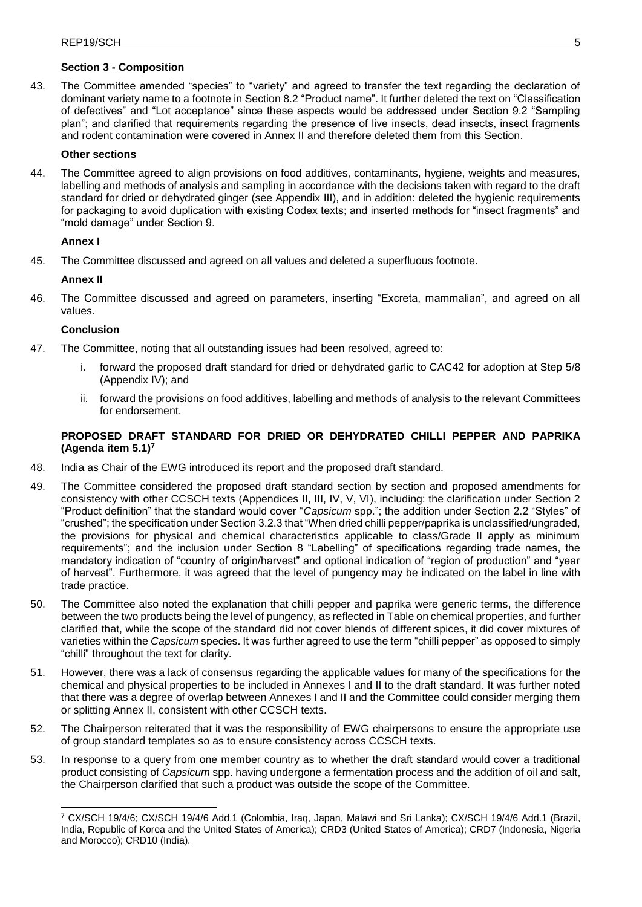#### **Section 3 - Composition**

43. The Committee amended "species" to "variety" and agreed to transfer the text regarding the declaration of dominant variety name to a footnote in Section 8.2 "Product name". It further deleted the text on "Classification of defectives" and "Lot acceptance" since these aspects would be addressed under Section 9.2 "Sampling plan"; and clarified that requirements regarding the presence of live insects, dead insects, insect fragments and rodent contamination were covered in Annex II and therefore deleted them from this Section.

#### **Other sections**

44. The Committee agreed to align provisions on food additives, contaminants, hygiene, weights and measures, labelling and methods of analysis and sampling in accordance with the decisions taken with regard to the draft standard for dried or dehydrated ginger (see Appendix III), and in addition: deleted the hygienic requirements for packaging to avoid duplication with existing Codex texts; and inserted methods for "insect fragments" and "mold damage" under Section 9.

#### **Annex I**

45. The Committee discussed and agreed on all values and deleted a superfluous footnote.

#### **Annex II**

46. The Committee discussed and agreed on parameters, inserting "Excreta, mammalian", and agreed on all values.

#### **Conclusion**

- 47. The Committee, noting that all outstanding issues had been resolved, agreed to:
	- i. forward the proposed draft standard for dried or dehydrated garlic to CAC42 for adoption at Step 5/8 (Appendix IV); and
	- ii. forward the provisions on food additives, labelling and methods of analysis to the relevant Committees for endorsement.

#### **PROPOSED DRAFT STANDARD FOR DRIED OR DEHYDRATED CHILLI PEPPER AND PAPRIKA (Agenda item 5.1)<sup>7</sup>**

- 48. India as Chair of the EWG introduced its report and the proposed draft standard.
- 49. The Committee considered the proposed draft standard section by section and proposed amendments for consistency with other CCSCH texts (Appendices II, III, IV, V, VI), including: the clarification under Section 2 "Product definition" that the standard would cover "*Capsicum* spp."; the addition under Section 2.2 "Styles" of "crushed"; the specification under Section 3.2.3 that "When dried chilli pepper/paprika is unclassified/ungraded, the provisions for physical and chemical characteristics applicable to class/Grade II apply as minimum requirements"; and the inclusion under Section 8 "Labelling" of specifications regarding trade names, the mandatory indication of "country of origin/harvest" and optional indication of "region of production" and "year of harvest". Furthermore, it was agreed that the level of pungency may be indicated on the label in line with trade practice.
- 50. The Committee also noted the explanation that chilli pepper and paprika were generic terms, the difference between the two products being the level of pungency, as reflected in Table on chemical properties, and further clarified that, while the scope of the standard did not cover blends of different spices, it did cover mixtures of varieties within the *Capsicum* species. It was further agreed to use the term "chilli pepper" as opposed to simply "chilli" throughout the text for clarity.
- 51. However, there was a lack of consensus regarding the applicable values for many of the specifications for the chemical and physical properties to be included in Annexes I and II to the draft standard. It was further noted that there was a degree of overlap between Annexes I and II and the Committee could consider merging them or splitting Annex II, consistent with other CCSCH texts.
- 52. The Chairperson reiterated that it was the responsibility of EWG chairpersons to ensure the appropriate use of group standard templates so as to ensure consistency across CCSCH texts.
- 53. In response to a query from one member country as to whether the draft standard would cover a traditional product consisting of *Capsicum* spp. having undergone a fermentation process and the addition of oil and salt, the Chairperson clarified that such a product was outside the scope of the Committee.

<sup>7</sup> CX/SCH 19/4/6; CX/SCH 19/4/6 Add.1 (Colombia, Iraq, Japan, Malawi and Sri Lanka); CX/SCH 19/4/6 Add.1 (Brazil, India, Republic of Korea and the United States of America); CRD3 (United States of America); CRD7 (Indonesia, Nigeria and Morocco); CRD10 (India).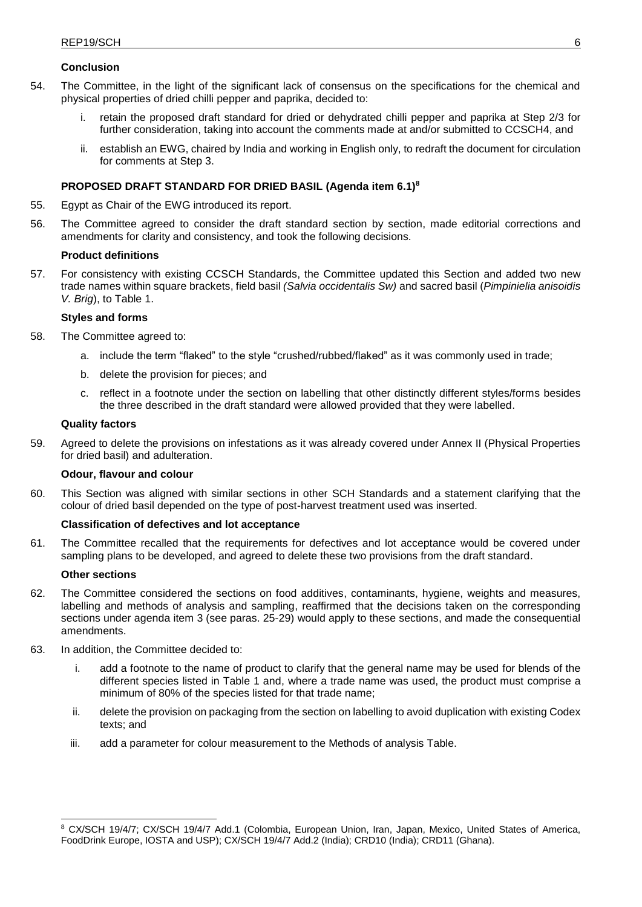#### **Conclusion**

- 54. The Committee, in the light of the significant lack of consensus on the specifications for the chemical and physical properties of dried chilli pepper and paprika, decided to:
	- i. retain the proposed draft standard for dried or dehydrated chilli pepper and paprika at Step 2/3 for further consideration, taking into account the comments made at and/or submitted to CCSCH4, and
	- ii. establish an EWG, chaired by India and working in English only, to redraft the document for circulation for comments at Step 3.

#### **PROPOSED DRAFT STANDARD FOR DRIED BASIL (Agenda item 6.1)<sup>8</sup>**

- 55. Egypt as Chair of the EWG introduced its report.
- 56. The Committee agreed to consider the draft standard section by section, made editorial corrections and amendments for clarity and consistency, and took the following decisions.

#### **Product definitions**

57. For consistency with existing CCSCH Standards, the Committee updated this Section and added two new trade names within square brackets, field basil *(Salvia occidentalis Sw)* and sacred basil (*Pimpinielia anisoidis V. Brig*), to Table 1.

#### **Styles and forms**

- 58. The Committee agreed to:
	- a. include the term "flaked" to the style "crushed/rubbed/flaked" as it was commonly used in trade;
	- b. delete the provision for pieces; and
	- c. reflect in a footnote under the section on labelling that other distinctly different styles/forms besides the three described in the draft standard were allowed provided that they were labelled.

#### **Quality factors**

59. Agreed to delete the provisions on infestations as it was already covered under Annex II (Physical Properties for dried basil) and adulteration.

#### **Odour, flavour and colour**

60. This Section was aligned with similar sections in other SCH Standards and a statement clarifying that the colour of dried basil depended on the type of post-harvest treatment used was inserted.

#### **Classification of defectives and lot acceptance**

61. The Committee recalled that the requirements for defectives and lot acceptance would be covered under sampling plans to be developed, and agreed to delete these two provisions from the draft standard.

#### **Other sections**

- 62. The Committee considered the sections on food additives, contaminants, hygiene, weights and measures, labelling and methods of analysis and sampling, reaffirmed that the decisions taken on the corresponding sections under agenda item 3 (see paras. 25-29) would apply to these sections, and made the consequential amendments.
- 63. In addition, the Committee decided to:
	- i. add a footnote to the name of product to clarify that the general name may be used for blends of the different species listed in Table 1 and, where a trade name was used, the product must comprise a minimum of 80% of the species listed for that trade name;
	- ii. delete the provision on packaging from the section on labelling to avoid duplication with existing Codex texts; and
	- iii. add a parameter for colour measurement to the Methods of analysis Table.

<sup>8</sup> CX/SCH 19/4/7; CX/SCH 19/4/7 Add.1 (Colombia, European Union, Iran, Japan, Mexico, United States of America, FoodDrink Europe, IOSTA and USP); CX/SCH 19/4/7 Add.2 (India); CRD10 (India); CRD11 (Ghana).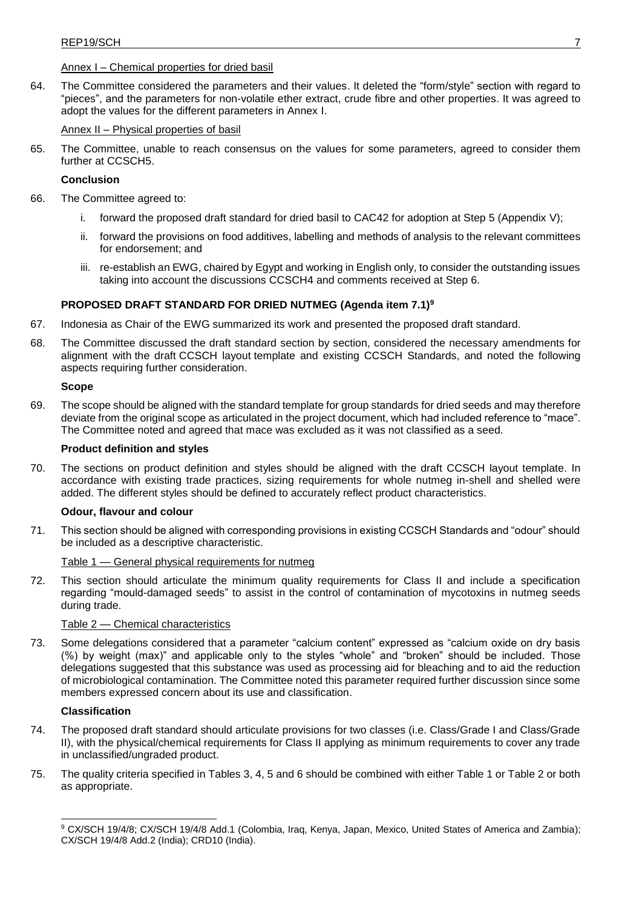#### Annex I – Chemical properties for dried basil

64. The Committee considered the parameters and their values. It deleted the "form/style" section with regard to "pieces", and the parameters for non-volatile ether extract, crude fibre and other properties. It was agreed to adopt the values for the different parameters in Annex I.

#### Annex II – Physical properties of basil

65. The Committee, unable to reach consensus on the values for some parameters, agreed to consider them further at CCSCH5.

#### **Conclusion**

- 66. The Committee agreed to:
	- i. forward the proposed draft standard for dried basil to CAC42 for adoption at Step 5 (Appendix V);
	- ii. forward the provisions on food additives, labelling and methods of analysis to the relevant committees for endorsement; and
	- iii. re-establish an EWG, chaired by Egypt and working in English only, to consider the outstanding issues taking into account the discussions CCSCH4 and comments received at Step 6.

#### **PROPOSED DRAFT STANDARD FOR DRIED NUTMEG (Agenda item 7.1)<sup>9</sup>**

- 67. Indonesia as Chair of the EWG summarized its work and presented the proposed draft standard.
- 68. The Committee discussed the draft standard section by section, considered the necessary amendments for alignment with the draft CCSCH layout template and existing CCSCH Standards, and noted the following aspects requiring further consideration.

#### **Scope**

69. The scope should be aligned with the standard template for group standards for dried seeds and may therefore deviate from the original scope as articulated in the project document, which had included reference to "mace". The Committee noted and agreed that mace was excluded as it was not classified as a seed.

#### **Product definition and styles**

70. The sections on product definition and styles should be aligned with the draft CCSCH layout template. In accordance with existing trade practices, sizing requirements for whole nutmeg in-shell and shelled were added. The different styles should be defined to accurately reflect product characteristics.

#### **Odour, flavour and colour**

71. This section should be aligned with corresponding provisions in existing CCSCH Standards and "odour" should be included as a descriptive characteristic.

#### Table 1 — General physical requirements for nutmeg

72. This section should articulate the minimum quality requirements for Class II and include a specification regarding "mould-damaged seeds" to assist in the control of contamination of mycotoxins in nutmeg seeds during trade.

#### Table 2 — Chemical characteristics

73. Some delegations considered that a parameter "calcium content" expressed as "calcium oxide on dry basis (%) by weight (max)" and applicable only to the styles "whole" and "broken" should be included. Those delegations suggested that this substance was used as processing aid for bleaching and to aid the reduction of microbiological contamination. The Committee noted this parameter required further discussion since some members expressed concern about its use and classification.

#### **Classification**

- 74. The proposed draft standard should articulate provisions for two classes (i.e. Class/Grade I and Class/Grade II), with the physical/chemical requirements for Class II applying as minimum requirements to cover any trade in unclassified/ungraded product.
- 75. The quality criteria specified in Tables 3, 4, 5 and 6 should be combined with either Table 1 or Table 2 or both as appropriate.

<sup>9</sup> CX/SCH 19/4/8; CX/SCH 19/4/8 Add.1 (Colombia, Iraq, Kenya, Japan, Mexico, United States of America and Zambia); CX/SCH 19/4/8 Add.2 (India); CRD10 (India).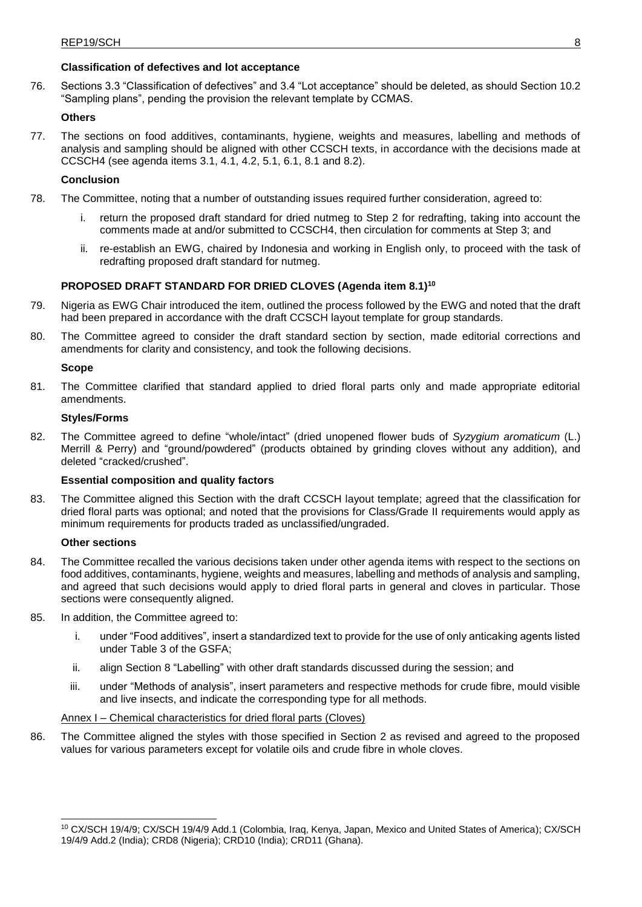## **Classification of defectives and lot acceptance**

76. Sections 3.3 "Classification of defectives" and 3.4 "Lot acceptance" should be deleted, as should Section 10.2 "Sampling plans", pending the provision the relevant template by CCMAS.

#### **Others**

77. The sections on food additives, contaminants, hygiene, weights and measures, labelling and methods of analysis and sampling should be aligned with other CCSCH texts, in accordance with the decisions made at CCSCH4 (see agenda items 3.1, 4.1, 4.2, 5.1, 6.1, 8.1 and 8.2).

#### **Conclusion**

- 78. The Committee, noting that a number of outstanding issues required further consideration, agreed to:
	- return the proposed draft standard for dried nutmeg to Step 2 for redrafting, taking into account the comments made at and/or submitted to CCSCH4, then circulation for comments at Step 3; and
	- ii. re-establish an EWG, chaired by Indonesia and working in English only, to proceed with the task of redrafting proposed draft standard for nutmeg.

#### **PROPOSED DRAFT STANDARD FOR DRIED CLOVES (Agenda item 8.1)<sup>10</sup>**

- 79. Nigeria as EWG Chair introduced the item, outlined the process followed by the EWG and noted that the draft had been prepared in accordance with the draft CCSCH layout template for group standards.
- 80. The Committee agreed to consider the draft standard section by section, made editorial corrections and amendments for clarity and consistency, and took the following decisions.

#### **Scope**

81. The Committee clarified that standard applied to dried floral parts only and made appropriate editorial amendments.

#### **Styles/Forms**

82. The Committee agreed to define "whole/intact" (dried unopened flower buds of *Syzygium aromaticum* (L.) Merrill & Perry) and "ground/powdered" (products obtained by grinding cloves without any addition), and deleted "cracked/crushed".

#### **Essential composition and quality factors**

83. The Committee aligned this Section with the draft CCSCH layout template; agreed that the classification for dried floral parts was optional; and noted that the provisions for Class/Grade II requirements would apply as minimum requirements for products traded as unclassified/ungraded.

#### **Other sections**

- 84. The Committee recalled the various decisions taken under other agenda items with respect to the sections on food additives, contaminants, hygiene, weights and measures, labelling and methods of analysis and sampling, and agreed that such decisions would apply to dried floral parts in general and cloves in particular. Those sections were consequently aligned.
- 85. In addition, the Committee agreed to:
	- i. under "Food additives", insert a standardized text to provide for the use of only anticaking agents listed under Table 3 of the GSFA;
	- ii. align Section 8 "Labelling" with other draft standards discussed during the session; and
	- iii. under "Methods of analysis", insert parameters and respective methods for crude fibre, mould visible and live insects, and indicate the corresponding type for all methods.

#### Annex I – Chemical characteristics for dried floral parts (Cloves)

86. The Committee aligned the styles with those specified in Section 2 as revised and agreed to the proposed values for various parameters except for volatile oils and crude fibre in whole cloves.

<sup>10</sup> CX/SCH 19/4/9; CX/SCH 19/4/9 Add.1 (Colombia, Iraq, Kenya, Japan, Mexico and United States of America); CX/SCH 19/4/9 Add.2 (India); CRD8 (Nigeria); CRD10 (India); CRD11 (Ghana).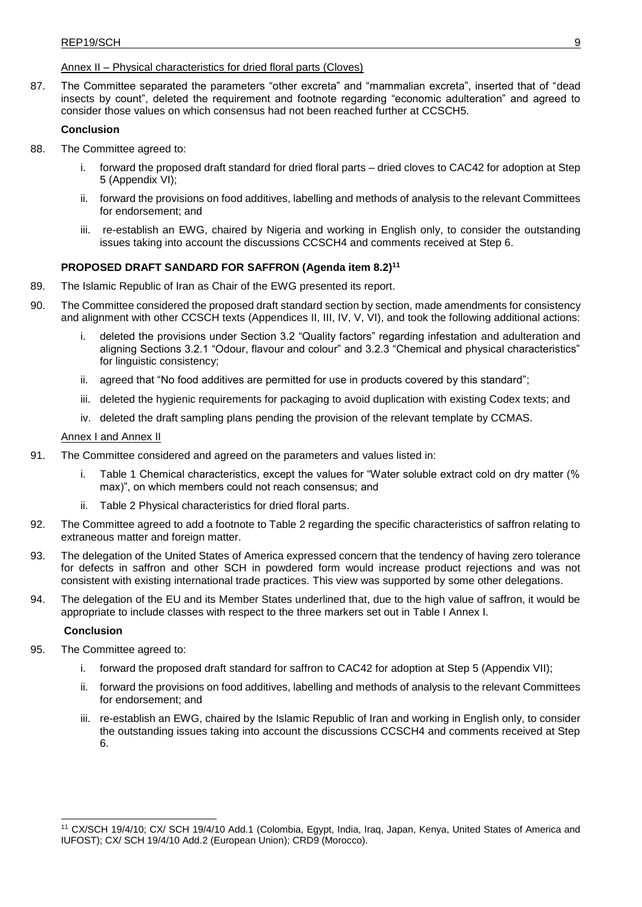#### Annex II – Physical characteristics for dried floral parts (Cloves)

87. The Committee separated the parameters "other excreta" and "mammalian excreta", inserted that of "dead insects by count", deleted the requirement and footnote regarding "economic adulteration" and agreed to consider those values on which consensus had not been reached further at CCSCH5.

#### **Conclusion**

- 88. The Committee agreed to:
	- i. forward the proposed draft standard for dried floral parts dried cloves to CAC42 for adoption at Step 5 (Appendix VI);
	- ii. forward the provisions on food additives, labelling and methods of analysis to the relevant Committees for endorsement; and
	- iii. re-establish an EWG, chaired by Nigeria and working in English only, to consider the outstanding issues taking into account the discussions CCSCH4 and comments received at Step 6.

#### **PROPOSED DRAFT SANDARD FOR SAFFRON (Agenda item 8.2)<sup>11</sup>**

- 89. The Islamic Republic of Iran as Chair of the EWG presented its report.
- 90. The Committee considered the proposed draft standard section by section, made amendments for consistency and alignment with other CCSCH texts (Appendices II, III, IV, V, VI), and took the following additional actions:
	- i. deleted the provisions under Section 3.2 "Quality factors" regarding infestation and adulteration and aligning Sections 3.2.1 "Odour, flavour and colour" and 3.2.3 "Chemical and physical characteristics" for linguistic consistency;
	- ii. agreed that "No food additives are permitted for use in products covered by this standard";
	- iii. deleted the hygienic requirements for packaging to avoid duplication with existing Codex texts; and
	- iv. deleted the draft sampling plans pending the provision of the relevant template by CCMAS.

#### Annex I and Annex II

- 91. The Committee considered and agreed on the parameters and values listed in:
	- Table 1 Chemical characteristics, except the values for "Water soluble extract cold on dry matter (%) max)", on which members could not reach consensus; and
	- ii. Table 2 Physical characteristics for dried floral parts.
- 92. The Committee agreed to add a footnote to Table 2 regarding the specific characteristics of saffron relating to extraneous matter and foreign matter.
- 93. The delegation of the United States of America expressed concern that the tendency of having zero tolerance for defects in saffron and other SCH in powdered form would increase product rejections and was not consistent with existing international trade practices. This view was supported by some other delegations.
- 94. The delegation of the EU and its Member States underlined that, due to the high value of saffron, it would be appropriate to include classes with respect to the three markers set out in Table I Annex I.

#### **Conclusion**

- 95. The Committee agreed to:
	- i. forward the proposed draft standard for saffron to CAC42 for adoption at Step 5 (Appendix VII);
	- ii. forward the provisions on food additives, labelling and methods of analysis to the relevant Committees for endorsement; and
	- iii. re-establish an EWG, chaired by the Islamic Republic of Iran and working in English only, to consider the outstanding issues taking into account the discussions CCSCH4 and comments received at Step 6.

<sup>11</sup> CX/SCH 19/4/10; CX/ SCH 19/4/10 Add.1 (Colombia, Egypt, India, Iraq, Japan, Kenya, United States of America and IUFOST); CX/ SCH 19/4/10 Add.2 (European Union); CRD9 (Morocco).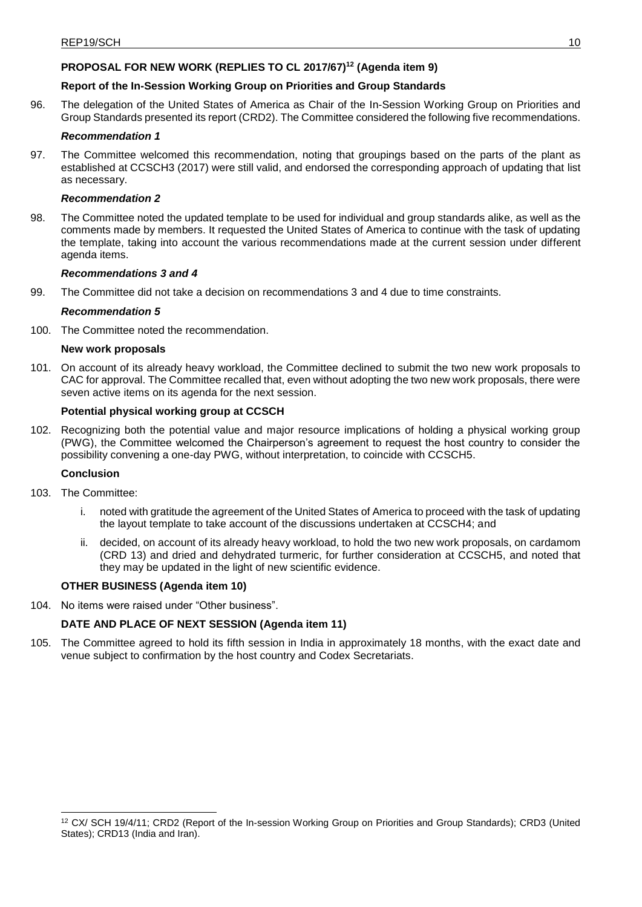## **PROPOSAL FOR NEW WORK (REPLIES TO CL 2017/67)<sup>12</sup> (Agenda item 9)**

#### **Report of the In-Session Working Group on Priorities and Group Standards**

96. The delegation of the United States of America as Chair of the In-Session Working Group on Priorities and Group Standards presented its report (CRD2). The Committee considered the following five recommendations.

#### *Recommendation 1*

97. The Committee welcomed this recommendation, noting that groupings based on the parts of the plant as established at CCSCH3 (2017) were still valid, and endorsed the corresponding approach of updating that list as necessary.

#### *Recommendation 2*

98. The Committee noted the updated template to be used for individual and group standards alike, as well as the comments made by members. It requested the United States of America to continue with the task of updating the template, taking into account the various recommendations made at the current session under different agenda items.

#### *Recommendations 3 and 4*

99. The Committee did not take a decision on recommendations 3 and 4 due to time constraints.

#### *Recommendation 5*

100. The Committee noted the recommendation.

#### **New work proposals**

101. On account of its already heavy workload, the Committee declined to submit the two new work proposals to CAC for approval. The Committee recalled that, even without adopting the two new work proposals, there were seven active items on its agenda for the next session.

#### **Potential physical working group at CCSCH**

102. Recognizing both the potential value and major resource implications of holding a physical working group (PWG), the Committee welcomed the Chairperson's agreement to request the host country to consider the possibility convening a one-day PWG, without interpretation, to coincide with CCSCH5.

#### **Conclusion**

- 103. The Committee:
	- i. noted with gratitude the agreement of the United States of America to proceed with the task of updating the layout template to take account of the discussions undertaken at CCSCH4; and
	- ii. decided, on account of its already heavy workload, to hold the two new work proposals, on cardamom (CRD 13) and dried and dehydrated turmeric, for further consideration at CCSCH5, and noted that they may be updated in the light of new scientific evidence.

#### **OTHER BUSINESS (Agenda item 10)**

104. No items were raised under "Other business".

#### **DATE AND PLACE OF NEXT SESSION (Agenda item 11)**

105. The Committee agreed to hold its fifth session in India in approximately 18 months, with the exact date and venue subject to confirmation by the host country and Codex Secretariats.

<sup>12</sup> CX/ SCH 19/4/11; CRD2 (Report of the In-session Working Group on Priorities and Group Standards); CRD3 (United States); CRD13 (India and Iran).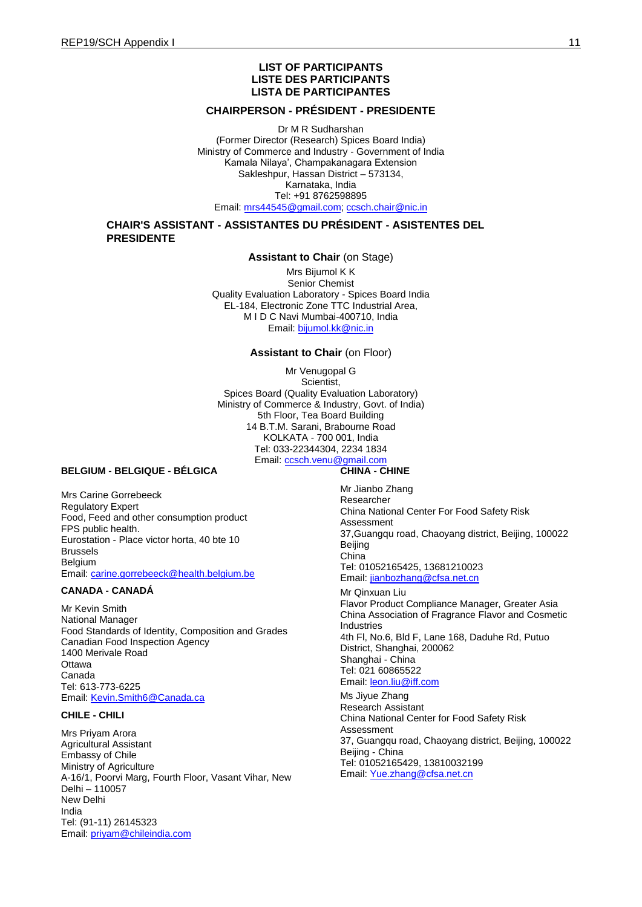#### **LIST OF PARTICIPANTS LISTE DES PARTICIPANTS LISTA DE PARTICIPANTES**

#### **CHAIRPERSON - PRÉSIDENT - PRESIDENTE**

Dr M R Sudharshan (Former Director (Research) Spices Board India) Ministry of Commerce and Industry - Government of India Kamala Nilaya', Champakanagara Extension Sakleshpur, Hassan District – 573134, Karnataka, India Tel: +91 8762598895 Email: [mrs44545@gmail.com;](mailto:mrs44545@gmail.com) [ccsch.chair@nic.in](mailto:ccsch.chair@nic.in)

#### **CHAIR'S ASSISTANT - ASSISTANTES DU PRÉSIDENT - ASISTENTES DEL PRESIDENTE**

#### **Assistant to Chair** (on Stage)

Mrs Bijumol K K Senior Chemist Quality Evaluation Laboratory - Spices Board India EL-184, Electronic Zone TTC Industrial Area, M I D C Na[vi Mumbai-400710,](mailto:bijumol.kk@nic.in) India Email: bijumol.kk@nic.in

#### **Assistant to Chair** (on Floor)

Mr Venugopal G Scientist, Spices Board (Quality Evaluation Laboratory) Ministry of Commerce & Industry, Govt. of India) 5th Floor, Tea Board Building 14 B.T.M. Sarani, Brabourne Road KOLKATA - 700 001, India Tel: 033-22344304, 2234 1834 Email: ccsch.venu@gmail.com

#### **BELGIUM - BELGIQUE - BÉLGICA**

Mrs Carine Gorrebeeck Regulatory Expert Food, Feed and other consumption product FPS public health. Eurostation - Place victor horta, 40 bte 10 Brussels Belgium Email: [carine.gorrebeeck@health.belgium.be](mailto:carine.gorrebeeck@health.belgium.be)

#### **CANADA - CANADÁ**

Mr Kevin Smith National Manager Food Standards of Identity, Composition and Grades Canadian Food Inspection Agency 1400 Merivale Road **Ottawa** Canada Tel: 613-773-6225 Email: [Kevin.Smith6@Canada.ca](mailto:Kevin.Smith6@Canada.ca)

#### **CHILE - CHILI**

Mrs Priyam Arora Agricultural Assistant Embassy of Chile Ministry of Agriculture A-16/1, Poorvi Marg, Fourth Floor, Vasant Vihar, New Delhi – 110057 New Delhi India Tel: (91-11) 26145323 Email: [priyam@chileindia.com](mailto:priyam@chileindia.com)

#### **CHINA - CHINE**

Mr Jianbo Zhang Researcher China National Center For Food Safety Risk Assessment 37,Guangqu road, Chaoyang district, Beijing, 100022 Beijing China Tel: 01052165425, 13681210023 Email: [jianbozhang@cfsa.net.cn](mailto:jianbozhang@cfsa.net.cn)

Mr Qinxuan Liu Flavor Product Compliance Manager, Greater Asia China Association of Fragrance Flavor and Cosmetic Industries 4th Fl, No.6, Bld F, Lane 168, Daduhe Rd, Putuo District, Shanghai, 200062 Shanghai - China Tel: 021 60865522 Email: **leon.liu@iff.com** 

Ms Jiyue Zhang Research Assistant China National Center for Food Safety Risk Assessment 37, Guangqu road, Chaoyang district, Beijing, 100022 Beijing - China Tel: 01052165429, 13810032199 Email: [Yue.zhang@cfsa.net.cn](mailto:Yue.zhang@cfsa.net.cn)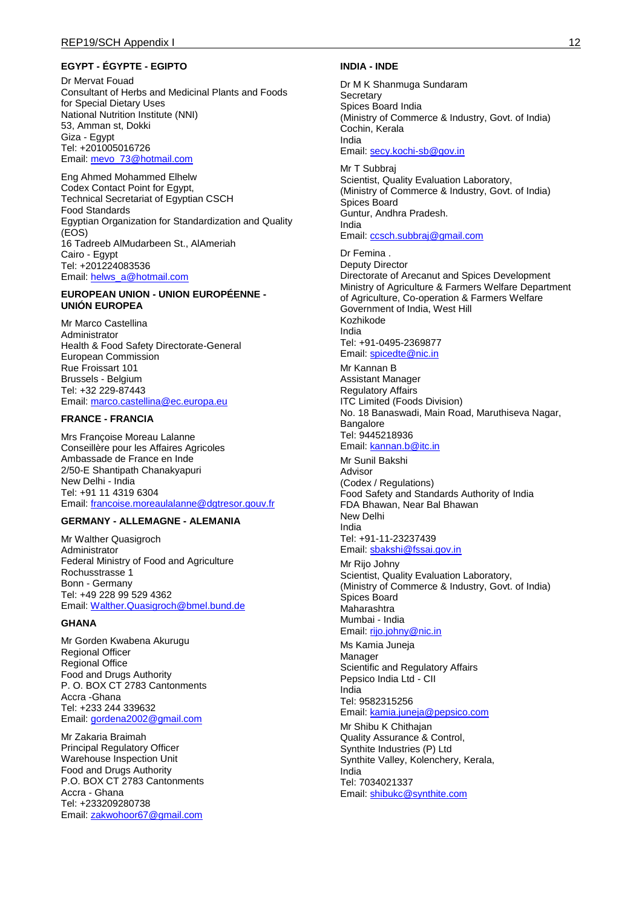#### **EGYPT - ÉGYPTE - EGIPTO**

Dr Mervat Fouad Consultant of Herbs and Medicinal Plants and Foods for Special Dietary Uses National Nutrition Institute (NNI) 53, Amman st, Dokki Giza - Egypt Tel: +201005016726 Email: [mevo\\_73@hotmail.com](mailto:mevo_73@hotmail.com)

Eng Ahmed Mohammed Elhelw Codex Contact Point for Egypt, Technical Secretariat of Egyptian CSCH Food Standards Egyptian Organization for Standardization and Quality (EOS) 16 Tadreeb AlMudarbeen St., AlAmeriah Cairo - Egypt Tel: +201224083536 Email: [helws\\_a@hotmail.com](mailto:helws_a@hotmail.com)

#### **EUROPEAN UNION - UNION EUROPÉENNE - UNIÓN EUROPEA**

Mr Marco Castellina Administrator Health & Food Safety Directorate-General European Commission Rue Froissart 101 Brussels - Belgium Tel: +32 229-87443 Email: [marco.castellina@ec.europa.eu](mailto:marco.castellina@ec.europa.eu)

#### **FRANCE - FRANCIA**

Mrs Françoise Moreau Lalanne Conseillère pour les Affaires Agricoles Ambassade de France en Inde 2/50-E Shantipath Chanakyapuri New Delhi - India Tel: +91 11 4319 6304 Email: [francoise.moreaulalanne@dgtresor.gouv.fr](mailto:francoise.moreaulalanne@dgtresor.gouv.fr)

#### **GERMANY - ALLEMAGNE - ALEMANIA**

Mr Walther Quasigroch Administrator Federal Ministry of Food and Agriculture Rochusstrasse 1 Bonn - Germany Tel: +49 228 99 529 4362 Email: [Walther.Quasigroch@bmel.bund.de](mailto:Walther.Quasigroch@bmel.bund.de)

#### **GHANA**

Mr Gorden Kwabena Akurugu Regional Officer Regional Office Food and Drugs Authority P. O. BOX CT 2783 Cantonments Accra -Ghana Tel: +233 244 339632 Email: [gordena2002@gmail.com](mailto:gordena2002@gmail.com)

Mr Zakaria Braimah Principal Regulatory Officer Warehouse Inspection Unit Food and Drugs Authority P.O. BOX CT 2783 Cantonments Accra - Ghana Tel: +233209280738 Email: [zakwohoor67@gmail.com](mailto:zakwohoor67@gmail.com)

#### **INDIA - INDE**

Dr M K Shanmuga Sundaram **Secretary** Spices Board India (Ministry of Commerce & Industry, Govt. of India) Cochin, Kerala India Email: [secy.kochi-sb@gov.in](mailto:secy.kochi-sb@gov.in)

Mr T Subbraj Scientist, Quality Evaluation Laboratory, (Ministry of Commerce & Industry, Govt. of India) Spices Board Guntur, Andhra Pradesh. India Email: [ccsch.subbraj@gmail.com](mailto:ccsch.subbraj@gmail.com)

#### Dr Femina .

Deputy Director Directorate of Arecanut and Spices Development Ministry of Agriculture & Farmers Welfare Department of Agriculture, Co-operation & Farmers Welfare Government of India, West Hill Kozhikode India Tel: +91-0495-2369877 Email: [spicedte@nic.in](mailto:spicedte@nic.in)

Mr Kannan B Assistant Manager Regulatory Affairs ITC Limited (Foods Division) No. 18 Banaswadi, Main Road, Maruthiseva Nagar, **Bangalore** Tel: 9445218936 Email: [kannan.b@itc.in](mailto:kannan.b@itc.in)

Mr Sunil Bakshi Advisor (Codex / Regulations) Food Safety and Standards Authority of India FDA Bhawan, Near Bal Bhawan New Delhi India Tel: +91-11-23237439 Email: [sbakshi@fssai.gov.in](mailto:sbakshi@fssai.gov.in)

Mr Rijo Johny

Scientist, Quality Evaluation Laboratory, (Ministry of Commerce & Industry, Govt. of India) Spices Board Maharashtra Mumbai - India Email: [rijo.johny@nic.in](mailto:rijo.johny@nic.in)

Ms Kamia Juneja Manager Scientific and Regulatory Affairs Pepsico India Ltd - CII India Tel: 9582315256 Email: [kamia.juneja@pepsico.com](mailto:kamia.juneja@pepsico.com)

Mr Shibu K Chithajan Quality Assurance & Control, Synthite Industries (P) Ltd Synthite Valley, Kolenchery, Kerala, India Tel: 7034021337 Email: [shibukc@synthite.com](mailto:shibukc@synthite.com)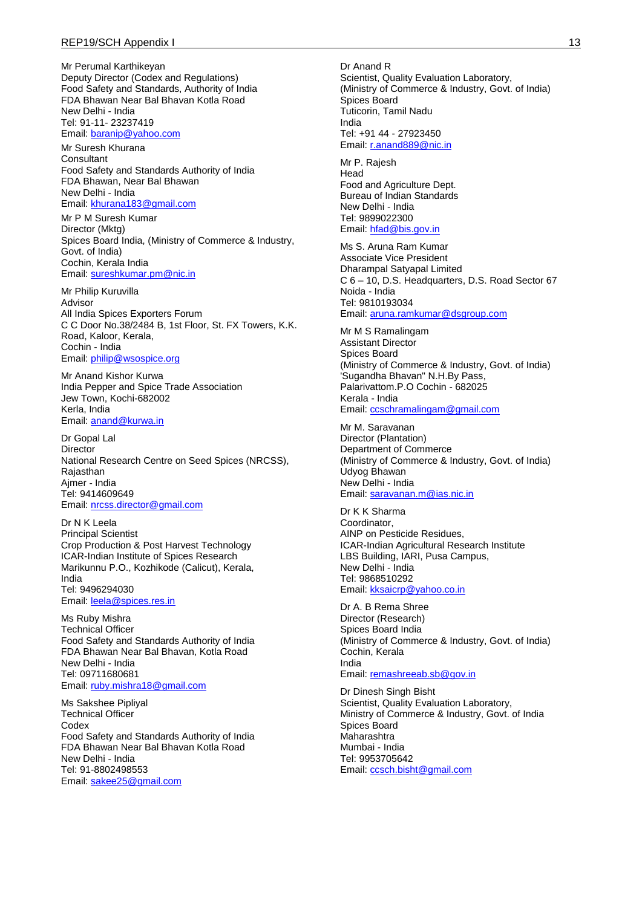Mr Perumal Karthikeyan Deputy Director (Codex and Regulations) Food Safety and Standards, Authority of India FDA Bhawan Near Bal Bhavan Kotla Road New Delhi - India Tel: 91-11- 23237419 Email: [baranip@yahoo.com](mailto:baranip@yahoo.com)

Mr Suresh Khurana **Consultant** Food Safety and Standards Authority of India FDA Bhawan, Near Bal Bhawan New Delhi - India Email: [khurana183@gmail.com](mailto:khurana183@gmail.com)

Mr P M Suresh Kumar Director (Mktg) Spices Board India, (Ministry of Commerce & Industry, Govt. of India) Cochin, Kerala India Email: [sureshkumar.pm@nic.in](mailto:sureshkumar.pm@nic.in)

Mr Philip Kuruvilla Advisor All India Spices Exporters Forum C C Door No.38/2484 B, 1st Floor, St. FX Towers, K.K. Road, Kaloor, Kerala, Cochin - India Email: [philip@wsospice.org](mailto:philip@wsospice.org)

Mr Anand Kishor Kurwa India Pepper and Spice Trade Association Jew Town, Kochi-682002 Kerla, India Email: [anand@kurwa.in](mailto:anand@kurwa.in)

Dr Gopal Lal **Director** National Research Centre on Seed Spices (NRCSS), **Rajasthan** Ajmer - India Tel: 9414609649 Email: [nrcss.director@gmail.com](mailto:nrcss.director@gmail.com)

Dr N K Leela Principal Scientist Crop Production & Post Harvest Technology ICAR-Indian Institute of Spices Research Marikunnu P.O., Kozhikode (Calicut), Kerala, India Tel: 9496294030 Email: [leela@spices.res.in](mailto:leela@spices.res.in)

Ms Ruby Mishra Technical Officer Food Safety and Standards Authority of India FDA Bhawan Near Bal Bhavan, Kotla Road New Delhi - India Tel: 09711680681 Email: [ruby.mishra18@gmail.com](mailto:ruby.mishra18@gmail.com)

Ms Sakshee Pipliyal Technical Officer **Codex** Food Safety and Standards Authority of India FDA Bhawan Near Bal Bhavan Kotla Road New Delhi - India Tel: 91-8802498553 Email: [sakee25@gmail.com](mailto:sakee25@gmail.com)

Mr P. Rajesh Head Food and Agriculture Dept. Bureau of Indian Standards New Delhi - India Tel: 9899022300 Email: [hfad@bis.gov.in](mailto:hfad@bis.gov.in)

Ms S. Aruna Ram Kumar Associate Vice President Dharampal Satyapal Limited C 6 – 10, D.S. Headquarters, D.S. Road Sector 67 Noida - India Tel: 9810193034 Email: [aruna.ramkumar@dsgroup.com](mailto:aruna.ramkumar@dsgroup.com)

Mr M S Ramalingam Assistant Director Spices Board (Ministry of Commerce & Industry, Govt. of India) 'Sugandha Bhavan" N.H.By Pass, Palarivattom.P.O Cochin - 682025 Kerala - India Email: [ccschramalingam@gmail.com](mailto:ccschramalingam@gmail.com)

Mr M. Saravanan Director (Plantation) Department of Commerce (Ministry of Commerce & Industry, Govt. of India) Udyog Bhawan New Delhi - India Email: [saravanan.m@ias.nic.in](mailto:saravanan.m@ias.nic.in)

Dr K K Sharma Coordinator, AINP on Pesticide Residues, ICAR-Indian Agricultural Research Institute LBS Building, IARI, Pusa Campus, New Delhi - India Tel: 9868510292 Email: [kksaicrp@yahoo.co.in](mailto:kksaicrp@yahoo.co.in)

Dr A. B Rema Shree Director (Research) Spices Board India (Ministry of Commerce & Industry, Govt. of India) Cochin, Kerala India Email: [remashreeab.sb@gov.in](mailto:remashreeab.sb@gov.in)

Dr Dinesh Singh Bisht Scientist, Quality Evaluation Laboratory, Ministry of Commerce & Industry, Govt. of India Spices Board Maharashtra Mumbai - India Tel: 9953705642 Email: [ccsch.bisht@gmail.com](mailto:ccsch.bisht@gmail.com)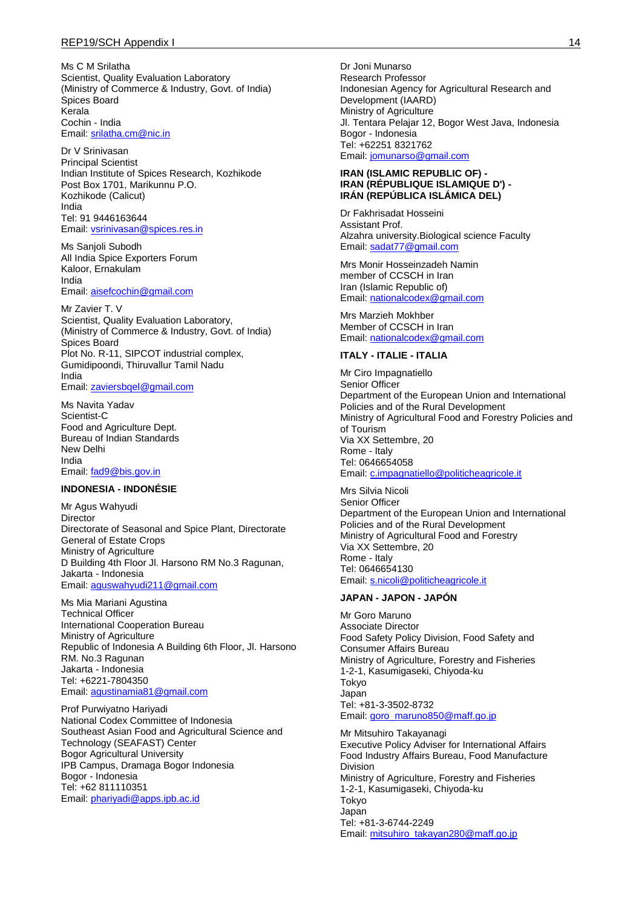Ms C M Srilatha Scientist, Quality Evaluation Laboratory (Ministry of Commerce & Industry, Govt. of India) Spices Board Kerala Cochin - India Email: [srilatha.cm@nic.in](mailto:srilatha.cm@nic.in)

Dr V Srinivasan Principal Scientist Indian Institute of Spices Research, Kozhikode Post Box 1701, Marikunnu P.O. Kozhikode (Calicut) India Tel: 91 9446163644 Email: [vsrinivasan@spices.res.in](mailto:vsrinivasan@spices.res.in)

Ms Sanjoli Subodh All India Spice Exporters Forum Kaloor, Ernakulam India Email: [aisefcochin@gmail.com](mailto:aisefcochin@gmail.com)

Mr Zavier T. V Scientist, Quality Evaluation Laboratory, (Ministry of Commerce & Industry, Govt. of India) Spices Board Plot No. R-11, SIPCOT industrial complex, Gumidipoondi, Thiruvallur Tamil Nadu India Email: [zaviersbqel@gmail.com](mailto:zaviersbqel@gmail.com)

Ms Navita Yadav Scientist-C Food and Agriculture Dept. Bureau of Indian Standards New Delhi India Email: [fad9@bis.gov.in](mailto:fad9@bis.gov.in)

#### **INDONESIA - INDONÉSIE**

Mr Agus Wahyudi Director Directorate of Seasonal and Spice Plant, Directorate General of Estate Crops Ministry of Agriculture D Building 4th Floor Jl. Harsono RM No.3 Ragunan, Jakarta - Indonesia Email: [aguswahyudi211@gmail.com](mailto:aguswahyudi211@gmail.com)

Ms Mia Mariani Agustina Technical Officer International Cooperation Bureau Ministry of Agriculture Republic of Indonesia A Building 6th Floor, Jl. Harsono RM. No.3 Ragunan Jakarta - Indonesia Tel: +6221-7804350 Email: [agustinamia81@gmail.com](mailto:agustinamia81@gmail.com)

Prof Purwiyatno Hariyadi National Codex Committee of Indonesia Southeast Asian Food and Agricultural Science and Technology (SEAFAST) Center Bogor Agricultural University IPB Campus, Dramaga Bogor Indonesia Bogor - Indonesia Tel: +62 811110351 Email: [phariyadi@apps.ipb.ac.id](mailto:phariyadi@apps.ipb.ac.id)

Dr Joni Munarso Research Professor Indonesian Agency for Agricultural Research and Development (IAARD) Ministry of Agriculture Jl. Tentara Pelajar 12, Bogor West Java, Indonesia Bogor - Indonesia Tel: +62251 8321762 Email: [jomunarso@gmail.com](mailto:jomunarso@gmail.com)

#### **IRAN (ISLAMIC REPUBLIC OF) - IRAN (RÉPUBLIQUE ISLAMIQUE D') - IRÁN (REPÚBLICA ISLÁMICA DEL)**

Dr Fakhrisadat Hosseini Assistant Prof. Alzahra university.Biological science Faculty Email: [sadat77@gmail.com](mailto:sadat77@gmail.com)

Mrs Monir Hosseinzadeh Namin member of CCSCH in Iran Iran (Islamic Republic of) Email: [nationalcodex@gmail.com](mailto:nationalcodex@gmail.com)

Mrs Marzieh Mokhber Member of CCSCH in Iran Email: [nationalcodex@gmail.com](mailto:nationalcodex@gmail.com)

#### **ITALY - ITALIE - ITALIA**

Mr Ciro Impagnatiello Senior Officer Department of the European Union and International Policies and of the Rural Development Ministry of Agricultural Food and Forestry Policies and of Tourism Via XX Settembre, 20 Rome - Italy Tel: 0646654058 Email: [c.impagnatiello@politicheagricole.it](mailto:c.impagnatiello@politicheagricole.it)

Mrs Silvia Nicoli Senior Officer Department of the European Union and International Policies and of the Rural Development Ministry of Agricultural Food and Forestry Via XX Settembre, 20 Rome - Italy Tel: 0646654130 Email: [s.nicoli@politicheagricole.it](mailto:s.nicoli@politicheagricole.it)

#### **JAPAN - JAPON - JAPÓN**

Mr Goro Maruno Associate Director Food Safety Policy Division, Food Safety and Consumer Affairs Bureau Ministry of Agriculture, Forestry and Fisheries 1-2-1, Kasumigaseki, Chiyoda-ku Tokyo Japan Tel: +81-3-3502-8732 Email: [goro\\_maruno850@maff.go.jp](mailto:goro_maruno850@maff.go.jp)

Mr Mitsuhiro Takayanagi Executive Policy Adviser for International Affairs Food Industry Affairs Bureau, Food Manufacture Division Ministry of Agriculture, Forestry and Fisheries 1-2-1, Kasumigaseki, Chiyoda-ku Tokyo Japan Tel: +81-3-6744-2249 Email: [mitsuhiro\\_takayan280@maff.go.jp](mailto:mitsuhiro_takayan280@maff.go.jp)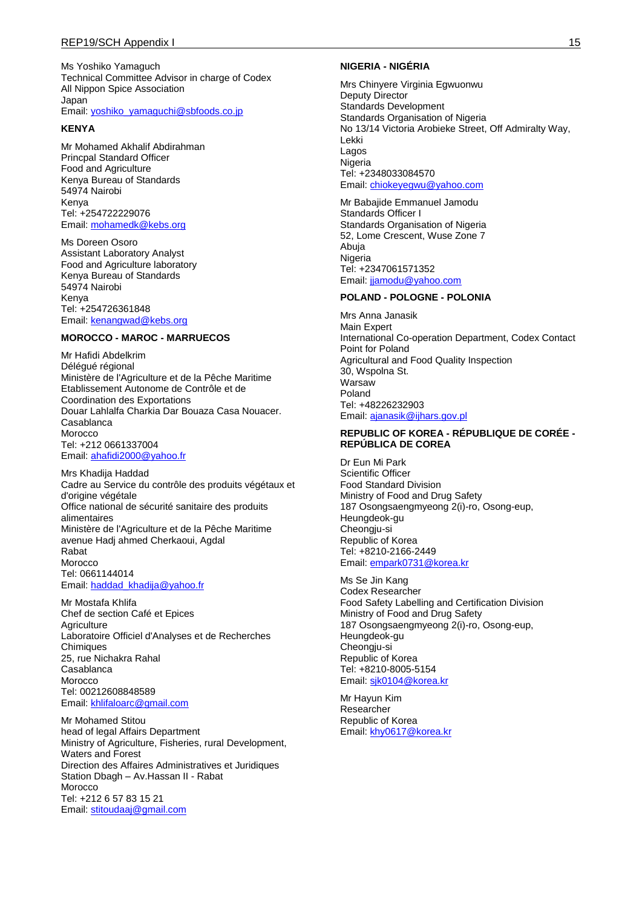Ms Yoshiko Yamaguch Technical Committee Advisor in charge of Codex All Nippon Spice Association Japan Email: [yoshiko\\_yamaguchi@sbfoods.co.jp](mailto:yoshiko_yamaguchi@sbfoods.co.jp)

#### **KENYA**

Mr Mohamed Akhalif Abdirahman Princpal Standard Officer Food and Agriculture Kenya Bureau of Standards 54974 Nairobi Kenya Tel: +254722229076 Email: [mohamedk@kebs.org](mailto:mohamedk@kebs.org)

Ms Doreen Osoro Assistant Laboratory Analyst Food and Agriculture laboratory Kenya Bureau of Standards 54974 Nairobi Kenya Tel: +254726361848 Email: [kenangwad@kebs.org](mailto:kenangwad@kebs.org)

#### **MOROCCO - MAROC - MARRUECOS**

Mr Hafidi Abdelkrim Délégué régional Ministère de l'Agriculture et de la Pêche Maritime Etablissement Autonome de Contrôle et de Coordination des Exportations Douar Lahlalfa Charkia Dar Bouaza Casa Nouacer. Casablanca Morocco Tel: +212 0661337004 Email: [ahafidi2000@yahoo.fr](mailto:ahafidi2000@yahoo.fr)

Mrs Khadija Haddad Cadre au Service du contrôle des produits végétaux et d'origine végétale Office national de sécurité sanitaire des produits alimentaires Ministère de l'Agriculture et de la Pêche Maritime avenue Hadj ahmed Cherkaoui, Agdal Rabat Morocco Tel: 0661144014 Email: [haddad\\_khadija@yahoo.fr](mailto:haddad_khadija@yahoo.fr)

Mr Mostafa Khlifa Chef de section Café et Epices **Agriculture** Laboratoire Officiel d'Analyses et de Recherches **Chimiques** 25, rue Nichakra Rahal Casablanca Morocco Tel: 00212608848589 Email: [khlifaloarc@gmail.com](mailto:khlifaloarc@gmail.com)

Mr Mohamed Stitou head of legal Affairs Department Ministry of Agriculture, Fisheries, rural Development, Waters and Forest Direction des Affaires Administratives et Juridiques Station Dbagh – Av.Hassan II - Rabat Morocco Tel: +212 6 57 83 15 21 Email: [stitoudaaj@gmail.com](mailto:stitoudaaj@gmail.com)

#### **NIGERIA - NIGÉRIA**

Mrs Chinyere Virginia Egwuonwu Deputy Director Standards Development Standards Organisation of Nigeria No 13/14 Victoria Arobieke Street, Off Admiralty Way, Lekki Lagos Nigeria Tel: +2348033084570 Email: [chiokeyegwu@yahoo.com](mailto:chiokeyegwu@yahoo.com)

Mr Babajide Emmanuel Jamodu Standards Officer I Standards Organisation of Nigeria 52, Lome Crescent, Wuse Zone 7 Abuja **Nigeria** Tel: +2347061571352 Email: jiamodu@yahoo.com

#### **POLAND - POLOGNE - POLONIA**

Mrs Anna Janasik Main Expert International Co-operation Department, Codex Contact Point for Poland Agricultural and Food Quality Inspection 30, Wspolna St. Warsaw Poland Tel: +48226232903 Email: [ajanasik@ijhars.gov.pl](mailto:ajanasik@ijhars.gov.pl)

#### **REPUBLIC OF KOREA - RÉPUBLIQUE DE CORÉE - REPÚBLICA DE COREA**

Dr Eun Mi Park Scientific Officer Food Standard Division Ministry of Food and Drug Safety 187 Osongsaengmyeong 2(i)-ro, Osong-eup, Heungdeok-gu Cheongiu-si Republic of Korea Tel: +8210-2166-2449 Email: [empark0731@korea.kr](mailto:empark0731@korea.kr)

Ms Se Jin Kang Codex Researcher Food Safety Labelling and Certification Division Ministry of Food and Drug Safety 187 Osongsaengmyeong 2(i)-ro, Osong-eup, Heungdeok-gu Cheongiu-si Republic of Korea Tel: +8210-8005-5154 Email: [sjk0104@korea.kr](mailto:sjk0104@korea.kr)

Mr Hayun Kim Researcher Republic of Korea Email: [khy0617@korea.kr](mailto:khy0617@korea.kr)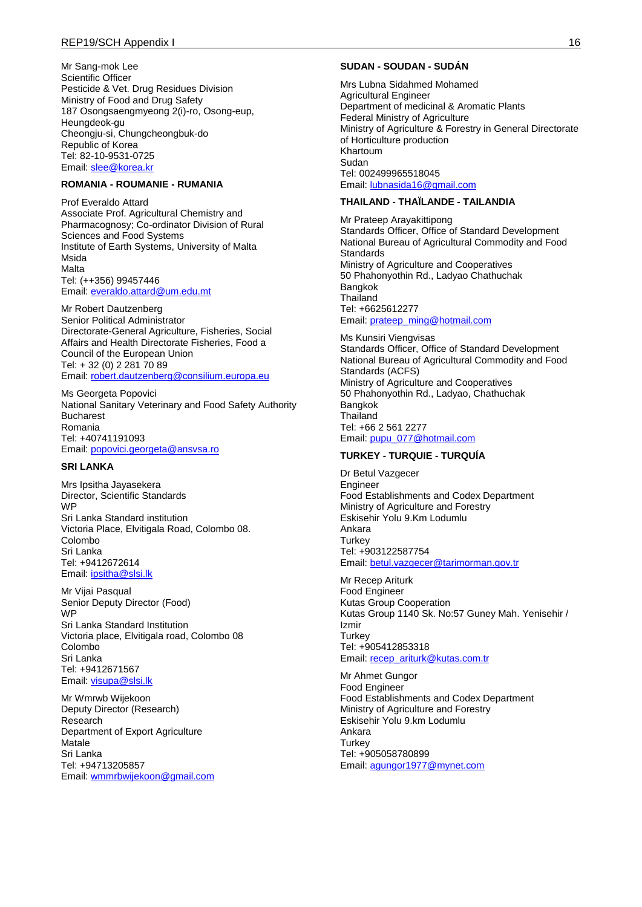#### REP19/SCH Appendix I 16

Mr Sang-mok Lee Scientific Officer Pesticide & Vet. Drug Residues Division Ministry of Food and Drug Safety 187 Osongsaengmyeong 2(i)-ro, Osong-eup, Heungdeok-gu Cheongju-si, Chungcheongbuk-do Republic of Korea Tel: 82-10-9531-0725 Email: [slee@korea.kr](mailto:slee@korea.kr)

#### **ROMANIA - ROUMANIE - RUMANIA**

Prof Everaldo Attard Associate Prof. Agricultural Chemistry and Pharmacognosy; Co-ordinator Division of Rural Sciences and Food Systems Institute of Earth Systems, University of Malta Msida Malta Tel: (++356) 99457446 Email: [everaldo.attard@um.edu.mt](mailto:everaldo.attard@um.edu.mt)

Mr Robert Dautzenberg Senior Political Administrator Directorate-General Agriculture, Fisheries, Social Affairs and Health Directorate Fisheries, Food a Council of the European Union Tel: + 32 (0) 2 281 70 89 Email: [robert.dautzenberg@consilium.europa.eu](mailto:robert.dautzenberg@consilium.europa.eu)

Ms Georgeta Popovici National Sanitary Veterinary and Food Safety Authority Bucharest Romania Tel: +40741191093 Email: [popovici.georgeta@ansvsa.ro](mailto:popovici.georgeta@ansvsa.ro)

#### **SRI LANKA**

Mrs Ipsitha Jayasekera Director, Scientific Standards WP Sri Lanka Standard institution Victoria Place, Elvitigala Road, Colombo 08. Colombo Sri Lanka Tel: +9412672614 Email: [ipsitha@slsi.lk](mailto:ipsitha@slsi.lk)

Mr Vijai Pasqual Senior Deputy Director (Food) WP Sri Lanka Standard Institution Victoria place, Elvitigala road, Colombo 08 Colombo Sri Lanka Tel: +9412671567 Email: [visupa@slsi.lk](mailto:visupa@slsi.lk)

Mr Wmrwb Wijekoon Deputy Director (Research) Research Department of Export Agriculture Matale Sri Lanka Tel: +94713205857 Email: [wmmrbwijekoon@gmail.com](mailto:wmmrbwijekoon@gmail.com)

#### **SUDAN - SOUDAN - SUDÁN**

Mrs Lubna Sidahmed Mohamed Agricultural Engineer Department of medicinal & Aromatic Plants Federal Ministry of Agriculture Ministry of Agriculture & Forestry in General Directorate of Horticulture production Khartoum Sudan Tel: 002499965518045 Email: [lubnasida16@gmail.com](mailto:lubnasida16@gmail.com)

#### **THAILAND - THAÏLANDE - TAILANDIA**

Mr Prateep Arayakittipong Standards Officer, Office of Standard Development National Bureau of Agricultural Commodity and Food **Standards** Ministry of Agriculture and Cooperatives 50 Phahonyothin Rd., Ladyao Chathuchak **Bangkok** Thailand Tel: +6625612277 Email: [prateep\\_ming@hotmail.com](mailto:prateep_ming@hotmail.com)

Ms Kunsiri Viengvisas Standards Officer, Office of Standard Development National Bureau of Agricultural Commodity and Food Standards (ACFS) Ministry of Agriculture and Cooperatives 50 Phahonyothin Rd., Ladyao, Chathuchak Bangkok **Thailand** Tel: +66 2 561 2277 Email: [pupu\\_077@hotmail.com](mailto:pupu_077@hotmail.com)

#### **TURKEY - TURQUIE - TURQUÍA**

Dr Betul Vazgecer Engineer Food Establishments and Codex Department Ministry of Agriculture and Forestry Eskisehir Yolu 9.Km Lodumlu Ankara **Turkey** Tel: +903122587754 Email: [betul.vazgecer@tarimorman.gov.tr](mailto:betul.vazgecer@tarimorman.gov.tr)

Mr Recep Ariturk Food Engineer Kutas Group Cooperation Kutas Group 1140 Sk. No:57 Guney Mah. Yenisehir / Izmir **Turkey** Tel: +905412853318 Email: [recep\\_ariturk@kutas.com.tr](mailto:recep_ariturk@kutas.com.tr)

Mr Ahmet Gungor Food Engineer Food Establishments and Codex Department Ministry of Agriculture and Forestry Eskisehir Yolu 9.km Lodumlu Ankara **Turkey** Tel: +905058780899 Email: [agungor1977@mynet.com](mailto:agungor1977@mynet.com)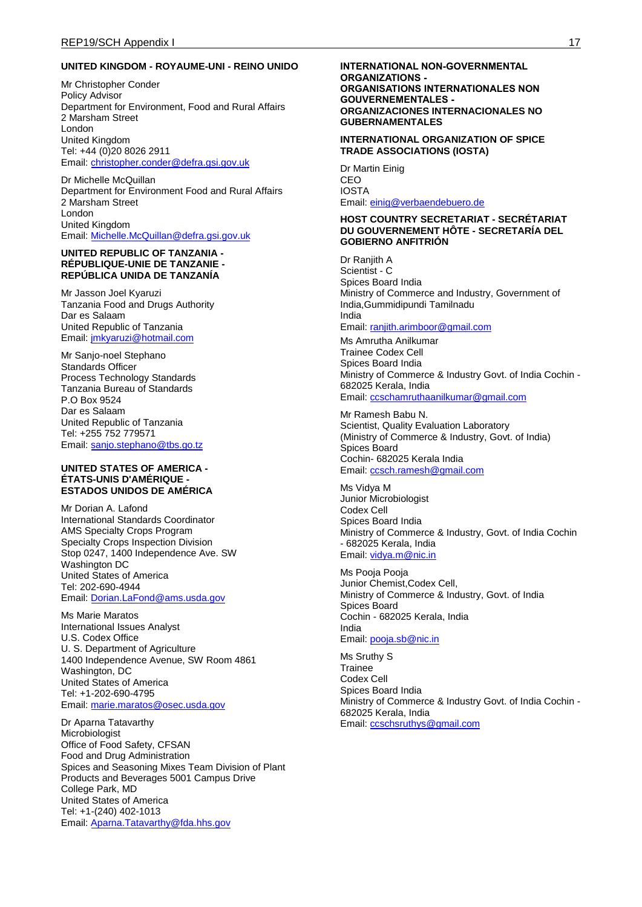#### **UNITED KINGDOM - ROYAUME-UNI - REINO UNIDO**

Mr Christopher Conder Policy Advisor Department for Environment, Food and Rural Affairs 2 Marsham Street London United Kingdom Tel: +44 (0)20 8026 2911 Email: [christopher.conder@defra.gsi.gov.uk](mailto:christopher.conder@defra.gsi.gov.uk)

Dr Michelle McQuillan Department for Environment Food and Rural Affairs 2 Marsham Street London United Kingdom Email: [Michelle.McQuillan@defra.gsi.gov.uk](mailto:Michelle.McQuillan@defra.gsi.gov.uk)

#### **UNITED REPUBLIC OF TANZANIA - RÉPUBLIQUE-UNIE DE TANZANIE - REPÚBLICA UNIDA DE TANZANÍA**

Mr Jasson Joel Kyaruzi Tanzania Food and Drugs Authority Dar es Salaam United Republic of Tanzania Email: [jmkyaruzi@hotmail.com](mailto:jmkyaruzi@hotmail.com)

Mr Sanjo-noel Stephano Standards Officer Process Technology Standards Tanzania Bureau of Standards P.O Box 9524 Dar es Salaam United Republic of Tanzania Tel: +255 752 779571 Email: [sanjo.stephano@tbs.go.tz](mailto:sanjo.stephano@tbs.go.tz)

#### **UNITED STATES OF AMERICA - ÉTATS-UNIS D'AMÉRIQUE - ESTADOS UNIDOS DE AMÉRICA**

Mr Dorian A. Lafond International Standards Coordinator AMS Specialty Crops Program Specialty Crops Inspection Division Stop 0247, 1400 Independence Ave. SW Washington DC United States of America Tel: 202-690-4944 Email: [Dorian.LaFond@ams.usda.gov](mailto:Dorian.LaFond@ams.usda.gov)

Ms Marie Maratos International Issues Analyst U.S. Codex Office U. S. Department of Agriculture 1400 Independence Avenue, SW Room 4861 Washington, DC United States of America Tel: +1-202-690-4795 Email: [marie.maratos@osec.usda.gov](mailto:marie.maratos@osec.usda.gov)

Dr Aparna Tatavarthy Microbiologist Office of Food Safety, CFSAN Food and Drug Administration Spices and Seasoning Mixes Team Division of Plant Products and Beverages 5001 Campus Drive College Park, MD United States of America Tel: +1-(240) 402-1013 Email: [Aparna.Tatavarthy@fda.hhs.gov](mailto:Aparna.Tatavarthy@fda.hhs.gov)

#### **INTERNATIONAL NON-GOVERNMENTAL ORGANIZATIONS - ORGANISATIONS INTERNATIONALES NON GOUVERNEMENTALES - ORGANIZACIONES INTERNACIONALES NO GUBERNAMENTALES**

#### **INTERNATIONAL ORGANIZATION OF SPICE TRADE ASSOCIATIONS (IOSTA)**

Dr Martin Einig CEO IOSTA Email: [einig@verbaendebuero.de](mailto:einig@verbaendebuero.de)

#### **HOST COUNTRY SECRETARIAT - SECRÉTARIAT DU GOUVERNEMENT HÔTE - SECRETARÍA DEL GOBIERNO ANFITRIÓN**

Dr Ranjith A Scientist - C Spices Board India Ministry of Commerce and Industry, Government of India,Gummidipundi Tamilnadu India Email: [ranjith.arimboor@gmail.com](mailto:ranjith.arimboor@gmail.com)

Ms Amrutha Anilkumar Trainee Codex Cell Spices Board India Ministry of Commerce & Industry Govt. of India Cochin - 682025 Kerala, India Email: [ccschamruthaanilkumar@gmail.com](mailto:ccschamruthaanilkumar@gmail.com)

Mr Ramesh Babu N. Scientist, Quality Evaluation Laboratory (Ministry of Commerce & Industry, Govt. of India) Spices Board Cochin- 682025 Kerala India Email: [ccsch.ramesh@gmail.com](mailto:ccsch.ramesh@gmail.com)

Ms Vidya M Junior Microbiologist Codex Cell Spices Board India Ministry of Commerce & Industry, Govt. of India Cochin - 682025 Kerala, India Email: [vidya.m@nic.in](mailto:vidya.m@nic.in)

Ms Pooja Pooja Junior Chemist,Codex Cell, Ministry of Commerce & Industry, Govt. of India Spices Board Cochin - 682025 Kerala, India India Email: [pooja.sb@nic.in](mailto:pooja.sb@nic.in)

Ms Sruthy S Trainee Codex Cell Spices Board India Ministry of Commerce & Industry Govt. of India Cochin - 682025 Kerala, India Email: [ccschsruthys@gmail.com](mailto:ccschsruthys@gmail.com)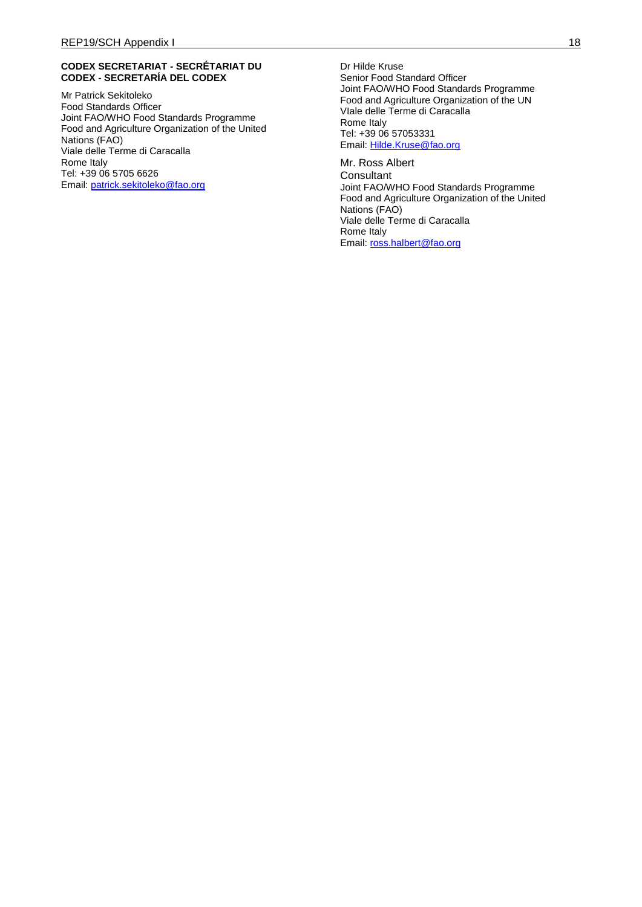#### **CODEX SECRETARIAT - SECRÉTARIAT DU CODEX - SECRETARÍA DEL CODEX**

Mr Patrick Sekitoleko Food Standards Officer Joint FAO/WHO Food Standards Programme Food and Agriculture Organization of the United Nations (FAO) Viale delle Terme di Caracalla Rome Italy Tel: +39 06 5705 6626 Email: [patrick.sekitoleko@fao.org](mailto:patrick.sekitoleko@fao.org)

Dr Hilde Kruse Senior Food Standard Officer Joint FAO/WHO Food Standards Programme Food and Agriculture Organization of the UN VIale delle Terme di Caracalla Rome Italy Tel: +39 06 57053331 Email: [Hilde.Kruse@fao.org](mailto:Hilde.Kruse@fao.org)

Mr. Ross Albert **Consultant** Joint FAO/WHO Food Standards Programme Food and Agriculture Organization of the United Nations (FAO) Viale delle Terme di Caracalla Rome Italy Email: ross.halbert@fao.org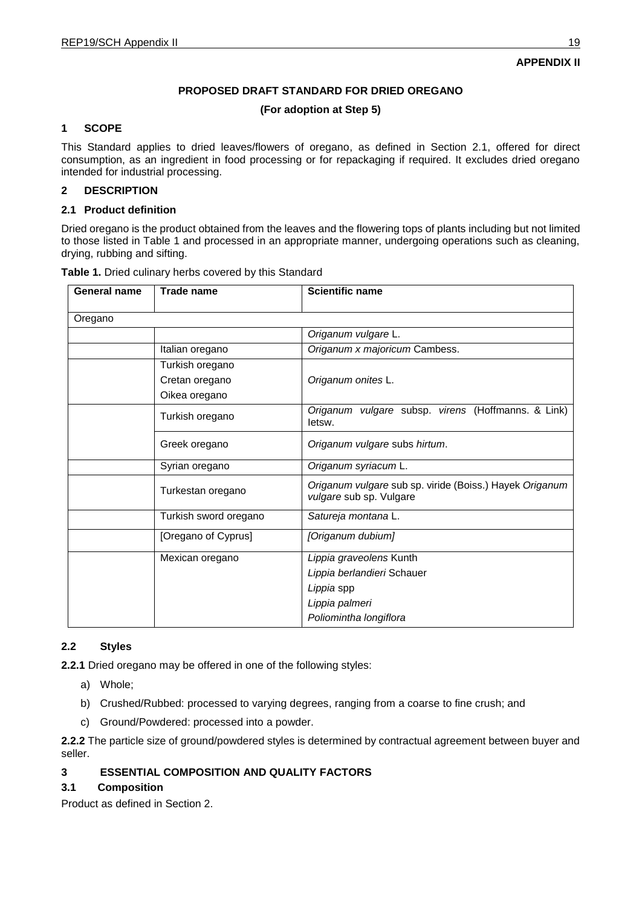## **PROPOSED DRAFT STANDARD FOR DRIED OREGANO**

## **(For adoption at Step 5)**

## **1 SCOPE**

This Standard applies to dried leaves/flowers of oregano, as defined in Section 2.1, offered for direct consumption, as an ingredient in food processing or for repackaging if required. It excludes dried oregano intended for industrial processing.

## **2 DESCRIPTION**

#### **2.1 Product definition**

Dried oregano is the product obtained from the leaves and the flowering tops of plants including but not limited to those listed in Table 1 and processed in an appropriate manner, undergoing operations such as cleaning, drying, rubbing and sifting.

| <b>General name</b> | <b>Trade name</b>     | <b>Scientific name</b>                                                             |
|---------------------|-----------------------|------------------------------------------------------------------------------------|
| Oregano             |                       |                                                                                    |
|                     |                       | Origanum vulgare L.                                                                |
|                     | Italian oregano       | Origanum x majoricum Cambess.                                                      |
|                     | Turkish oregano       |                                                                                    |
|                     | Cretan oregano        | Origanum onites L.                                                                 |
|                     | Oikea oregano         |                                                                                    |
|                     | Turkish oregano       | Origanum vulgare subsp. virens (Hoffmanns. & Link)<br>letsw.                       |
|                     | Greek oregano         | Origanum vulgare subs hirtum.                                                      |
|                     | Syrian oregano        | Origanum syriacum L.                                                               |
|                     | Turkestan oregano     | Origanum vulgare sub sp. viride (Boiss.) Hayek Origanum<br>vulgare sub sp. Vulgare |
|                     | Turkish sword oregano | Satureja montana L.                                                                |
|                     | [Oregano of Cyprus]   | [Origanum dubium]                                                                  |
|                     | Mexican oregano       | Lippia graveolens Kunth                                                            |
|                     |                       | Lippia berlandieri Schauer                                                         |
|                     |                       | Lippia spp                                                                         |
|                     |                       | Lippia palmeri                                                                     |
|                     |                       | Poliomintha longiflora                                                             |

**Table 1.** Dried culinary herbs covered by this Standard

#### **2.2 Styles**

**2.2.1** Dried oregano may be offered in one of the following styles:

- a) Whole;
- b) Crushed/Rubbed: processed to varying degrees, ranging from a coarse to fine crush; and
- c) Ground/Powdered: processed into a powder.

**2.2.2** The particle size of ground/powdered styles is determined by contractual agreement between buyer and seller.

## **3 ESSENTIAL COMPOSITION AND QUALITY FACTORS**

## **3.1 Composition**

Product as defined in Section 2.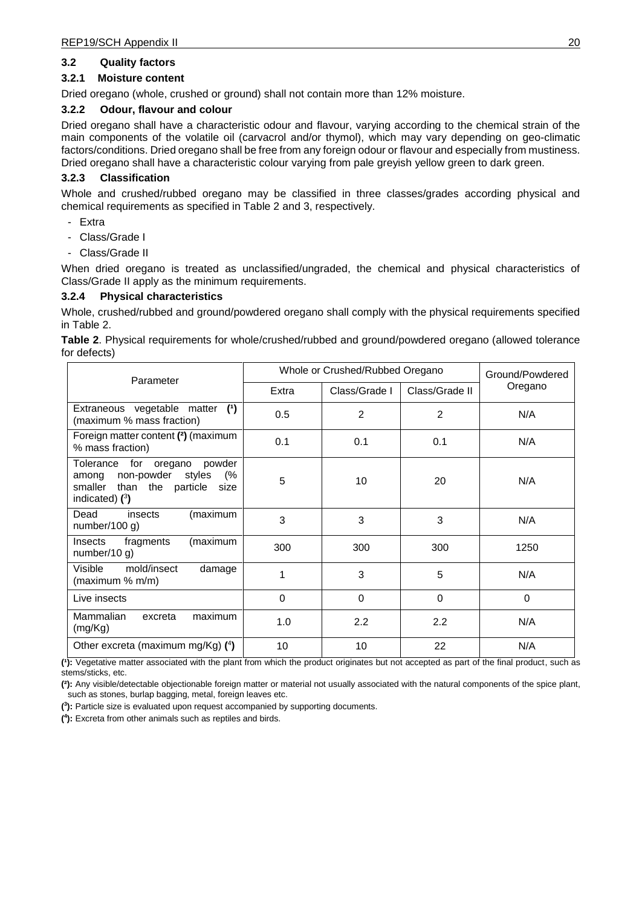#### **3.2 Quality factors**

#### **3.2.1 Moisture content**

Dried oregano (whole, crushed or ground) shall not contain more than 12% moisture.

#### **3.2.2 Odour, flavour and colour**

Dried oregano shall have a characteristic odour and flavour, varying according to the chemical strain of the main components of the volatile oil (carvacrol and/or thymol), which may vary depending on geo-climatic factors/conditions. Dried oregano shall be free from any foreign odour or flavour and especially from mustiness. Dried oregano shall have a characteristic colour varying from pale greyish yellow green to dark green.

#### **3.2.3 Classification**

Whole and crushed/rubbed oregano may be classified in three classes/grades according physical and chemical requirements as specified in Table 2 and 3, respectively.

- Extra
- Class/Grade I
- Class/Grade II

When dried oregano is treated as unclassified/ungraded, the chemical and physical characteristics of Class/Grade II apply as the minimum requirements.

#### **3.2.4 Physical characteristics**

Whole, crushed/rubbed and ground/powdered oregano shall comply with the physical requirements specified in Table 2.

**Table 2**. Physical requirements for whole/crushed/rubbed and ground/powdered oregano (allowed tolerance for defects)

| Parameter                                                                                                                          | Whole or Crushed/Rubbed Oregano |               |                | Ground/Powdered |
|------------------------------------------------------------------------------------------------------------------------------------|---------------------------------|---------------|----------------|-----------------|
|                                                                                                                                    | Extra                           | Class/Grade I | Class/Grade II | Oregano         |
| Extraneous vegetable matter<br>(1)<br>(maximum % mass fraction)                                                                    | 0.5                             | 2             | $\overline{2}$ | N/A             |
| Foreign matter content (2) (maximum<br>% mass fraction)                                                                            | 0.1                             | 0.1           | 0.1            | N/A             |
| Tolerance for<br>powder<br>oregano<br>among non-powder<br>(%<br>styles<br>smaller<br>than the<br>particle size<br>indicated) $(3)$ | 5                               | 10            | 20             | N/A             |
| Dead<br>(maximum<br>insects<br>number/100 $q$ )                                                                                    | 3                               | 3             | 3              | N/A             |
| (maximum<br>fragments<br><b>Insects</b><br>number/10 $g$ )                                                                         | 300                             | 300           | 300            | 1250            |
| Visible<br>mold/insect<br>damage<br>(maximum % m/m)                                                                                | 1                               | 3             | 5              | N/A             |
| Live insects                                                                                                                       | 0                               | $\Omega$      | 0              | 0               |
| Mammalian<br>maximum<br>excreta<br>(mg/Kg)                                                                                         | 1.0                             | 2.2           | 2.2            | N/A             |
| Other excreta (maximum mg/Kg) $(4)$                                                                                                | 10                              | 10            | 22             | N/A             |

**(¹):** Vegetative matter associated with the plant from which the product originates but not accepted as part of the final product, such as stems/sticks, etc.

**(²):** Any visible/detectable objectionable foreign matter or material not usually associated with the natural components of the spice plant, such as stones, burlap bagging, metal, foreign leaves etc.

**( 3 ):** Particle size is evaluated upon request accompanied by supporting documents.

**( 4 ):** Excreta from other animals such as reptiles and birds.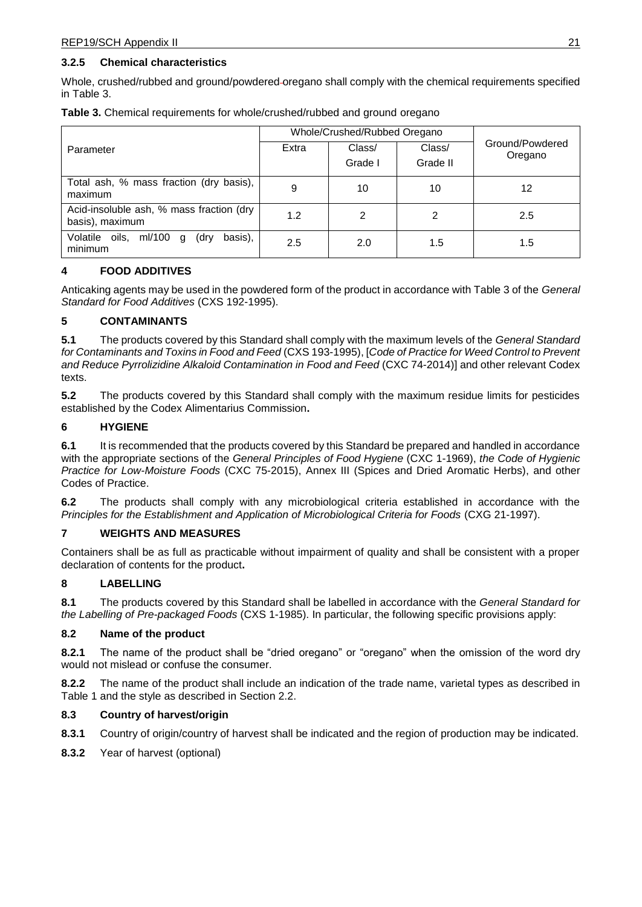#### **3.2.5 Chemical characteristics**

Whole, crushed/rubbed and ground/powdered oregano shall comply with the chemical requirements specified in Table 3.

|                                                                | Whole/Crushed/Rubbed Oregano |                   |                    |                            |
|----------------------------------------------------------------|------------------------------|-------------------|--------------------|----------------------------|
| Parameter                                                      | Extra                        | Class/<br>Grade I | Class/<br>Grade II | Ground/Powdered<br>Oregano |
| Total ash, % mass fraction (dry basis),<br>maximum             | 9                            | 10                | 10                 | 12                         |
| Acid-insoluble ash, % mass fraction (dry<br>basis), maximum    | 1.2                          | 2                 | 2                  | 2.5                        |
| basis),<br>Volatile<br>oils,<br>ml/100<br>(dry<br>q<br>minimum | 2.5                          | 2.0               | 1.5                | 1.5                        |

**Table 3.** Chemical requirements for whole/crushed/rubbed and ground oregano

## **4 FOOD ADDITIVES**

Anticaking agents may be used in the powdered form of the product in accordance with Table 3 of the *General Standard for Food Additives* (CXS 192-1995).

## **5 CONTAMINANTS**

**5.1** The products covered by this Standard shall comply with the maximum levels of the *General Standard for Contaminants and Toxins in Food and Feed* (CXS 193-1995), [*Code of Practice for Weed Control to Prevent and Reduce Pyrrolizidine Alkaloid Contamination in Food and Feed* (CXC 74-2014)] and other relevant Codex texts.

**5.2** The products covered by this Standard shall comply with the maximum residue limits for pesticides established by the Codex Alimentarius Commission**.** 

## **6 HYGIENE**

**6.1** It is recommended that the products covered by this Standard be prepared and handled in accordance with the appropriate sections of the *General Principles of Food Hygiene* (CXC 1-1969), *the Code of Hygienic Practice for Low-Moisture Foods* (CXC 75-2015), Annex III (Spices and Dried Aromatic Herbs), and other Codes of Practice.

**6.2** The products shall comply with any microbiological criteria established in accordance with the *Principles for the Establishment and Application of Microbiological Criteria for Foods* (CXG 21-1997).

#### **7 WEIGHTS AND MEASURES**

Containers shall be as full as practicable without impairment of quality and shall be consistent with a proper declaration of contents for the product**.** 

## **8 LABELLING**

**8.1** The products covered by this Standard shall be labelled in accordance with the *General Standard for the Labelling of Pre-packaged Foods* (CXS 1-1985). In particular, the following specific provisions apply:

#### **8.2 Name of the product**

**8.2.1** The name of the product shall be "dried oregano" or "oregano" when the omission of the word dry would not mislead or confuse the consumer.

**8.2.2** The name of the product shall include an indication of the trade name, varietal types as described in Table 1 and the style as described in Section 2.2.

#### **8.3 Country of harvest/origin**

- **8.3.1** Country of origin/country of harvest shall be indicated and the region of production may be indicated.
- **8.3.2** Year of harvest (optional)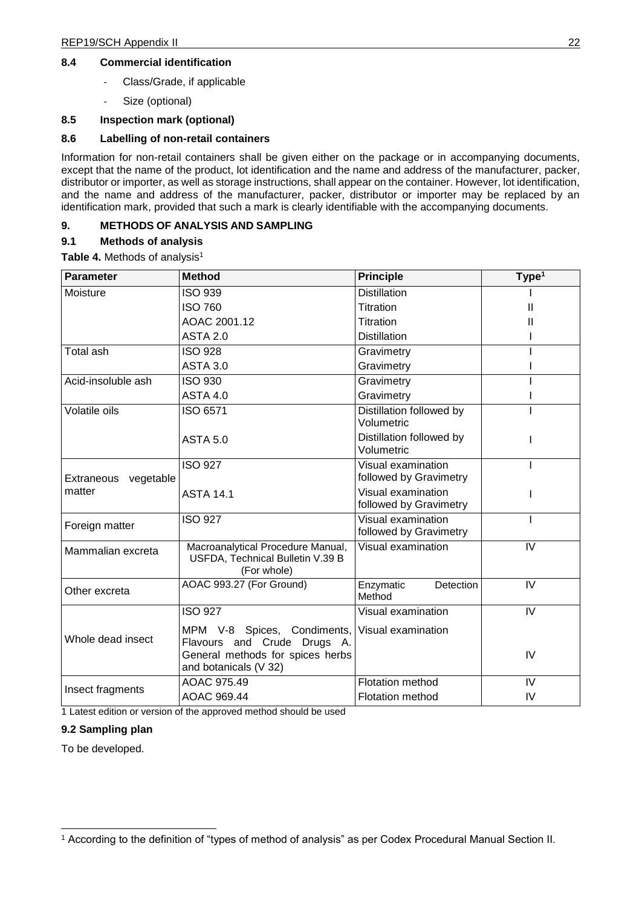#### **8.4 Commercial identification**

- Class/Grade, if applicable
- Size (optional)

## **8.5 Inspection mark (optional)**

## **8.6 Labelling of non-retail containers**

Information for non-retail containers shall be given either on the package or in accompanying documents, except that the name of the product, lot identification and the name and address of the manufacturer, packer, distributor or importer, as well as storage instructions, shall appear on the container. However, lot identification, and the name and address of the manufacturer, packer, distributor or importer may be replaced by an identification mark, provided that such a mark is clearly identifiable with the accompanying documents.

## **9. METHODS OF ANALYSIS AND SAMPLING**

## **9.1 Methods of analysis**

**Table 4. Methods of analysis<sup>1</sup>** 

| <b>Parameter</b>     | <b>Method</b>                                                                                                           | <b>Principle</b>                             | Type <sup>1</sup>       |
|----------------------|-------------------------------------------------------------------------------------------------------------------------|----------------------------------------------|-------------------------|
| Moisture             | <b>ISO 939</b>                                                                                                          | <b>Distillation</b>                          |                         |
|                      | <b>ISO 760</b>                                                                                                          | <b>Titration</b>                             | Ш                       |
|                      | AOAC 2001.12                                                                                                            | Titration                                    | Ш                       |
|                      | <b>ASTA 2.0</b>                                                                                                         | <b>Distillation</b>                          |                         |
| <b>Total ash</b>     | <b>ISO 928</b>                                                                                                          | Gravimetry                                   |                         |
|                      | <b>ASTA 3.0</b>                                                                                                         | Gravimetry                                   |                         |
| Acid-insoluble ash   | <b>ISO 930</b>                                                                                                          | Gravimetry                                   |                         |
|                      | <b>ASTA 4.0</b>                                                                                                         | Gravimetry                                   |                         |
| Volatile oils        | ISO 6571                                                                                                                | Distillation followed by<br>Volumetric       |                         |
|                      | <b>ASTA 5.0</b>                                                                                                         | Distillation followed by<br>Volumetric       |                         |
|                      | <b>ISO 927</b>                                                                                                          | Visual examination                           |                         |
| Extraneous vegetable |                                                                                                                         | followed by Gravimetry                       |                         |
| matter               | <b>ASTA 14.1</b>                                                                                                        | Visual examination                           |                         |
|                      |                                                                                                                         | followed by Gravimetry                       |                         |
| Foreign matter       | <b>ISO 927</b>                                                                                                          | Visual examination<br>followed by Gravimetry |                         |
| Mammalian excreta    | Macroanalytical Procedure Manual,<br>USFDA, Technical Bulletin V.39 B<br>(For whole)                                    | Visual examination                           | $\overline{\mathsf{N}}$ |
| Other excreta        | AOAC 993.27 (For Ground)                                                                                                | Enzymatic<br>Detection<br>Method             | IV                      |
|                      | <b>ISO 927</b>                                                                                                          | Visual examination                           | IV                      |
| Whole dead insect    | MPM V-8 Spices, Condiments,<br>Flavours and Crude Drugs A.<br>General methods for spices herbs<br>and botanicals (V 32) | Visual examination                           | IV                      |
|                      | AOAC 975.49                                                                                                             | <b>Flotation method</b>                      | IV                      |
| Insect fragments     | AOAC 969.44                                                                                                             | <b>Flotation method</b>                      | IV                      |

1 Latest edition or version of the approved method should be used

#### **9.2 Sampling plan**

To be developed.

<sup>1</sup> According to the definition of "types of method of analysis" as per Codex Procedural Manual Section II.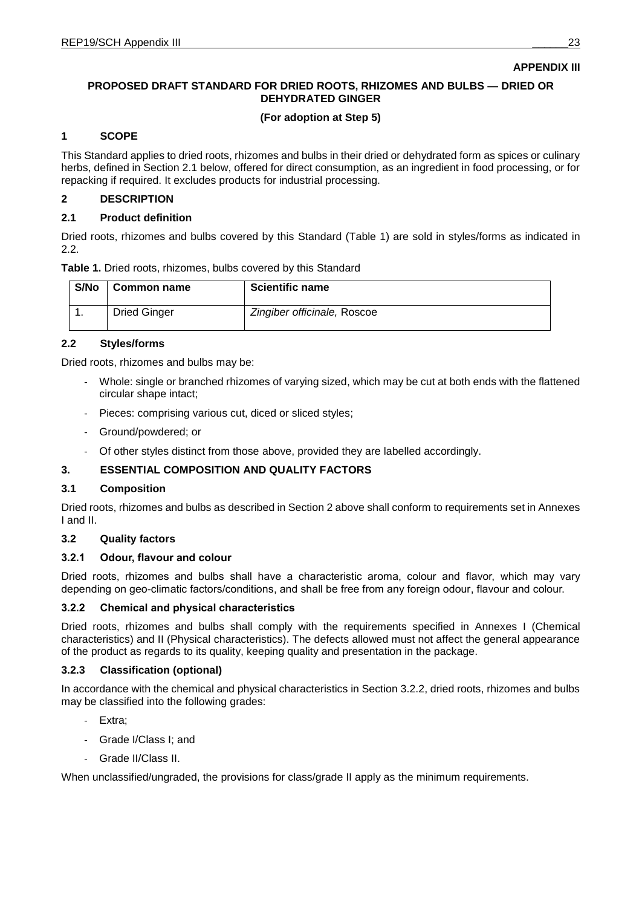## **APPENDIX III**

## **PROPOSED DRAFT STANDARD FOR DRIED ROOTS, RHIZOMES AND BULBS — DRIED OR DEHYDRATED GINGER**

## **(For adoption at Step 5)**

#### **1 SCOPE**

This Standard applies to dried roots, rhizomes and bulbs in their dried or dehydrated form as spices or culinary herbs, defined in Section 2.1 below, offered for direct consumption, as an ingredient in food processing, or for repacking if required. It excludes products for industrial processing.

## **2 DESCRIPTION**

## **2.1 Product definition**

Dried roots, rhizomes and bulbs covered by this Standard (Table 1) are sold in styles/forms as indicated in 2.2.

| Table 1. Dried roots, rhizomes, bulbs covered by this Standard |
|----------------------------------------------------------------|
|----------------------------------------------------------------|

| S/No | <b>Common name</b>  | <b>Scientific name</b>      |
|------|---------------------|-----------------------------|
|      | <b>Dried Ginger</b> | Zingiber officinale, Roscoe |

## **2.2 Styles**

Dried roots, rhizomes and bulbs may be:

- Whole: single or branched rhizomes of varying sized, which may be cut at both ends with the flattened circular shape intact;
- Pieces: comprising various cut, diced or sliced styles;
- Ground/powdered; or
- Of other styles distinct from those above, provided they are labelled accordingly.

## **3. ESSENTIAL COMPOSITION AND QUALITY FACTORS**

#### **3.1 Composition**

Dried roots, rhizomes and bulbs as described in Section 2 above shall conform to requirements set in Annexes I and II.

## **3.2 Quality factors**

#### **3.2.1 Odour, flavour and colour**

Dried roots, rhizomes and bulbs shall have a characteristic aroma, colour and flavor, which may vary depending on geo-climatic factors/conditions, and shall be free from any foreign odour, flavour and colour.

#### **3.2.2 Chemical and physical characteristics**

Dried roots, rhizomes and bulbs shall comply with the requirements specified in Annexes I (Chemical characteristics) and II (Physical characteristics). The defects allowed must not affect the general appearance of the product as regards to its quality, keeping quality and presentation in the package.

#### **3.2.3 Classification (optional)**

In accordance with the chemical and physical characteristics in Section 3.2.2, dried roots, rhizomes and bulbs may be classified into the following grades:

- Extra;
- Grade I/Class I; and
- Grade II/Class II.

When unclassified/ungraded, the provisions for class/grade II apply as the minimum requirements.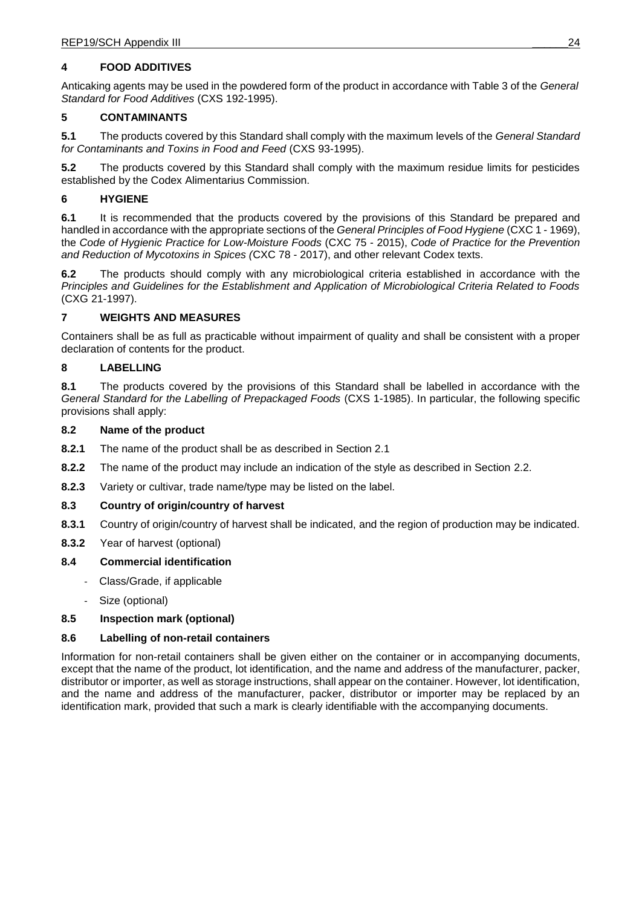## **4 FOOD ADDITIVES**

Anticaking agents may be used in the powdered form of the product in accordance with Table 3 of the *General Standard for Food Additives* (CXS 192-1995).

## **5 CONTAMINANTS**

**5.1** The products covered by this Standard shall comply with the maximum levels of the *General Standard for Contaminants and Toxins in Food and Feed* (CXS 93-1995).

**5.2** The products covered by this Standard shall comply with the maximum residue limits for pesticides established by the Codex Alimentarius Commission.

## **6 HYGIENE**

**6.1** It is recommended that the products covered by the provisions of this Standard be prepared and handled in accordance with the appropriate sections of the *General Principles of Food Hygiene* (CXC 1 - 1969), the *Code of Hygienic Practice for Low-Moisture Foods* (CXC 75 - 2015), *Code of Practice for the Prevention and Reduction of Mycotoxins in Spices (*CXC 78 - 2017), and other relevant Codex texts.

**6.2** The products should comply with any microbiological criteria established in accordance with the *Principles and Guidelines for the Establishment and Application of Microbiological Criteria Related to Foods* (CXG 21-1997).

#### **7 WEIGHTS AND MEASURES**

Containers shall be as full as practicable without impairment of quality and shall be consistent with a proper declaration of contents for the product.

## **8 LABELLING**

**8.1** The products covered by the provisions of this Standard shall be labelled in accordance with the *General Standard for the Labelling of Prepackaged Foods* (CXS 1-1985). In particular, the following specific provisions shall apply:

#### **8.2 Name of the product**

- **8.2.1** The name of the product shall be as described in Section 2.1
- **8.2.2** The name of the product may include an indication of the style as described in Section 2.2.
- **8.2.3** Variety or cultivar, trade name/type may be listed on the label.

#### **8.3 Country of origin/country of harvest**

- **8.3.1** Country of origin/country of harvest shall be indicated, and the region of production may be indicated.
- **8.3.2** Year of harvest (optional)

#### **8.4 Commercial identification**

- Class/Grade, if applicable
- Size (optional)

#### **8.5 Inspection mark (optional)**

#### **8.6 Labelling of non-retail containers**

Information for non-retail containers shall be given either on the container or in accompanying documents, except that the name of the product, lot identification, and the name and address of the manufacturer, packer, distributor or importer, as well as storage instructions, shall appear on the container. However, lot identification, and the name and address of the manufacturer, packer, distributor or importer may be replaced by an identification mark, provided that such a mark is clearly identifiable with the accompanying documents.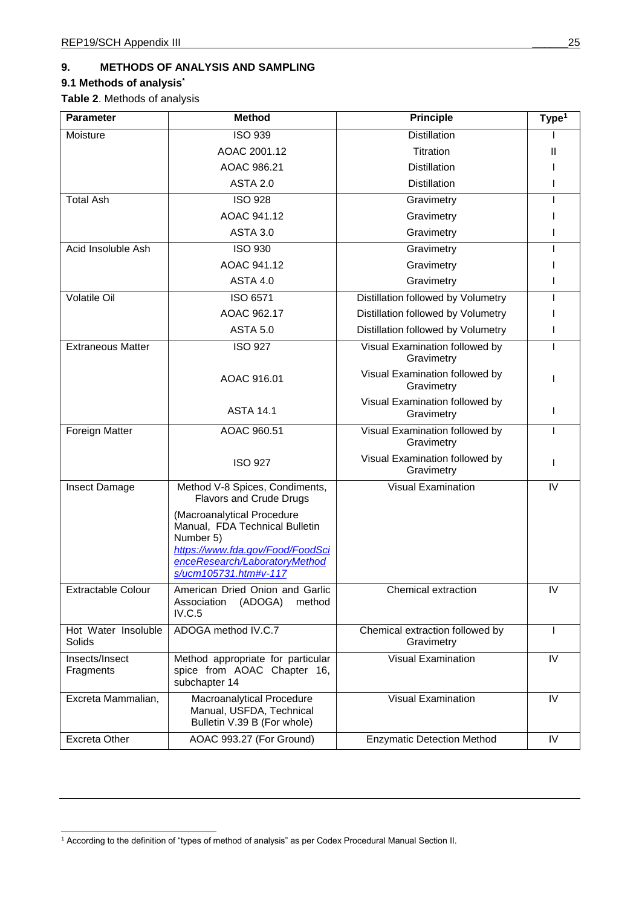## **9. METHODS OF ANALYSIS AND SAMPLING**

## **9.1 Methods of analysis\***

**Table 2**. Methods of analysis

| <b>Parameter</b>              | <b>Method</b>                                                                                                                                                           | <b>Principle</b>                              | Type <sup>1</sup> |
|-------------------------------|-------------------------------------------------------------------------------------------------------------------------------------------------------------------------|-----------------------------------------------|-------------------|
| Moisture                      | <b>ISO 939</b>                                                                                                                                                          | <b>Distillation</b>                           |                   |
|                               | AOAC 2001.12                                                                                                                                                            | Titration                                     | Ш                 |
|                               | AOAC 986.21                                                                                                                                                             | <b>Distillation</b>                           |                   |
|                               | <b>ASTA 2.0</b>                                                                                                                                                         | <b>Distillation</b>                           |                   |
| <b>Total Ash</b>              | <b>ISO 928</b>                                                                                                                                                          | Gravimetry                                    |                   |
|                               | AOAC 941.12                                                                                                                                                             | Gravimetry                                    |                   |
|                               | <b>ASTA 3.0</b>                                                                                                                                                         | Gravimetry                                    |                   |
| Acid Insoluble Ash            | <b>ISO 930</b>                                                                                                                                                          | Gravimetry                                    |                   |
|                               | AOAC 941.12                                                                                                                                                             | Gravimetry                                    |                   |
|                               | <b>ASTA 4.0</b>                                                                                                                                                         | Gravimetry                                    |                   |
| <b>Volatile Oil</b>           | ISO 6571                                                                                                                                                                | Distillation followed by Volumetry            |                   |
|                               | AOAC 962.17                                                                                                                                                             | Distillation followed by Volumetry            |                   |
|                               | <b>ASTA 5.0</b>                                                                                                                                                         | Distillation followed by Volumetry            |                   |
| <b>Extraneous Matter</b>      | <b>ISO 927</b>                                                                                                                                                          | Visual Examination followed by<br>Gravimetry  | Т                 |
|                               | AOAC 916.01                                                                                                                                                             | Visual Examination followed by<br>Gravimetry  |                   |
|                               | <b>ASTA 14.1</b>                                                                                                                                                        | Visual Examination followed by<br>Gravimetry  |                   |
| Foreign Matter                | AOAC 960.51                                                                                                                                                             | Visual Examination followed by<br>Gravimetry  | L                 |
|                               | <b>ISO 927</b>                                                                                                                                                          | Visual Examination followed by<br>Gravimetry  |                   |
| Insect Damage                 | Method V-8 Spices, Condiments,<br>Flavors and Crude Drugs                                                                                                               | <b>Visual Examination</b>                     | IV                |
|                               | (Macroanalytical Procedure<br>Manual, FDA Technical Bulletin<br>Number 5)<br>https://www.fda.gov/Food/FoodSci<br>enceResearch/LaboratoryMethod<br>s/ucm105731.htm#v-117 |                                               |                   |
| <b>Extractable Colour</b>     | American Dried Onion and Garlic<br>Association<br>(ADOGA)<br>method<br>IV.C.5                                                                                           | Chemical extraction                           | IV                |
| Hot Water Insoluble<br>Solids | ADOGA method IV.C.7                                                                                                                                                     | Chemical extraction followed by<br>Gravimetry | I.                |
| Insects/Insect<br>Fragments   | Method appropriate for particular<br>spice from AOAC Chapter 16,<br>subchapter 14                                                                                       | <b>Visual Examination</b>                     | IV                |
| Excreta Mammalian,            | Macroanalytical Procedure<br>Manual, USFDA, Technical<br>Bulletin V.39 B (For whole)                                                                                    | <b>Visual Examination</b>                     | IV                |
| <b>Excreta Other</b>          | AOAC 993.27 (For Ground)                                                                                                                                                | <b>Enzymatic Detection Method</b>             | IV                |

<sup>1</sup> According to the definition of "types of method of analysis" as per Codex Procedural Manual Section II.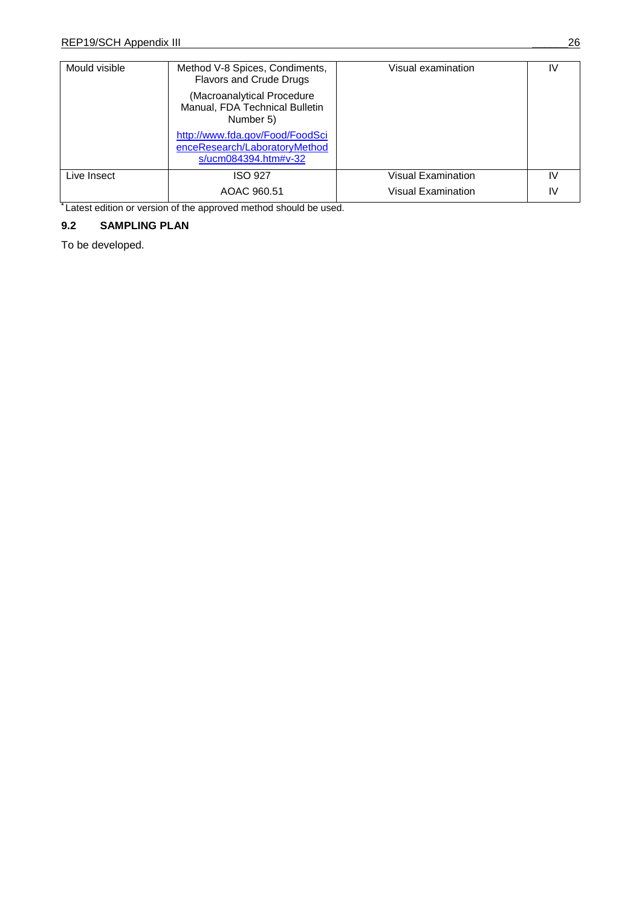| Mould visible | Method V-8 Spices, Condiments,<br>Flavors and Crude Drugs                                | Visual examination | IV |
|---------------|------------------------------------------------------------------------------------------|--------------------|----|
|               | (Macroanalytical Procedure<br>Manual, FDA Technical Bulletin<br>Number 5)                |                    |    |
|               | http://www.fda.gov/Food/FoodSci<br>enceResearch/LaboratoryMethod<br>s/ucm084394.htm#v-32 |                    |    |
| Live Insect   | ISO 927                                                                                  | Visual Examination | IV |
|               | AOAC 960.51                                                                              | Visual Examination | IV |

**\*** Latest edition or version of the approved method should be used.

## **9.2 SAMPLING PLAN**

To be developed.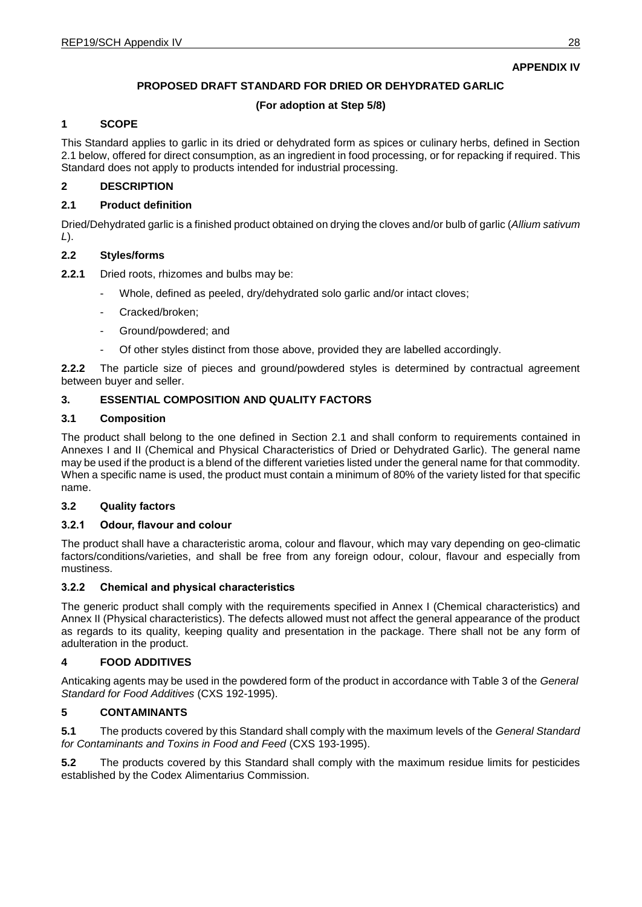## **APPENDIX IV**

## **PROPOSED DRAFT STANDARD FOR DRIED OR DEHYDRATED GARLIC**

## **(For adoption at Step 5/8)**

## **1 SCOPE**

This Standard applies to garlic in its dried or dehydrated form as spices or culinary herbs, defined in Section 2.1 below, offered for direct consumption, as an ingredient in food processing, or for repacking if required. This Standard does not apply to products intended for industrial processing.

#### **2 DESCRIPTION**

#### **2.1 Product definition**

Dried/Dehydrated garlic is a finished product obtained on drying the cloves and/or bulb of garlic (*Allium sativum L*).

#### **2.2 Styles**

**2.2.1** Dried roots, rhizomes and bulbs may be:

- Whole, defined as peeled, dry/dehydrated solo garlic and/or intact cloves;
- Cracked/broken;
- Ground/powdered; and
- Of other styles distinct from those above, provided they are labelled accordingly.

**2.2.2** The particle size of pieces and ground/powdered styles is determined by contractual agreement between buyer and seller.

## **3. ESSENTIAL COMPOSITION AND QUALITY FACTORS**

## **3.1 Composition**

The product shall belong to the one defined in Section 2.1 and shall conform to requirements contained in Annexes I and II (Chemical and Physical Characteristics of Dried or Dehydrated Garlic). The general name may be used if the product is a blend of the different varieties listed under the general name for that commodity. When a specific name is used, the product must contain a minimum of 80% of the variety listed for that specific name.

#### **3.2 Quality factors**

#### **3.2.1 Odour, flavour and colour**

The product shall have a characteristic aroma, colour and flavour, which may vary depending on geo-climatic factors/conditions/varieties, and shall be free from any foreign odour, colour, flavour and especially from mustiness.

#### **3.2.2 Chemical and physical characteristics**

The generic product shall comply with the requirements specified in Annex I (Chemical characteristics) and Annex II (Physical characteristics). The defects allowed must not affect the general appearance of the product as regards to its quality, keeping quality and presentation in the package. There shall not be any form of adulteration in the product.

#### **4 FOOD ADDITIVES**

Anticaking agents may be used in the powdered form of the product in accordance with Table 3 of the *General Standard for Food Additives* (CXS 192-1995).

## **5 CONTAMINANTS**

**5.1** The products covered by this Standard shall comply with the maximum levels of the *General Standard for Contaminants and Toxins in Food and Feed* (CXS 193-1995).

**5.2** The products covered by this Standard shall comply with the maximum residue limits for pesticides established by the Codex Alimentarius Commission.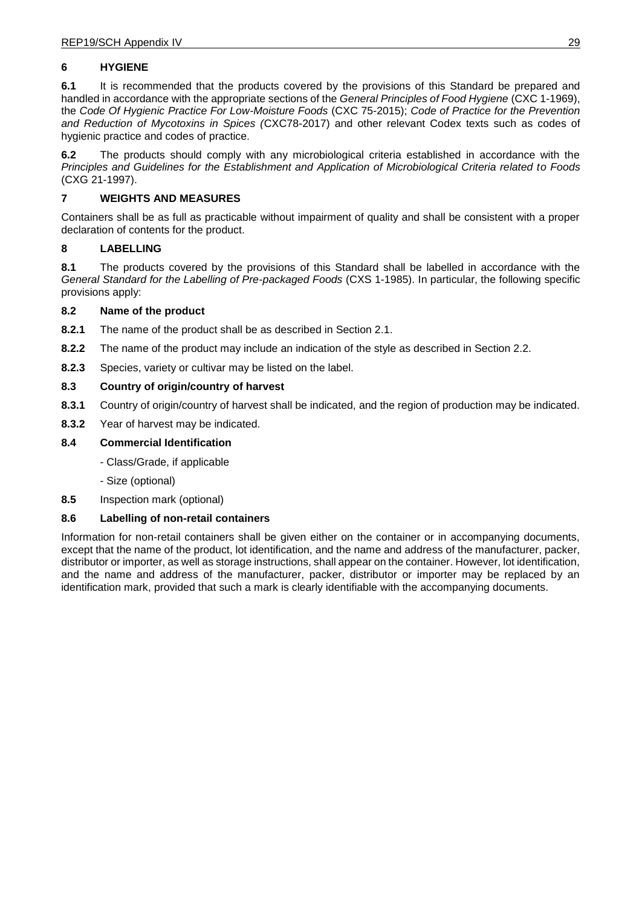## **6 HYGIENE**

**6.1** It is recommended that the products covered by the provisions of this Standard be prepared and handled in accordance with the appropriate sections of the *General Principles of Food Hygiene* (CXC 1-1969), the *Code Of Hygienic Practice For Low-Moisture Foods* (CXC 75-2015); *Code of Practice for the Prevention and Reduction of Mycotoxins in Spices (*CXC78-2017) and other relevant Codex texts such as codes of hygienic practice and codes of practice.

**6.2** The products should comply with any microbiological criteria established in accordance with the *Principles and Guidelines for the Establishment and Application of Microbiological Criteria related to Foods* (CXG 21-1997).

## **7 WEIGHTS AND MEASURES**

Containers shall be as full as practicable without impairment of quality and shall be consistent with a proper declaration of contents for the product.

## **8 LABELLING**

**8.1** The products covered by the provisions of this Standard shall be labelled in accordance with the *General Standard for the Labelling of Pre-packaged Foods* (CXS 1-1985). In particular, the following specific provisions apply:

#### **8.2 Name of the product**

- **8.2.1** The name of the product shall be as described in Section 2.1.
- **8.2.2** The name of the product may include an indication of the style as described in Section 2.2.
- **8.2.3** Species, variety or cultivar may be listed on the label.

## **8.3 Country of origin/country of harvest**

- **8.3.1** Country of origin/country of harvest shall be indicated, and the region of production may be indicated.
- **8.3.2** Year of harvest may be indicated.

## **8.4 Commercial Identification**

- Class/Grade, if applicable
- Size (optional)
- **8.5** Inspection mark (optional)

#### **8.6 Labelling of non-retail containers**

Information for non-retail containers shall be given either on the container or in accompanying documents, except that the name of the product, lot identification, and the name and address of the manufacturer, packer, distributor or importer, as well as storage instructions, shall appear on the container. However, lot identification, and the name and address of the manufacturer, packer, distributor or importer may be replaced by an identification mark, provided that such a mark is clearly identifiable with the accompanying documents.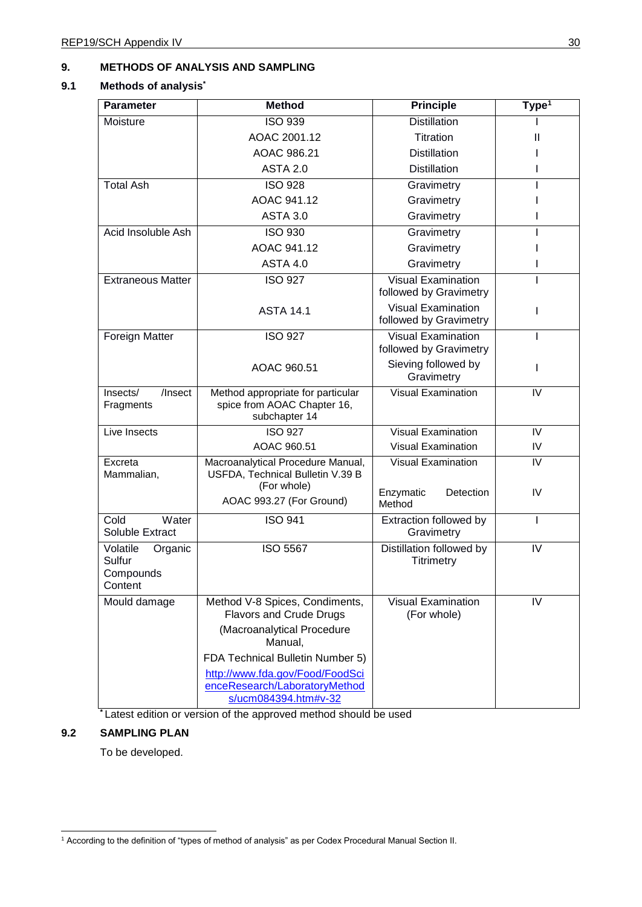## **9. METHODS OF ANALYSIS AND SAMPLING**

## **9.1 Methods of analysis\***

| <b>Method</b>                                                                                                                                                                                                     | <b>Principle</b>                                    | Type <sup>1</sup>      |
|-------------------------------------------------------------------------------------------------------------------------------------------------------------------------------------------------------------------|-----------------------------------------------------|------------------------|
| <b>ISO 939</b>                                                                                                                                                                                                    | <b>Distillation</b>                                 |                        |
| AOAC 2001.12                                                                                                                                                                                                      | Titration                                           | Ш                      |
| AOAC 986.21                                                                                                                                                                                                       | <b>Distillation</b>                                 |                        |
| <b>ASTA 2.0</b>                                                                                                                                                                                                   | <b>Distillation</b>                                 |                        |
| <b>ISO 928</b>                                                                                                                                                                                                    | Gravimetry                                          |                        |
| AOAC 941.12                                                                                                                                                                                                       | Gravimetry                                          |                        |
| <b>ASTA 3.0</b>                                                                                                                                                                                                   | Gravimetry                                          |                        |
| <b>ISO 930</b>                                                                                                                                                                                                    | Gravimetry                                          |                        |
| AOAC 941.12                                                                                                                                                                                                       | Gravimetry                                          |                        |
| <b>ASTA 4.0</b>                                                                                                                                                                                                   | Gravimetry                                          |                        |
| <b>ISO 927</b>                                                                                                                                                                                                    | <b>Visual Examination</b><br>followed by Gravimetry |                        |
| <b>ASTA 14.1</b>                                                                                                                                                                                                  | <b>Visual Examination</b><br>followed by Gravimetry |                        |
| <b>ISO 927</b>                                                                                                                                                                                                    | <b>Visual Examination</b><br>followed by Gravimetry |                        |
| AOAC 960.51                                                                                                                                                                                                       | Sieving followed by<br>Gravimetry                   | L                      |
| Method appropriate for particular<br>spice from AOAC Chapter 16,<br>subchapter 14                                                                                                                                 | <b>Visual Examination</b>                           | IV                     |
| <b>ISO 927</b>                                                                                                                                                                                                    | <b>Visual Examination</b>                           | IV                     |
| AOAC 960.51                                                                                                                                                                                                       | <b>Visual Examination</b>                           | IV                     |
| Macroanalytical Procedure Manual,<br>USFDA, Technical Bulletin V.39 B<br>(For whole)                                                                                                                              | <b>Visual Examination</b>                           | IV<br>IV               |
| AOAC 993.27 (For Ground)                                                                                                                                                                                          | Method                                              |                        |
| <b>ISO 941</b>                                                                                                                                                                                                    | Extraction followed by<br>Gravimetry                |                        |
| <b>ISO 5567</b>                                                                                                                                                                                                   | Distillation followed by<br>Titrimetry              | IV                     |
| Method V-8 Spices, Condiments,<br><b>Flavors and Crude Drugs</b><br>(Macroanalytical Procedure<br>Manual,<br>FDA Technical Bulletin Number 5)<br>http://www.fda.gov/Food/FoodSci<br>enceResearch/LaboratoryMethod | <b>Visual Examination</b><br>(For whole)            | IV                     |
|                                                                                                                                                                                                                   | s/ucm084394.htm#v-32                                | Enzymatic<br>Detection |

**\*** Latest edition or version of the approved method should be used

## **9.2 SAMPLING PLAN**

To be developed.

<sup>1</sup> According to the definition of "types of method of analysis" as per Codex Procedural Manual Section II.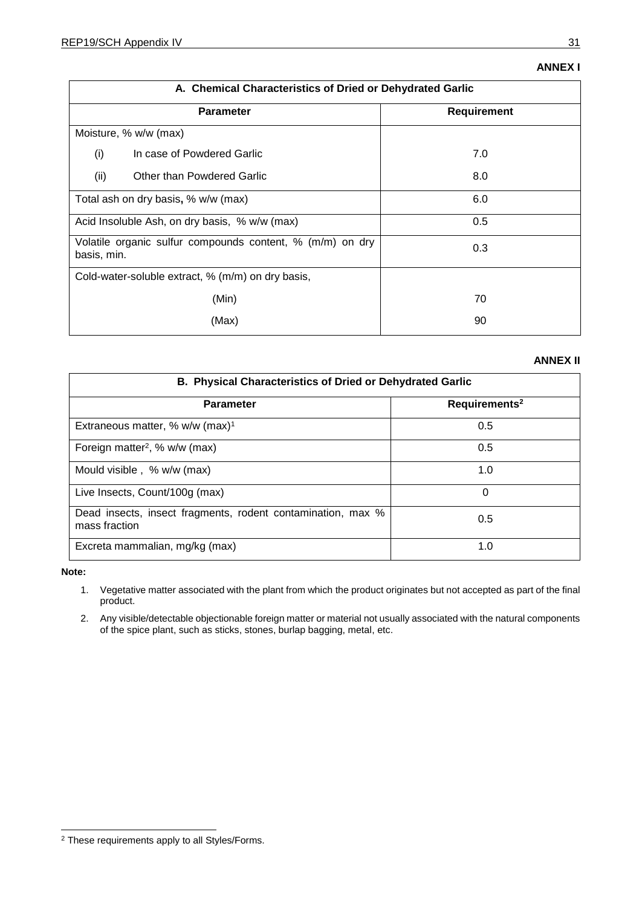#### **EGYPT - ÉGYPTE - EGIPTO**

Dr Mervat Fouad Consultant of Herbs and Medicinal Plants and Foods for Special Dietary Uses National Nutrition Institute (NNI) 53, Amman st, Dokki Giza - Egypt Tel: +201005016726 Email: mevo 73@hotmail.com

Eng Ahmed Mohammed Elhelw Codex Contact Point for Egypt, **Technical Secretariat of Egyptian CSCH Food Standards** Eqyptian Organization for Standardization and Quality  $(EOS)$ 16 Tadreeb AlMudarbeen St., AlAmeriah Cairo - Egypt Tel: +201224083536 Email: helws a@hotmail.com

#### EUROPEAN UNION - UNION EUROPÉENNE -**UNIÓN EUROPEA**

Mr Marco Castellina Administrator Health & Food Safety Directorate-General European Commission Rue Froissart 101 Brussels - Belgium Tel: +32 229-87443 Email: marco.castellina@ec.europa.eu

#### **FRANCE - FRANCIA**

Mrs Françoise Moreau Lalanne Conseillère pour les Affaires Agricoles Ambassade de France en Inde 2/50-E Shantipath Chanakyapuri New Delhi - India Tel: +91 11 4319 6304 Email: francoise.moreaulalanne@dgtresor.gouv.fr

#### **GERMANY - ALLEMAGNE - ALEMANIA**

Mr Walther Quasigroch Administrator Federal Ministry of Food and Agriculture Rochusstrasse 1 Bonn - Germany Tel: +49 228 99 529 4362 Email: Walther.Quasigroch@bmel.bund.de

#### **GHANA**

Mr Gorden Kwabena Akurugu **Regional Officer** Regional Office Food and Drugs Authority P.O. BOX CT 2783 Cantonments Accra - Ghana Tel: +233 244 339632 Email: gordena2002@gmail.com

Mr Zakaria Braimah **Principal Regulatory Officer** Warehouse Inspection Unit Food and Drugs Authority P.O. BOX CT 2783 Cantonments Accra - Ghana Tel: +233209280738 Email: zakwohoor67@gmail.com

#### **INDIA - INDE**

Dr M K Shanmuga Sundaram Secretary Spices Board India (Ministry of Commerce & Industry, Govt. of India) Cochin, Kerala India Email: secy.kochi-sb@gov.in

Mr T Subbraj Scientist, Quality Evaluation Laboratory, (Ministry of Commerce & Industry, Govt. of India) Spices Board Guntur, Andhra Pradesh. India Email: ccsch.subbraj@gmail.com

Dr Femina.

Deputy Director Directorate of Arecanut and Spices Development Ministry of Agriculture & Farmers Welfare Department of Agriculture, Co-operation & Farmers Welfare Government of India, West Hill Kozhikode India Tel: +91-0495-2369877 Email: spicedte@nic.in Mr Kannan B

**Assistant Manager Regulatory Affairs ITC Limited (Foods Division)** No. 18 Banaswadi, Main Road, Maruthiseva Nagar, Bangalore Tel: 9445218936 Email: kannan.b@itc.in

Mr Sunil Bakshi

Advisor (Codex / Regulations) Food Safety and Standards Authority of India FDA Bhawan, Near Bal Bhawan New Delhi India Tel: +91-11-23237439 Email: sbakshi@fssai.gov.in

#### Mr Rijo Johny

Scientist, Quality Evaluation Laboratory, (Ministry of Commerce & Industry, Govt. of India) Spices Board Maharashtra Mumbai - India Email: rijo.johny@nic.in

Ms Kamia Juneja Manager Scientific and Regulatory Affairs Pepsico India Ltd - CII India Tel: 9582315256 Email: kamia.juneja@pepsico.com

Mr Shibu K Chithajan Quality Assurance & Control, Synthite Industries (P) Ltd Synthite Valley, Kolenchery, Kerala, India Tel: 7034021337 Email: shibukc@synthite.com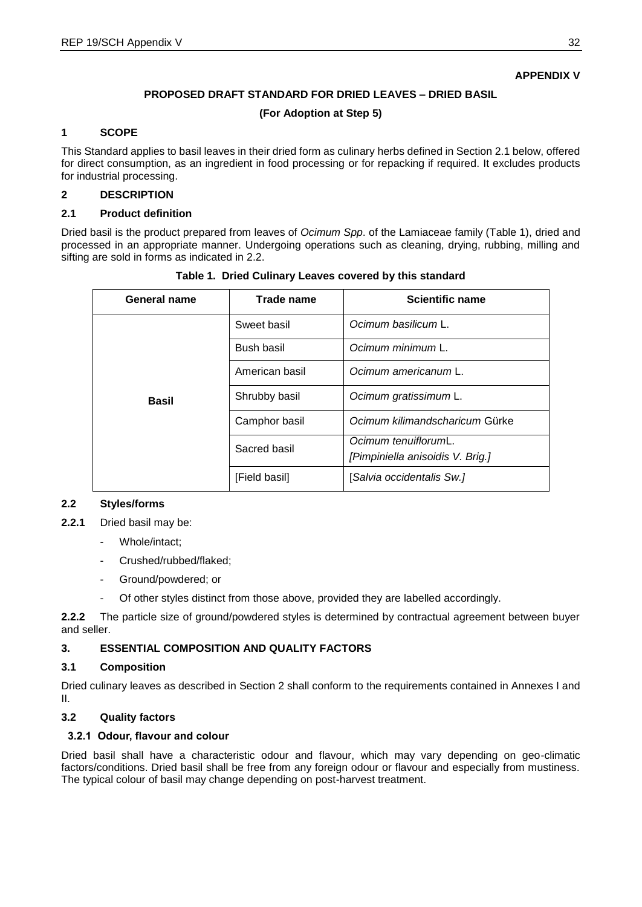## **PROPOSED DRAFT STANDARD FOR DRIED LEAVES – DRIED BASIL**

## **(For Adoption at Step 5)**

## **1 SCOPE**

This Standard applies to basil leaves in their dried form as culinary herbs defined in Section 2.1 below, offered for direct consumption, as an ingredient in food processing or for repacking if required. It excludes products for industrial processing.

## **2 DESCRIPTION**

## **2.1 Product definition**

Dried basil is the product prepared from leaves of *Ocimum Spp*. of the Lamiaceae family (Table 1), dried and processed in an appropriate manner. Undergoing operations such as cleaning, drying, rubbing, milling and sifting are sold in forms as indicated in 2.2.

| General name | Trade name     | <b>Scientific name</b>                                   |  |  |
|--------------|----------------|----------------------------------------------------------|--|--|
|              | Sweet basil    | Ocimum basilicum L.                                      |  |  |
|              | Bush basil     | Ocimum minimum L.                                        |  |  |
|              | American basil | Ocimum americanum L.                                     |  |  |
| Basil        | Shrubby basil  | Ocimum gratissimum L.                                    |  |  |
|              | Camphor basil  | Ocimum kilimandscharicum Gürke                           |  |  |
|              | Sacred basil   | Ocimum tenuiflorumL.<br>[Pimpiniella anisoidis V. Brig.] |  |  |
|              | [Field basil]  | [Salvia occidentalis Sw.]                                |  |  |

**Table 1. Dried Culinary Leaves covered by this standard** 

#### **2.2 Styles**

- **2.2.1** Dried basil may be:
	- Whole/intact:
	- Crushed/rubbed/flaked;
	- Ground/powdered; or
	- Of other styles distinct from those above, provided they are labelled accordingly.

**2.2.2** The particle size of ground/powdered styles is determined by contractual agreement between buyer and seller.

## **3. ESSENTIAL COMPOSITION AND QUALITY FACTORS**

#### **3.1 Composition**

Dried culinary leaves as described in Section 2 shall conform to the requirements contained in Annexes I and II.

## **3.2 Quality factors**

#### **3.2.1 Odour, flavour and colour**

Dried basil shall have a characteristic odour and flavour, which may vary depending on geo-climatic factors/conditions. Dried basil shall be free from any foreign odour or flavour and especially from mustiness. The typical colour of basil may change depending on post-harvest treatment.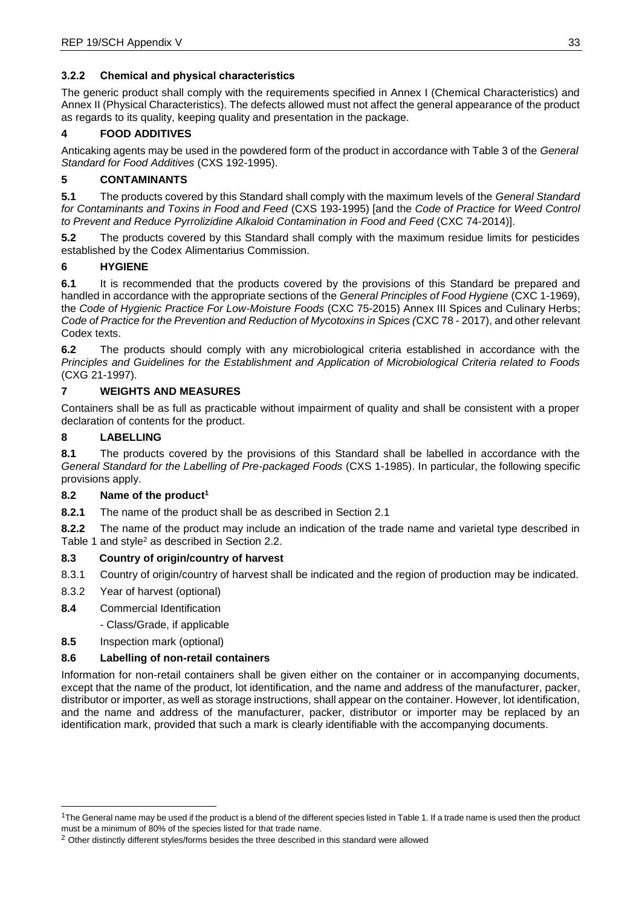## **3.2.2 Chemical and physical characteristics**

The generic product shall comply with the requirements specified in Annex I (Chemical Characteristics) and Annex II (Physical Characteristics). The defects allowed must not affect the general appearance of the product as regards to its quality, keeping quality and presentation in the package.

## **4 FOOD ADDITIVES**

Anticaking agents may be used in the powdered form of the product in accordance with Table 3 of the *General Standard for Food Additives* (CXS 192-1995).

## **5 CONTAMINANTS**

**5.1** The products covered by this Standard shall comply with the maximum levels of the *General Standard for Contaminants and Toxins in Food and Feed* (CXS 193-1995) [and the *Code of Practice for Weed Control to Prevent and Reduce Pyrrolizidine Alkaloid Contamination in Food and Feed* (CXC 74-2014)].

**5.2** The products covered by this Standard shall comply with the maximum residue limits for pesticides established by the Codex Alimentarius Commission.

## **6 HYGIENE**

**6.1** It is recommended that the products covered by the provisions of this Standard be prepared and handled in accordance with the appropriate sections of the *General Principles of Food Hygiene* (CXC 1-1969), the *Code of Hygienic Practice For Low-Moisture Foods* (CXC 75-2015) Annex III Spices and Culinary Herbs; *Code of Practice for the Prevention and Reduction of Mycotoxins in Spices (*CXC 78 - 2017), and other relevant Codex texts.

**6.2** The products should comply with any microbiological criteria established in accordance with the *Principles and Guidelines for the Establishment and Application of Microbiological Criteria related to Foods* (CXG 21-1997).

## **7 WEIGHTS AND MEASURES**

Containers shall be as full as practicable without impairment of quality and shall be consistent with a proper declaration of contents for the product.

## **8 LABELLING**

**8.1** The products covered by the provisions of this Standard shall be labelled in accordance with the *General Standard for the Labelling of Pre-packaged Foods* (CXS 1-1985). In particular, the following specific provisions apply.

#### **8.2 Name of the product<sup>1</sup>**

**8.2.1** The name of the product shall be as described in Section 2.1

**8.2.2** The name of the product may include an indication of the trade name and varietal type described in Table 1 and style<sup>2</sup> as described in Section 2.2.

#### **8.3 Country of origin/country of harvest**

- 8.3.1 Country of origin/country of harvest shall be indicated and the region of production may be indicated.
- 8.3.2 Year of harvest (optional)
- **8.4** Commercial Identification
	- Class/Grade, if applicable
- **8.5** Inspection mark (optional)

#### **8.6 Labelling of non-retail containers**

Information for non-retail containers shall be given either on the container or in accompanying documents, except that the name of the product, lot identification, and the name and address of the manufacturer, packer, distributor or importer, as well as storage instructions, shall appear on the container. However, lot identification, and the name and address of the manufacturer, packer, distributor or importer may be replaced by an identification mark, provided that such a mark is clearly identifiable with the accompanying documents.

<sup>&</sup>lt;sup>1</sup>The General name may be used if the product is a blend of the different species listed in Table 1. If a trade name is used then the product must be a minimum of 80% of the species listed for that trade name.

<sup>&</sup>lt;sup>2</sup> Other distinctly different styles/forms besides the three described in this standard were allowed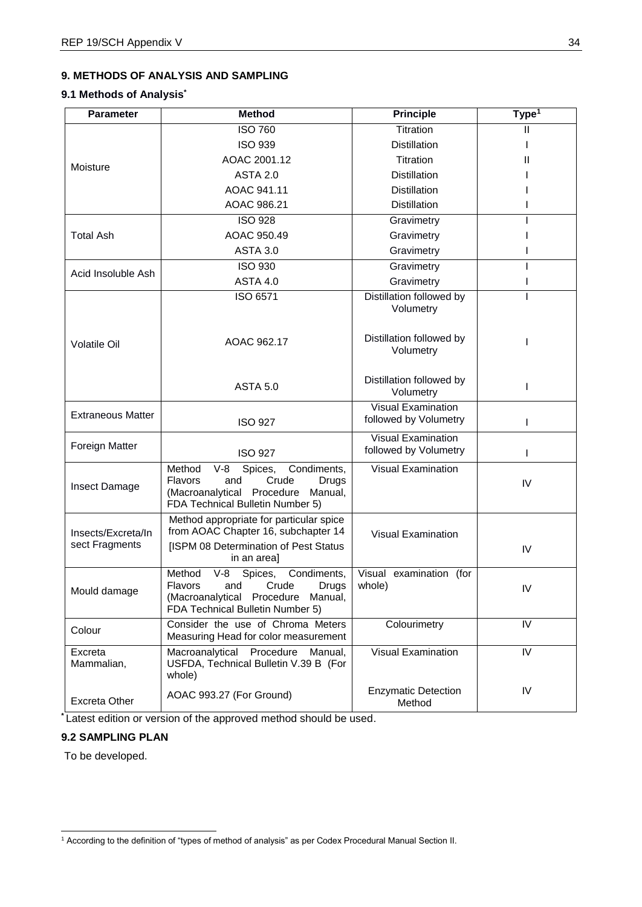## **9. METHODS OF ANALYSIS AND SAMPLING**

#### **9.1 Methods of Analysis\***

| <b>Parameter</b>                                                                                                                                                               | <b>Method</b>                                                                                                                                                        | <b>Principle</b>                                   | Type $\overline{1}$ |
|--------------------------------------------------------------------------------------------------------------------------------------------------------------------------------|----------------------------------------------------------------------------------------------------------------------------------------------------------------------|----------------------------------------------------|---------------------|
|                                                                                                                                                                                | <b>ISO 760</b>                                                                                                                                                       | Titration                                          | Ш                   |
|                                                                                                                                                                                | <b>ISO 939</b>                                                                                                                                                       | <b>Distillation</b>                                |                     |
|                                                                                                                                                                                | AOAC 2001.12                                                                                                                                                         | <b>Titration</b>                                   | $\mathbf{I}$        |
| Moisture                                                                                                                                                                       | <b>ASTA 2.0</b>                                                                                                                                                      | <b>Distillation</b>                                |                     |
|                                                                                                                                                                                | AOAC 941.11                                                                                                                                                          | <b>Distillation</b>                                |                     |
|                                                                                                                                                                                | AOAC 986.21                                                                                                                                                          | <b>Distillation</b>                                |                     |
|                                                                                                                                                                                | <b>ISO 928</b>                                                                                                                                                       | Gravimetry                                         |                     |
| <b>Total Ash</b>                                                                                                                                                               | AOAC 950.49                                                                                                                                                          | Gravimetry                                         |                     |
|                                                                                                                                                                                | <b>ASTA 3.0</b>                                                                                                                                                      | Gravimetry                                         |                     |
| Acid Insoluble Ash                                                                                                                                                             | <b>ISO 930</b>                                                                                                                                                       | Gravimetry                                         |                     |
|                                                                                                                                                                                | <b>ASTA 4.0</b>                                                                                                                                                      | Gravimetry                                         |                     |
|                                                                                                                                                                                | ISO 6571                                                                                                                                                             | Distillation followed by<br>Volumetry              |                     |
| <b>Volatile Oil</b>                                                                                                                                                            | AOAC 962.17                                                                                                                                                          | Distillation followed by<br>Volumetry              | ı                   |
|                                                                                                                                                                                | <b>ASTA 5.0</b>                                                                                                                                                      | Distillation followed by<br>Volumetry              | I                   |
| <b>Extraneous Matter</b>                                                                                                                                                       | <b>ISO 927</b>                                                                                                                                                       | <b>Visual Examination</b><br>followed by Volumetry | L                   |
| Foreign Matter                                                                                                                                                                 | <b>ISO 927</b>                                                                                                                                                       | <b>Visual Examination</b><br>followed by Volumetry | I                   |
| Insect Damage                                                                                                                                                                  | Spices,<br>Method<br>$V-8$<br>Condiments,<br>Crude<br><b>Flavors</b><br>and<br>Drugs<br>(Macroanalytical<br>Procedure<br>Manual,<br>FDA Technical Bulletin Number 5) | <b>Visual Examination</b>                          | IV                  |
| Insects/Excreta/In<br>sect Fragments                                                                                                                                           | Method appropriate for particular spice<br>from AOAC Chapter 16, subchapter 14<br>[ISPM 08 Determination of Pest Status<br>in an area]                               | <b>Visual Examination</b>                          | IV                  |
| $V-8$<br>Spices,<br>Condiments,<br>Method<br>Crude<br><b>Flavors</b><br>and<br>Drugs<br>Mould damage<br>(Macroanalytical Procedure Manual,<br>FDA Technical Bulletin Number 5) |                                                                                                                                                                      | Visual<br>examination (for<br>whole)               | IV                  |
| Colour                                                                                                                                                                         | Consider the use of Chroma Meters<br>Measuring Head for color measurement                                                                                            | Colourimetry                                       | IV                  |
| Excreta<br>Mammalian,                                                                                                                                                          | Macroanalytical Procedure<br>Manual,<br>USFDA, Technical Bulletin V.39 B (For<br>whole)                                                                              | <b>Visual Examination</b>                          | IV                  |
| Excreta Other                                                                                                                                                                  | AOAC 993.27 (For Ground)                                                                                                                                             | <b>Enzymatic Detection</b><br>Method               | IV                  |

**\*** Latest edition or version of the approved method should be used.

## **9.2 SAMPLING PLAN**

To be developed.

<sup>1</sup> According to the definition of "types of method of analysis" as per Codex Procedural Manual Section II.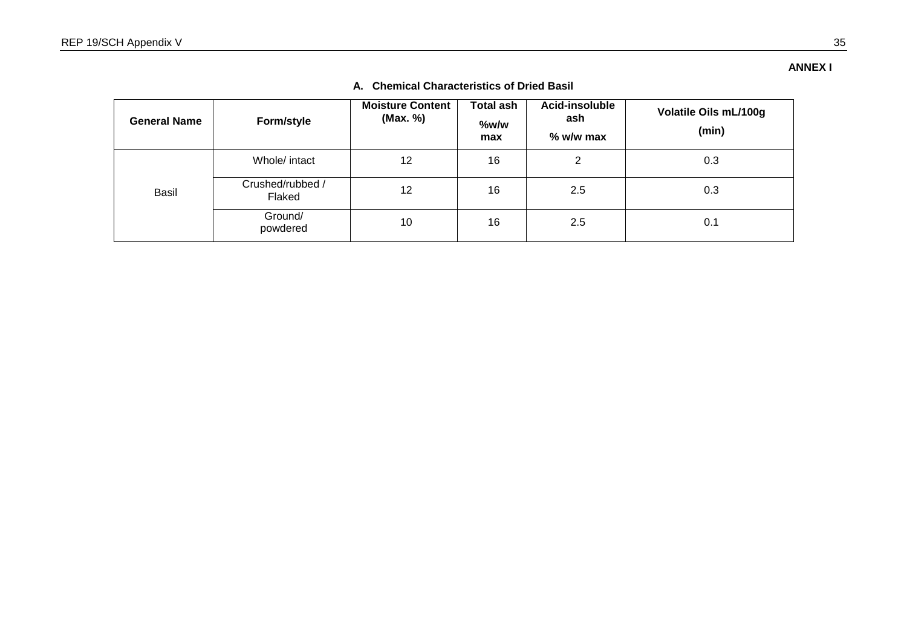#### **General Name 6tyle Moisture Content (Max. %) Total ash %w/w max Acid-insoluble ash % w/w max Volatile Oils mL/100g (min)** Basil Whole/ intact  $\begin{vmatrix} 12 & 16 \\ 16 & 2 \end{vmatrix}$  0.3 Crushed/rubbed /  $F$ laked 12 16 2.5 0.3 Ground/<br>powdered  $p$ ovdered 10 10 16 2.5  $(0.16 \text{ m})$

## **A. Chemical Characteristics of Dried Basil**

**ANNEX I**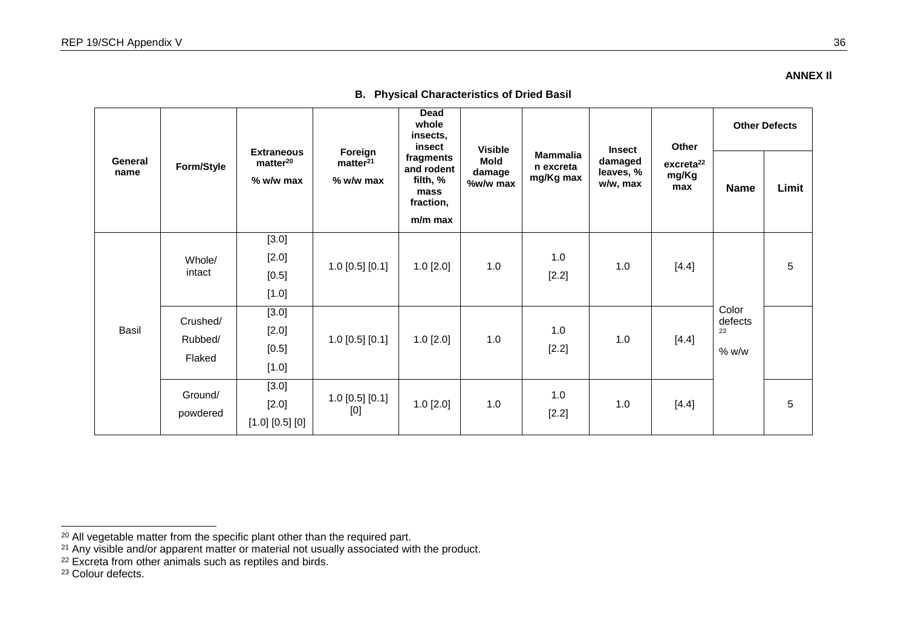#### **ANNEX Il**

| General<br>name |                               |                                                          |                                                | <b>Dead</b><br>whole<br>insects,<br>insect                          | <b>Visible</b>                    |                                           | <b>Insect</b>                    | Other                                 | <b>Other Defects</b>            |       |
|-----------------|-------------------------------|----------------------------------------------------------|------------------------------------------------|---------------------------------------------------------------------|-----------------------------------|-------------------------------------------|----------------------------------|---------------------------------------|---------------------------------|-------|
|                 | <b>Style</b>                  | <b>Extraneous</b><br>matter <sup>20</sup><br>$%$ w/w max | Foreign<br>matter <sup>21</sup><br>$%$ w/w max | fragments<br>and rodent<br>filth, %<br>mass<br>fraction,<br>m/m max | <b>Mold</b><br>damage<br>%w/w max | <b>Mammalia</b><br>n excreta<br>mg/Kg max | damaged<br>leaves, %<br>w/w, max | excreta <sup>22</sup><br>mg/Kg<br>max | <b>Name</b>                     | Limit |
| Basil           | Whole/<br>intact              | [3.0]<br>[2.0]<br>$[0.5]$<br>[1.0]                       | $1.0$ [0.5] [0.1]                              | $1.0$ [ $2.0$ ]                                                     | 1.0                               | 1.0<br>[2.2]                              | 1.0                              | [4.4]                                 |                                 | 5     |
|                 | Crushed/<br>Rubbed/<br>Flaked | [3.0]<br>$[2.0]$<br>$[0.5]$<br>[1.0]                     | $1.0$ [0.5] [0.1]                              | $1.0$ [ $2.0$ ]                                                     | 1.0                               | 1.0<br>[2.2]                              | 1.0                              | [4.4]                                 | Color<br>defects<br>23<br>% w/w |       |
|                 | Ground/<br>powdered           | [3.0]<br>$[2.0]$<br>$[1.0]$ $[0.5]$ $[0]$                | $1.0$ [0.5] [0.1]<br>[0]                       | $1.0$ [2.0]                                                         | 1.0                               | 1.0<br>[2.2]                              | 1.0                              | [4.4]                                 |                                 | 5     |

## **B. Physical Characteristics of Dried Basil**

<sup>&</sup>lt;sup>20</sup> All vegetable matter from the specific plant other than the required part.

<sup>&</sup>lt;sup>21</sup> Any visible and/or apparent matter or material not usually associated with the product.

<sup>&</sup>lt;sup>22</sup> Excreta from other animals such as reptiles and birds.

<sup>&</sup>lt;sup>23</sup> Colour defects.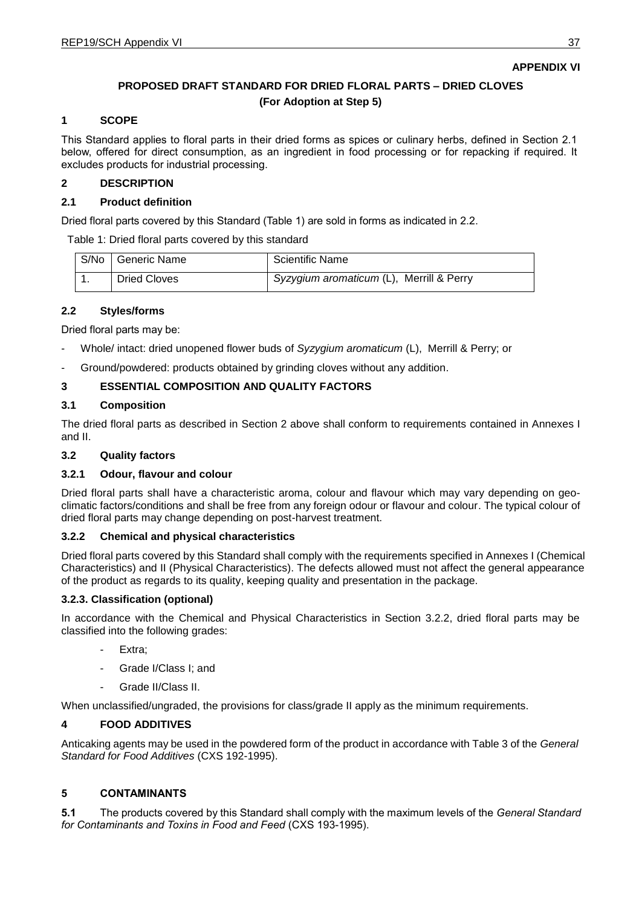## **APPENDIX VI**

## **PROPOSED DRAFT STANDARD FOR DRIED FLORAL PARTS – DRIED CLOVES (For Adoption at Step 5)**

#### **1 SCOPE**

This Standard applies to floral parts in their dried forms as spices or culinary herbs, defined in Section 2.1 below, offered for direct consumption, as an ingredient in food processing or for repacking if required. It excludes products for industrial processing.

## **2 DESCRIPTION**

#### **2.1 Product definition**

Dried floral parts covered by this Standard (Table 1) are sold in forms as indicated in 2.2.

Table 1: Dried floral parts covered by this standard

| S/No Generic Name   | <b>Scientific Name</b>                   |
|---------------------|------------------------------------------|
| <b>Dried Cloves</b> | Syzygium aromaticum (L), Merrill & Perry |

#### **2.2 Styles**

Dried floral parts may be:

- Whole/ intact: dried unopened flower buds of *Syzygium aromaticum* (L), Merrill & Perry; or
- Ground/powdered: products obtained by grinding cloves without any addition.

## **3 ESSENTIAL COMPOSITION AND QUALITY FACTORS**

#### **3.1 Composition**

The dried floral parts as described in Section 2 above shall conform to requirements contained in Annexes I and II.

## **3.2 Quality factors**

#### **3.2.1 Odour, flavour and colour**

Dried floral parts shall have a characteristic aroma, colour and flavour which may vary depending on geoclimatic factors/conditions and shall be free from any foreign odour or flavour and colour. The typical colour of dried floral parts may change depending on post-harvest treatment.

#### **3.2.2 Chemical and physical characteristics**

Dried floral parts covered by this Standard shall comply with the requirements specified in Annexes I (Chemical Characteristics) and II (Physical Characteristics). The defects allowed must not affect the general appearance of the product as regards to its quality, keeping quality and presentation in the package.

#### **3.2.3. Classification (optional)**

In accordance with the Chemical and Physical Characteristics in Section 3.2.2, dried floral parts may be classified into the following grades:

- Extra;
- Grade I/Class I: and
- Grade II/Class II.

When unclassified/ungraded, the provisions for class/grade II apply as the minimum requirements.

## **4 FOOD ADDITIVES**

Anticaking agents may be used in the powdered form of the product in accordance with Table 3 of the *General Standard for Food Additives* (CXS 192-1995).

#### **5 CONTAMINANTS**

**5.1** The products covered by this Standard shall comply with the maximum levels of the *General Standard for Contaminants and Toxins in Food and Feed* (CXS 193-1995).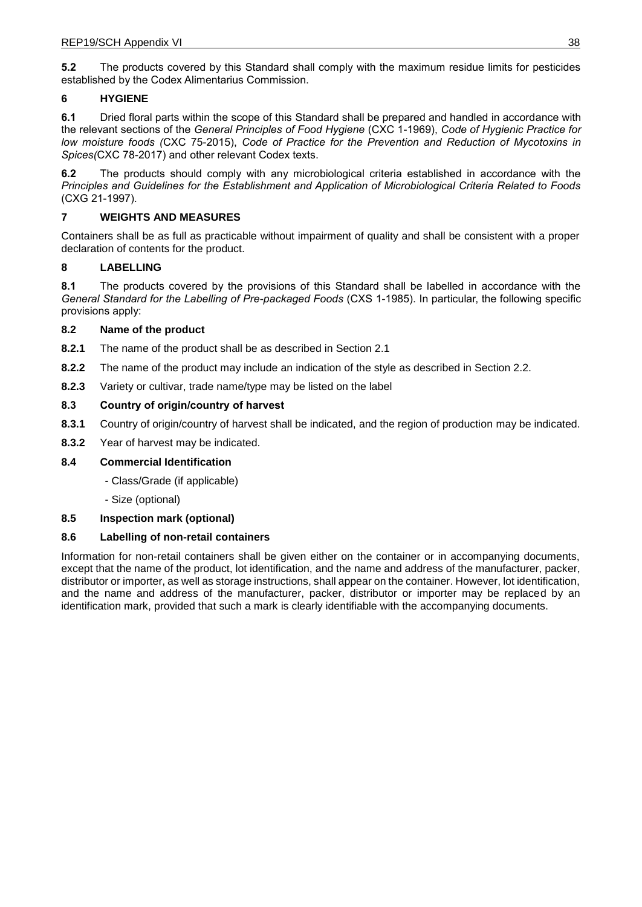**5.2** The products covered by this Standard shall comply with the maximum residue limits for pesticides established by the Codex Alimentarius Commission.

## **6 HYGIENE**

**6.1** Dried floral parts within the scope of this Standard shall be prepared and handled in accordance with the relevant sections of the *General Principles of Food Hygiene* (CXC 1-1969), *Code of Hygienic Practice for low moisture foods (*CXC 75-2015), *Code of Practice for the Prevention and Reduction of Mycotoxins in Spices(*CXC 78-2017) and other relevant Codex texts.

**6.2** The products should comply with any microbiological criteria established in accordance with the *Principles and Guidelines for the Establishment and Application of Microbiological Criteria Related to Foods* (CXG 21-1997).

## **7 WEIGHTS AND MEASURES**

Containers shall be as full as practicable without impairment of quality and shall be consistent with a proper declaration of contents for the product.

## **8 LABELLING**

**8.1** The products covered by the provisions of this Standard shall be labelled in accordance with the *General Standard for the Labelling of Pre-packaged Foods* (CXS 1-1985). In particular, the following specific provisions apply:

#### **8.2 Name of the product**

- **8.2.1** The name of the product shall be as described in Section 2.1
- **8.2.2** The name of the product may include an indication of the style as described in Section 2.2.
- **8.2.3** Variety or cultivar, trade name/type may be listed on the label

## **8.3 Country of origin/country of harvest**

- **8.3.1** Country of origin/country of harvest shall be indicated, and the region of production may be indicated.
- **8.3.2** Year of harvest may be indicated.

#### **8.4 Commercial Identification**

- Class/Grade (if applicable)
- Size (optional)

#### **8.5 Inspection mark (optional)**

#### **8.6 Labelling of non-retail containers**

Information for non-retail containers shall be given either on the container or in accompanying documents, except that the name of the product, lot identification, and the name and address of the manufacturer, packer, distributor or importer, as well as storage instructions, shall appear on the container. However, lot identification, and the name and address of the manufacturer, packer, distributor or importer may be replaced by an identification mark, provided that such a mark is clearly identifiable with the accompanying documents.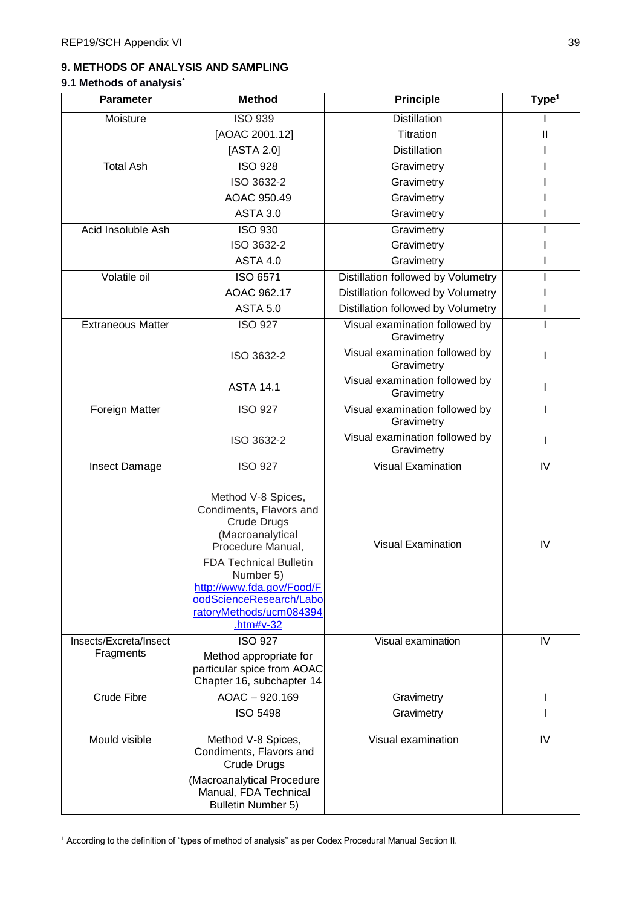# **9. METHODS OF ANALYSIS AND SAMPLING**

## **9.1 Methods of analysis\***

| <b>Parameter</b>                    | <b>Method</b>                                                                                                                                                                                                      | <b>Principle</b>                             | Type <sup>1</sup> |
|-------------------------------------|--------------------------------------------------------------------------------------------------------------------------------------------------------------------------------------------------------------------|----------------------------------------------|-------------------|
| Moisture                            | <b>ISO 939</b>                                                                                                                                                                                                     | <b>Distillation</b>                          |                   |
|                                     | [AOAC 2001.12]                                                                                                                                                                                                     | Titration                                    | Ш                 |
|                                     | [ASTA 2.0]                                                                                                                                                                                                         | <b>Distillation</b>                          |                   |
| <b>Total Ash</b>                    | <b>ISO 928</b>                                                                                                                                                                                                     | Gravimetry                                   |                   |
|                                     | ISO 3632-2                                                                                                                                                                                                         | Gravimetry                                   |                   |
|                                     | AOAC 950.49                                                                                                                                                                                                        | Gravimetry                                   |                   |
|                                     | <b>ASTA 3.0</b>                                                                                                                                                                                                    | Gravimetry                                   |                   |
| Acid Insoluble Ash                  | <b>ISO 930</b>                                                                                                                                                                                                     | Gravimetry                                   |                   |
|                                     | ISO 3632-2                                                                                                                                                                                                         | Gravimetry                                   |                   |
|                                     | <b>ASTA 4.0</b>                                                                                                                                                                                                    | Gravimetry                                   |                   |
| Volatile oil                        | ISO 6571                                                                                                                                                                                                           | Distillation followed by Volumetry           |                   |
|                                     | AOAC 962.17                                                                                                                                                                                                        | Distillation followed by Volumetry           |                   |
|                                     | <b>ASTA 5.0</b>                                                                                                                                                                                                    | Distillation followed by Volumetry           |                   |
| <b>Extraneous Matter</b>            | <b>ISO 927</b>                                                                                                                                                                                                     | Visual examination followed by<br>Gravimetry |                   |
|                                     | ISO 3632-2                                                                                                                                                                                                         | Visual examination followed by<br>Gravimetry |                   |
|                                     | <b>ASTA 14.1</b>                                                                                                                                                                                                   | Visual examination followed by<br>Gravimetry |                   |
| Foreign Matter                      | <b>ISO 927</b>                                                                                                                                                                                                     | Visual examination followed by<br>Gravimetry |                   |
|                                     | ISO 3632-2                                                                                                                                                                                                         | Visual examination followed by<br>Gravimetry |                   |
| Insect Damage                       | <b>ISO 927</b>                                                                                                                                                                                                     | <b>Visual Examination</b>                    | IV                |
|                                     | Method V-8 Spices,<br>Condiments, Flavors and<br><b>Crude Drugs</b><br>(Macroanalytical<br>Procedure Manual,<br><b>FDA Technical Bulletin</b><br>Number 5)<br>http://www.fda.gov/Food/F<br>oodScienceResearch/Labo | <b>Visual Examination</b>                    | IV                |
|                                     | ratoryMethods/ucm084394<br>.htm# $v-32$                                                                                                                                                                            |                                              |                   |
| Insects/Excreta/Insect<br>Fragments | <b>ISO 927</b><br>Method appropriate for<br>particular spice from AOAC<br>Chapter 16, subchapter 14                                                                                                                | Visual examination                           | IV                |
| <b>Crude Fibre</b>                  | AOAC - 920.169<br><b>ISO 5498</b>                                                                                                                                                                                  | Gravimetry<br>Gravimetry                     |                   |
| Mould visible                       | Method V-8 Spices,<br>Condiments, Flavors and<br>Crude Drugs<br>(Macroanalytical Procedure<br>Manual, FDA Technical<br><b>Bulletin Number 5)</b>                                                                   | Visual examination                           | IV                |

<sup>1</sup> According to the definition of "types of method of analysis" as per Codex Procedural Manual Section II.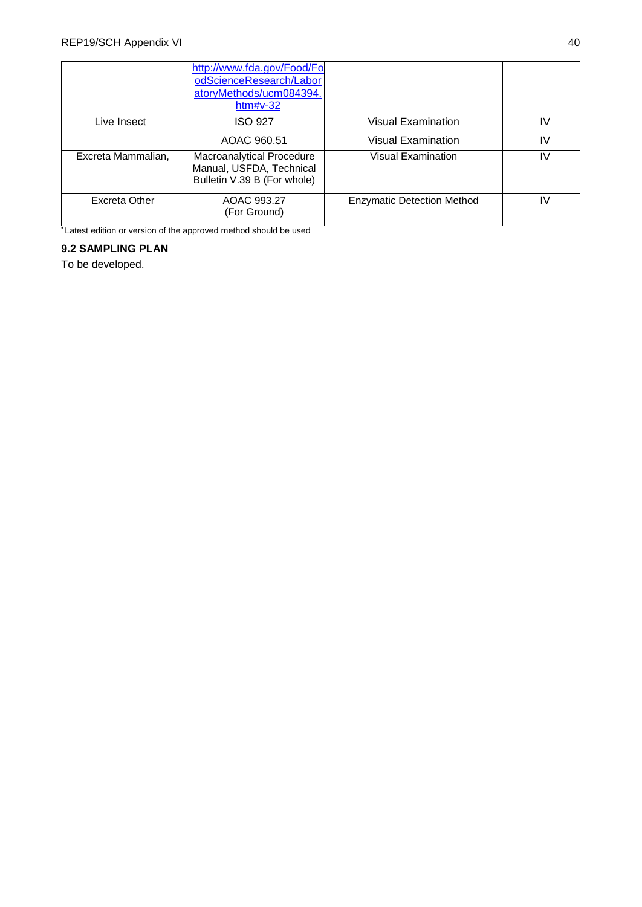|                    | http://www.fda.gov/Food/Fol<br>odScienceResearch/Labor<br>atoryMethods/ucm084394.<br>htm# $v-32$ |                                   |     |
|--------------------|--------------------------------------------------------------------------------------------------|-----------------------------------|-----|
| Live Insect        | <b>ISO 927</b>                                                                                   | <b>Visual Examination</b>         | IV  |
|                    | AOAC 960.51                                                                                      | Visual Examination                | IV  |
| Excreta Mammalian, | Macroanalytical Procedure<br>Manual, USFDA, Technical<br>Bulletin V.39 B (For whole)             | <b>Visual Examination</b>         | IV  |
| Excreta Other      | AOAC 993.27<br>(For Ground)                                                                      | <b>Enzymatic Detection Method</b> | IV. |

**\*** Latest edition or version of the approved method should be used

## **9.2 SAMPLING PLAN**

To be developed.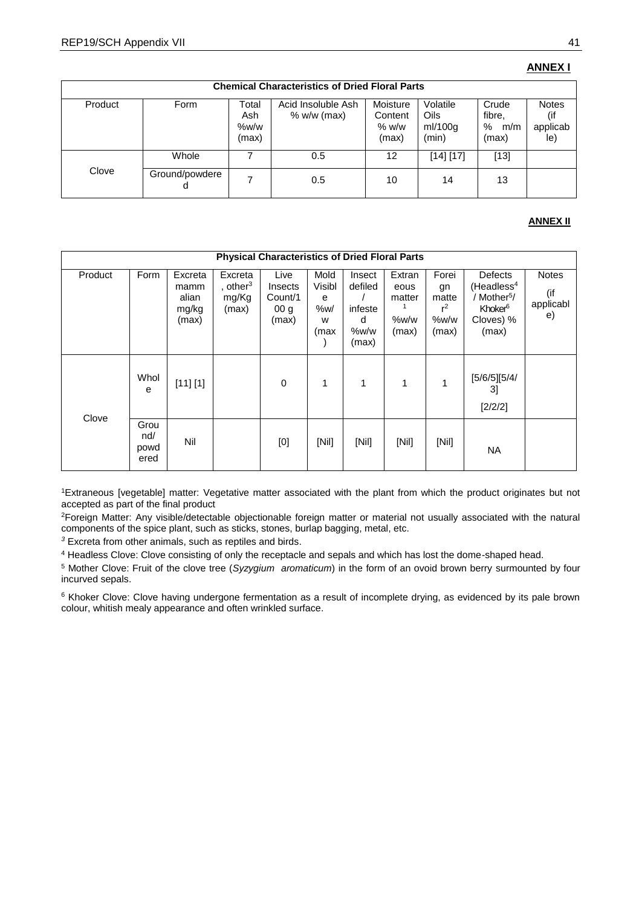## **ANNEX I**

|         | <b>Chemical Characteristics of Dried Floral Parts</b> |                               |                                     |                                       |                                      |                                      |                                 |  |  |  |  |
|---------|-------------------------------------------------------|-------------------------------|-------------------------------------|---------------------------------------|--------------------------------------|--------------------------------------|---------------------------------|--|--|--|--|
| Product | Style                                                 | Total<br>Ash<br>%w/w<br>(max) | Acid Insoluble Ash<br>$% w/w$ (max) | Moisture<br>Content<br>% w/w<br>(max) | Volatile<br>Oils<br>ml/100g<br>(min) | Crude<br>fibre,<br>%<br>m/m<br>(max) | <b>Notes</b><br>applicab<br>le) |  |  |  |  |
|         | Whole                                                 |                               | 0.5                                 | 12                                    | [14] [17]                            | $[13]$                               |                                 |  |  |  |  |
| Clove   | Ground/powdere                                        |                               | 0.5                                 | 10                                    | 14                                   | 13                                   |                                 |  |  |  |  |

#### **ANNEX II**

|         | <b>Physical Characteristics of Dried Floral Parts</b> |                                            |                                                   |                                                        |                                         |                                                    |                                           |                                                |                                                                                                           |                                        |
|---------|-------------------------------------------------------|--------------------------------------------|---------------------------------------------------|--------------------------------------------------------|-----------------------------------------|----------------------------------------------------|-------------------------------------------|------------------------------------------------|-----------------------------------------------------------------------------------------------------------|----------------------------------------|
| Product | Style                                                 | Excreta<br>mamm<br>alian<br>mg/kg<br>(max) | Excreta<br>, other <sup>3</sup><br>mg/Kg<br>(max) | Live<br>Insects<br>Count/1<br>00 <sub>q</sub><br>(max) | Mold<br>Visibl<br>е<br>%w/<br>W<br>(max | Insect<br>defiled<br>infeste<br>d<br>%w/w<br>(max) | Extran<br>eous<br>matter<br>%w/w<br>(max) | Forei<br>gn<br>matte<br>$r^2$<br>%w/w<br>(max) | Defects<br>(Headless <sup>4</sup> )<br>Mother <sup>5</sup> /<br>Khoker <sup>6</sup><br>Cloves) %<br>(max) | <b>Notes</b><br>(if<br>applicabl<br>e) |
| Clove   | Whol<br>e                                             | [11] [1]                                   |                                                   | $\mathbf 0$                                            | 1                                       | 1                                                  | 1                                         | 1                                              | [5/6/5][5/4/<br>31<br>[2/2/2]                                                                             |                                        |
|         | Grou<br>nd/<br>powd<br>ered                           | Nil                                        |                                                   | [0]                                                    | [Nil]                                   | [Nii]                                              | [Nii]                                     | [Nii]                                          | <b>NA</b>                                                                                                 |                                        |

<sup>1</sup>Extraneous [vegetable] matter: Vegetative matter associated with the plant from which the product originates but not accepted as part of the final product

<sup>2</sup>Foreign Matter: Any visible/detectable objectionable foreign matter or material not usually associated with the natural components of the spice plant, such as sticks, stones, burlap bagging, metal, etc.

*<sup>3</sup>* Excreta from other animals, such as reptiles and birds.

4 Headless Clove: Clove consisting of only the receptacle and sepals and which has lost the dome-shaped head.

5 Mother Clove: Fruit of the clove tree (*Syzygium aromaticum*) in the form of an ovoid brown berry surmounted by four incurved sepals.

<sup>6</sup> Khoker Clove: Clove having undergone fermentation as a result of incomplete drying, as evidenced by its pale brown colour, whitish mealy appearance and often wrinkled surface.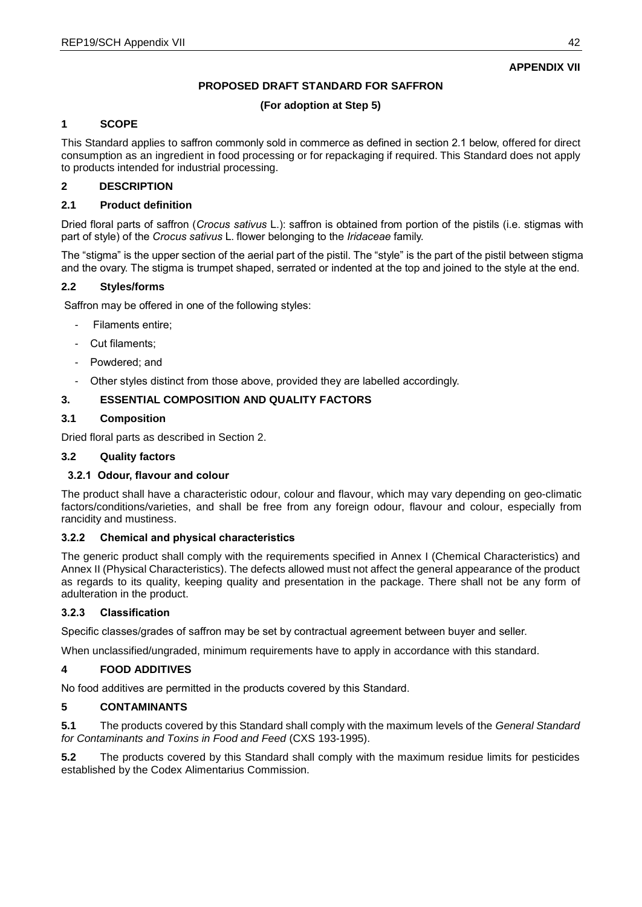## **APPENDIX VII**

## **PROPOSED DRAFT STANDARD FOR SAFFRON**

## **(For adoption at Step 5)**

## **1 SCOPE**

This Standard applies to saffron commonly sold in commerce as defined in section 2.1 below, offered for direct consumption as an ingredient in food processing or for repackaging if required. This Standard does not apply to products intended for industrial processing.

## **2 DESCRIPTION**

#### **2.1 Product definition**

Dried floral parts of saffron (*Crocus sativus* L.): saffron is obtained from portion of the pistils (i.e. stigmas with part of style) of the *Crocus sativus* L. flower belonging to the *Iridaceae* family.

The "stigma" is the upper section of the aerial part of the pistil. The "style" is the part of the pistil between stigma and the ovary. The stigma is trumpet shaped, serrated or indented at the top and joined to the style at the end.

#### **2.2 Styles**

Saffron may be offered in one of the following styles:

- Filaments entire;
- Cut filaments;
- Powdered; and
- Other styles distinct from those above, provided they are labelled accordingly.

## **3. ESSENTIAL COMPOSITION AND QUALITY FACTORS**

#### **3.1 Composition**

Dried floral parts as described in Section 2.

#### **3.2 Quality factors**

#### **3.2.1 Odour, flavour and colour**

The product shall have a characteristic odour, colour and flavour, which may vary depending on geo-climatic factors/conditions/varieties, and shall be free from any foreign odour, flavour and colour, especially from rancidity and mustiness.

#### **3.2.2 Chemical and physical characteristics**

The generic product shall comply with the requirements specified in Annex I (Chemical Characteristics) and Annex II (Physical Characteristics). The defects allowed must not affect the general appearance of the product as regards to its quality, keeping quality and presentation in the package. There shall not be any form of adulteration in the product.

#### **3.2.3 Classification**

Specific classes/grades of saffron may be set by contractual agreement between buyer and seller.

When unclassified/ungraded, minimum requirements have to apply in accordance with this standard.

#### **4 FOOD ADDITIVES**

No food additives are permitted in the products covered by this Standard.

#### **5 CONTAMINANTS**

**5.1** The products covered by this Standard shall comply with the maximum levels of the *General Standard for Contaminants and Toxins in Food and Feed* (CXS 193-1995).

**5.2** The products covered by this Standard shall comply with the maximum residue limits for pesticides established by the Codex Alimentarius Commission.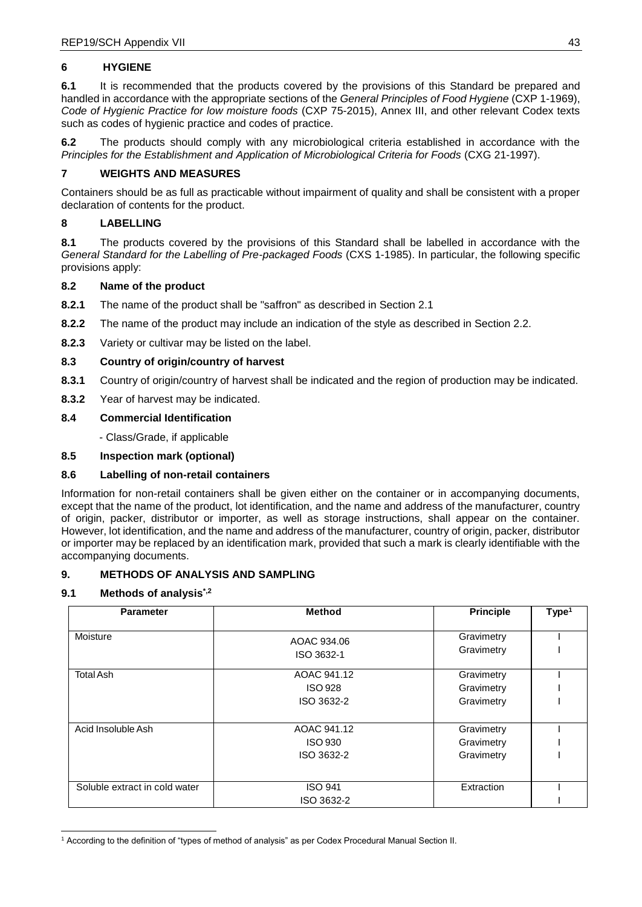## **6 HYGIENE**

**6.1** It is recommended that the products covered by the provisions of this Standard be prepared and handled in accordance with the appropriate sections of the *General Principles of Food Hygiene* (CXP 1-1969), *Code of Hygienic Practice for low moisture foods* (CXP 75-2015), Annex III, and other relevant Codex texts such as codes of hygienic practice and codes of practice.

**6.2** The products should comply with any microbiological criteria established in accordance with the *Principles for the Establishment and Application of Microbiological Criteria for Foods* (CXG 21-1997).

## **7 WEIGHTS AND MEASURES**

Containers should be as full as practicable without impairment of quality and shall be consistent with a proper declaration of contents for the product.

## **8 LABELLING**

**8.1** The products covered by the provisions of this Standard shall be labelled in accordance with the *General Standard for the Labelling of Pre-packaged Foods* (CXS 1-1985). In particular, the following specific provisions apply:

#### **8.2 Name of the product**

- **8.2.1** The name of the product shall be "saffron" as described in Section 2.1
- **8.2.2** The name of the product may include an indication of the style as described in Section 2.2.
- **8.2.3** Variety or cultivar may be listed on the label.

## **8.3 Country of origin/country of harvest**

- **8.3.1** Country of origin/country of harvest shall be indicated and the region of production may be indicated.
- **8.3.2** Year of harvest may be indicated.

## **8.4 Commercial Identification**

- Class/Grade, if applicable

## **8.5 Inspection mark (optional)**

#### **8.6 Labelling of non-retail containers**

Information for non-retail containers shall be given either on the container or in accompanying documents, except that the name of the product, lot identification, and the name and address of the manufacturer, country of origin, packer, distributor or importer, as well as storage instructions, shall appear on the container. However, lot identification, and the name and address of the manufacturer, country of origin, packer, distributor or importer may be replaced by an identification mark, provided that such a mark is clearly identifiable with the accompanying documents.

#### **9. METHODS OF ANALYSIS AND SAMPLING**

#### **9.1 Methods of analysis\*,2**

| <b>Parameter</b>              | <b>Method</b>             | <b>Principle</b>         | Type <sup>1</sup> |
|-------------------------------|---------------------------|--------------------------|-------------------|
| Moisture                      | AOAC 934.06<br>ISO 3632-1 | Gravimetry<br>Gravimetry |                   |
| <b>Total Ash</b>              | AOAC 941.12               | Gravimetry               |                   |
|                               | <b>ISO 928</b>            | Gravimetry               |                   |
|                               | ISO 3632-2                | Gravimetry               |                   |
|                               |                           |                          |                   |
| Acid Insoluble Ash            | AOAC 941.12               | Gravimetry               |                   |
|                               | <b>ISO 930</b>            | Gravimetry               |                   |
|                               | ISO 3632-2                | Gravimetry               |                   |
|                               |                           |                          |                   |
| Soluble extract in cold water | <b>ISO 941</b>            | Extraction               |                   |
|                               | ISO 3632-2                |                          |                   |

<sup>1</sup> According to the definition of "types of method of analysis" as per Codex Procedural Manual Section II.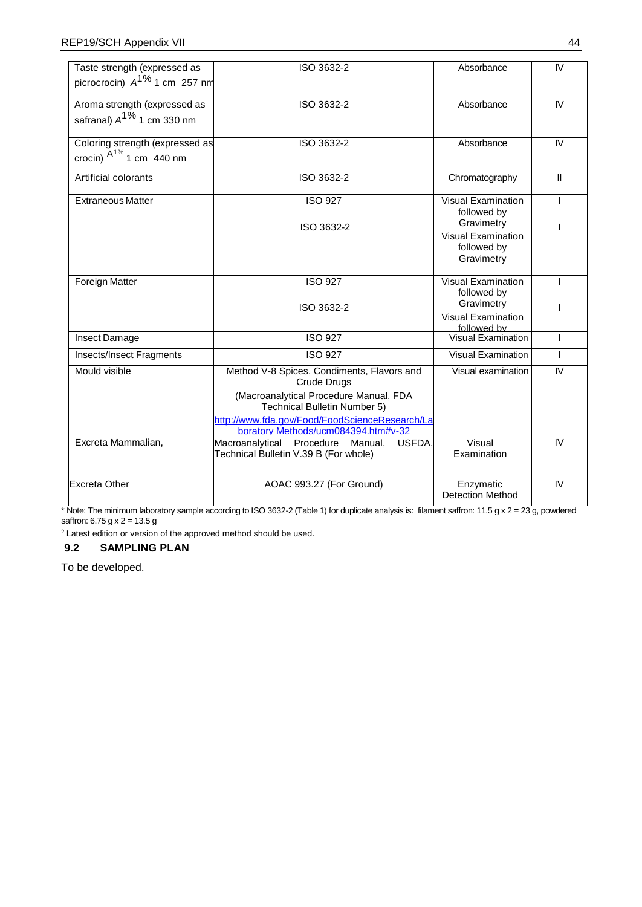| Taste strength (expressed as<br>picrocrocin) $A^{1\%}$ 1 cm 257 nm | ISO 3632-2                                                                                                                                                                                                                          | Absorbance                                                                                                       | $\overline{N}$ |
|--------------------------------------------------------------------|-------------------------------------------------------------------------------------------------------------------------------------------------------------------------------------------------------------------------------------|------------------------------------------------------------------------------------------------------------------|----------------|
| Aroma strength (expressed as<br>safranal) $A^{1\%}$ 1 cm 330 nm    | ISO 3632-2                                                                                                                                                                                                                          | Absorbance                                                                                                       | IV.            |
| Coloring strength (expressed as<br>crocin) $A^{1\%}$ 1 cm 440 nm   | ISO 3632-2                                                                                                                                                                                                                          | Absorbance                                                                                                       | IV             |
| Artificial colorants                                               | ISO 3632-2                                                                                                                                                                                                                          | Chromatography                                                                                                   | $\mathbf{H}$   |
| <b>Extraneous Matter</b>                                           | <b>ISO 927</b><br>ISO 3632-2                                                                                                                                                                                                        | <b>Visual Examination</b><br>followed by<br>Gravimetry<br><b>Visual Examination</b><br>followed by<br>Gravimetry |                |
| Foreign Matter                                                     | <b>ISO 927</b><br>ISO 3632-2                                                                                                                                                                                                        | <b>Visual Examination</b><br>followed by<br>Gravimetry                                                           |                |
|                                                                    |                                                                                                                                                                                                                                     | <b>Visual Examination</b><br>followed by                                                                         |                |
| Insect Damage                                                      | <b>ISO 927</b>                                                                                                                                                                                                                      | <b>Visual Examination</b>                                                                                        |                |
| <b>Insects/Insect Fragments</b>                                    | <b>ISO 927</b>                                                                                                                                                                                                                      | <b>Visual Examination</b>                                                                                        | L              |
| Mould visible                                                      | Method V-8 Spices, Condiments, Flavors and<br>Crude Drugs<br>(Macroanalytical Procedure Manual, FDA<br><b>Technical Bulletin Number 5)</b><br>http://www.fda.gov/Food/FoodScienceResearch/La<br>boratory Methods/ucm084394.htm#v-32 | Visual examination                                                                                               | IV             |
| Excreta Mammalian,                                                 | Macroanalytical Procedure Manual,<br>USFDA.<br>Technical Bulletin V.39 B (For whole)                                                                                                                                                | Visual<br>Examination                                                                                            | IV             |
| Excreta Other                                                      | AOAC 993.27 (For Ground)                                                                                                                                                                                                            | Enzymatic<br><b>Detection Method</b>                                                                             | IV             |

\* Note: The minimum laboratory sample according to ISO 3632-2 (Table 1) for duplicate analysis is: filament saffron: 11.5 g x 2 = 23 g, powdered saffron: 6.75 g x 2 = 13.5 g

 $2$  Latest edition or version of the approved method should be used.

## **9.2 SAMPLING PLAN**

To be developed.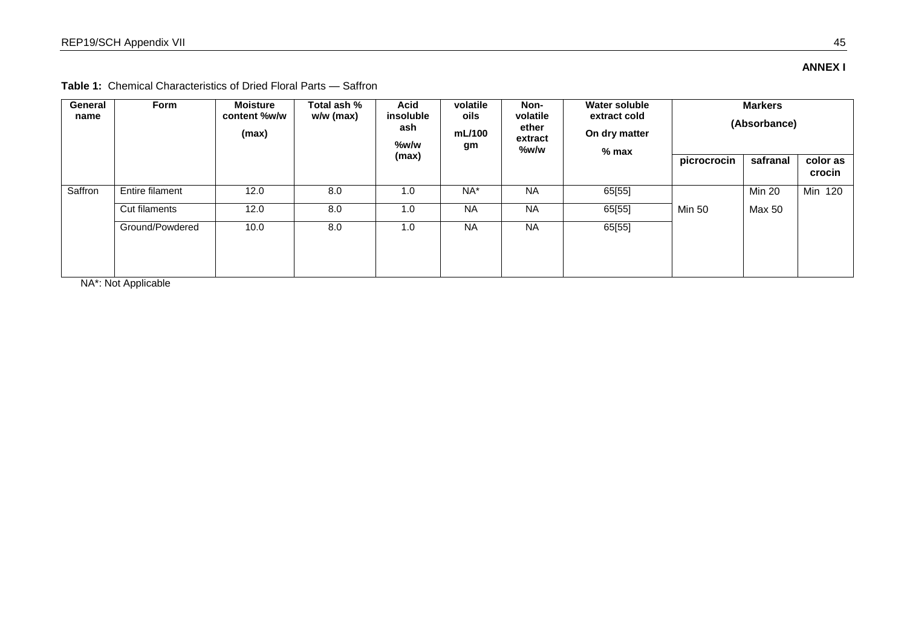**ANNEX I** 

**Table 1:** Chemical Characteristics of Dried Floral Parts — Saffron

| General<br>name | <b>Style</b>                             | <b>Moisture</b><br>content %w/w<br>(max) | Total ash %<br>w/w (max) | <b>Acid</b><br>insoluble<br>ash<br>%w/w | volatile<br>oils<br>mL/100<br>g | Non-<br>volatile<br>ether<br>extract<br>%w/w | <b>Water soluble</b><br>extract cold<br>On dry matter<br>$%$ max | <b>Markers</b><br>(Absorbance) |                    |         |
|-----------------|------------------------------------------|------------------------------------------|--------------------------|-----------------------------------------|---------------------------------|----------------------------------------------|------------------------------------------------------------------|--------------------------------|--------------------|---------|
|                 |                                          |                                          | (max)                    |                                         |                                 |                                              | picrocrocin                                                      | safranal                       | color as<br>crocin |         |
| Saffron         | Entire filament                          | 12.0                                     | 8.0                      | 1.0                                     | $NA^*$                          | <b>NA</b>                                    | 65[55]                                                           |                                | <b>Min 20</b>      | Min 120 |
|                 | Cut filaments                            | 12.0                                     | 8.0                      | 1.0                                     | <b>NA</b>                       | <b>NA</b>                                    | 65[55]                                                           | Min 50                         | Max 50             |         |
|                 | Ground/Powdered<br>NIA*, NIAt Annlianhia | 10.0                                     | 8.0                      | 1.0                                     | <b>NA</b>                       | <b>NA</b>                                    | 65[55]                                                           |                                |                    |         |

NA\*: Not Applicable